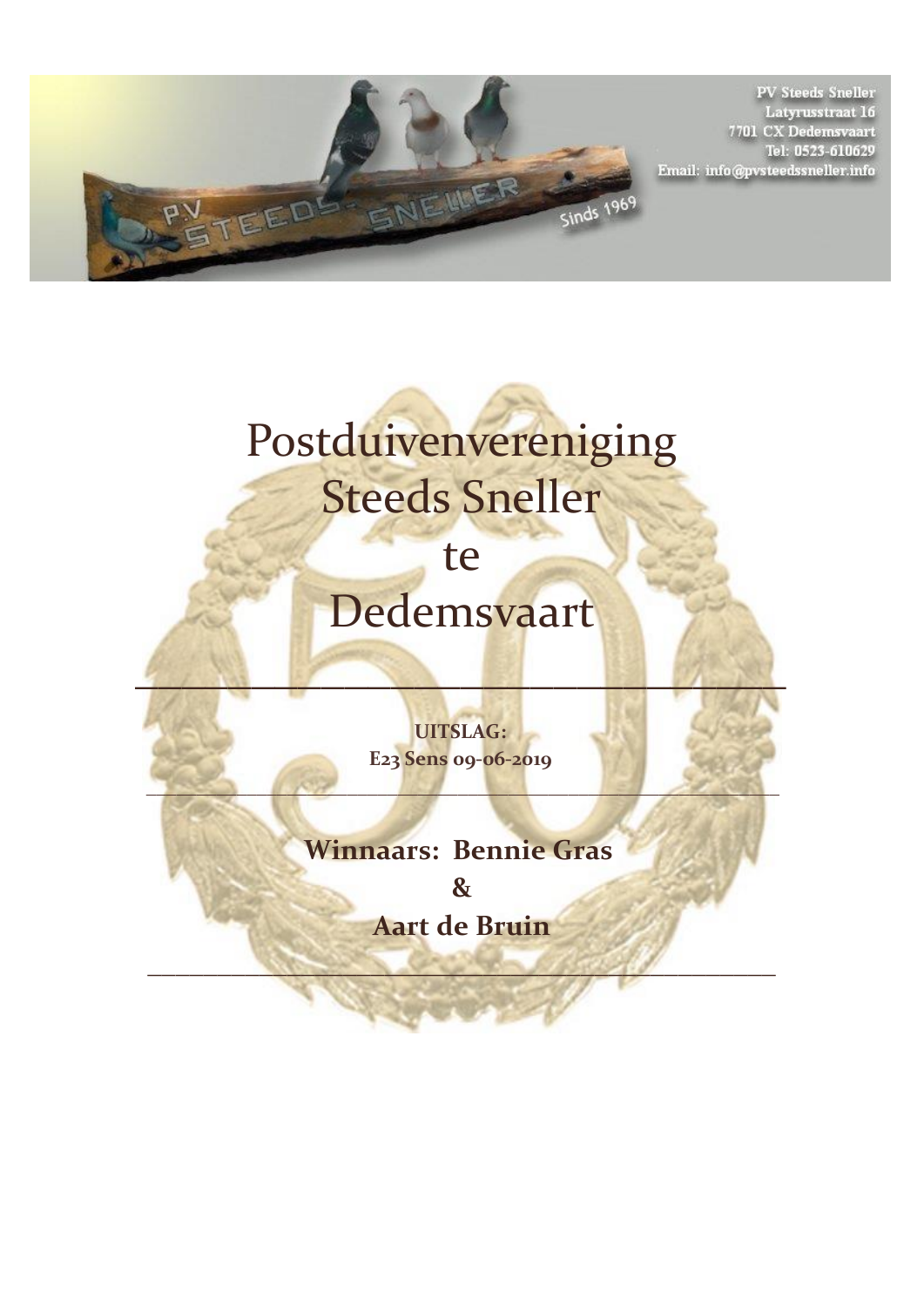

**PV Steeds Sneller** Latyrusstraat 16<br>7701 CX Dedemsvaart Tel: 0523-610629 Email: info@pvsteedssneller.info

## Postduivenvereniging Steeds Sneller

te

## Dedemsvaart

 $\mathcal{L}_\mathcal{F}$  , where  $\mathcal{L}_\mathcal{F}$  , we have the contract of  $\mathcal{L}_\mathcal{F}$ 

**UITSLAG: E23 Sens 09-06-2019** 

**\_\_\_\_\_\_\_\_\_\_\_\_\_\_\_\_\_\_\_\_\_\_\_\_\_\_\_\_\_\_\_\_\_\_\_\_\_\_\_\_\_\_\_\_\_\_\_\_\_\_\_\_\_\_\_\_\_\_\_\_\_\_\_**

## **Winnaars: Bennie Gras**

**& Aart de Bruin**

**\_\_\_\_\_\_\_\_\_\_\_\_\_\_\_\_\_\_\_\_\_\_\_\_\_\_\_\_\_\_\_\_\_\_\_\_\_\_\_\_\_\_\_\_\_**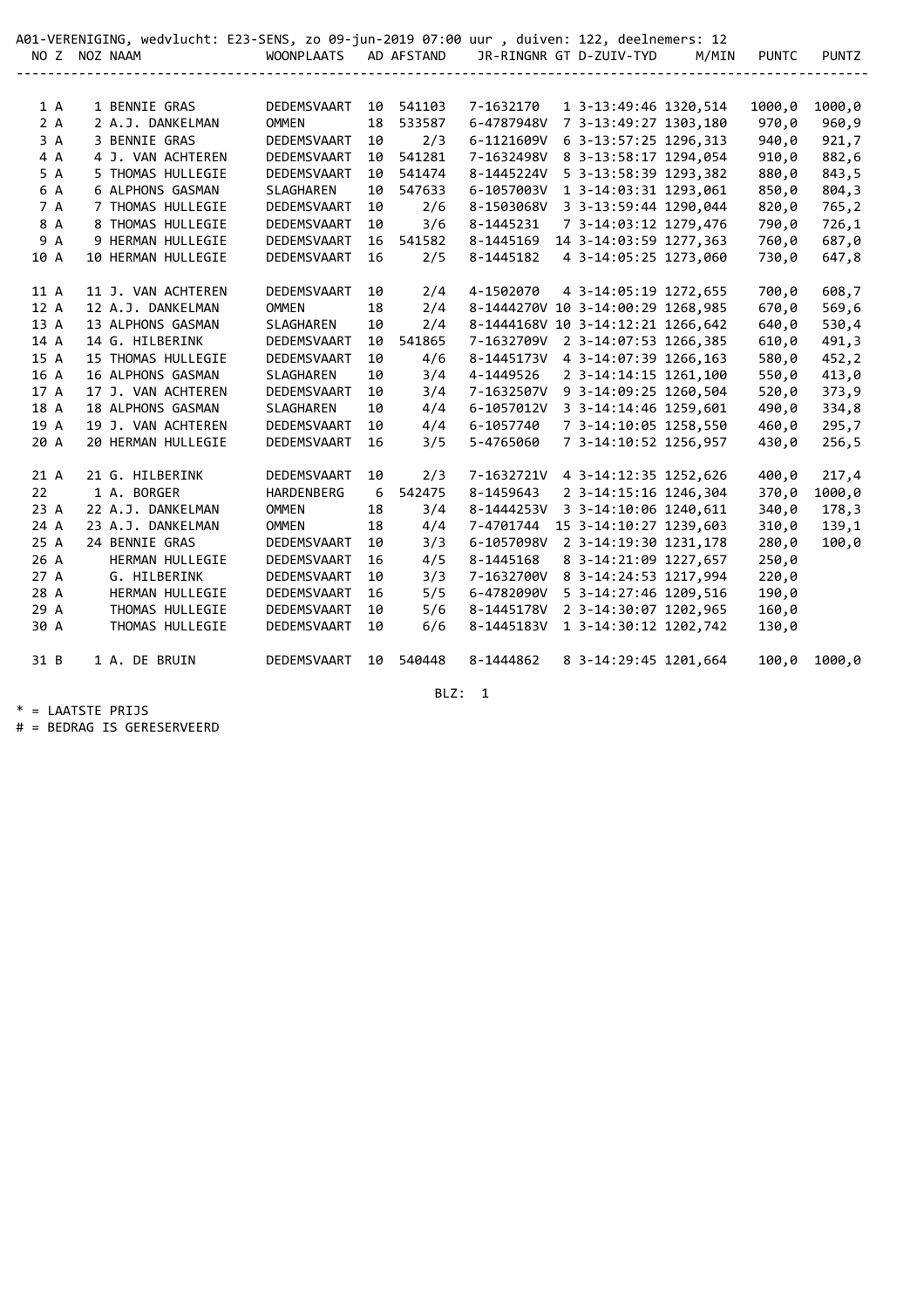|      |  | A01-VERENIGING, wedvlucht: E23-SENS, zo 09-jun-2019 07:00 uur , duiven: 122, deelnemers: 12 |                       |    |        |            |                                   |       |              |              |
|------|--|---------------------------------------------------------------------------------------------|-----------------------|----|--------|------------|-----------------------------------|-------|--------------|--------------|
|      |  | NO Z NOZ NAAM                                                                               | WOONPLAATS AD AFSTAND |    |        |            | JR-RINGNR GT D-ZUIV-TYD           | M/MIN | <b>PUNTC</b> | <b>PUNTZ</b> |
|      |  |                                                                                             |                       |    |        |            |                                   |       |              |              |
|      |  |                                                                                             |                       |    |        |            |                                   |       |              |              |
| 1 A  |  | 1 BENNIE GRAS                                                                               | DEDEMSVAART           | 10 | 541103 | 7-1632170  | 1 3-13:49:46 1320,514             |       | 1000,0       | 1000,0       |
| 2A   |  | 2 A.J. DANKELMAN                                                                            | <b>OMMEN</b>          | 18 | 533587 | 6-4787948V | 7 3-13:49:27 1303,180             |       | 970,0        | 960,9        |
| 3A   |  | 3 BENNIE GRAS                                                                               | DEDEMSVAART           | 10 | 2/3    | 6-1121609V | 6 3-13:57:25 1296,313             |       | 940,0        | 921,7        |
| 4 A  |  | 4 J. VAN ACHTEREN                                                                           | DEDEMSVAART           | 10 | 541281 | 7-1632498V | 8 3-13:58:17 1294,054             |       | 910,0        | 882,6        |
| 5 A  |  | 5 THOMAS HULLEGIE                                                                           | DEDEMSVAART           | 10 | 541474 | 8-1445224V | 5 3-13:58:39 1293,382             |       | 880,0        | 843,5        |
| 6 A  |  | 6 ALPHONS GASMAN                                                                            | SLAGHAREN             | 10 | 547633 | 6-1057003V | 1 3-14:03:31 1293,061             |       | 850,0        | 804,3        |
| 7 A  |  | 7 THOMAS HULLEGIE                                                                           | DEDEMSVAART           | 10 | 2/6    | 8-1503068V | 3 3-13:59:44 1290,044             |       | 820,0        | 765,2        |
| 8 A  |  | 8 THOMAS HULLEGIE                                                                           | DEDEMSVAART           | 10 | 3/6    | 8-1445231  | 7 3-14:03:12 1279,476             |       | 790,0        | 726,1        |
| 9 A  |  | 9 HERMAN HULLEGIE                                                                           | DEDEMSVAART           | 16 | 541582 | 8-1445169  | 14 3-14:03:59 1277,363            |       | 760,0        | 687,0        |
| 10 A |  | 10 HERMAN HULLEGIE                                                                          | DEDEMSVAART           | 16 | 2/5    | 8-1445182  | 4 3-14:05:25 1273,060             |       | 730,0        | 647,8        |
|      |  |                                                                                             |                       |    |        |            |                                   |       |              |              |
| 11 A |  | 11 J. VAN ACHTEREN                                                                          | DEDEMSVAART           | 10 | 2/4    | 4-1502070  | 4 3-14:05:19 1272,655             |       | 700,0        | 608,7        |
| 12 A |  | 12 A.J. DANKELMAN                                                                           | <b>OMMEN</b>          | 18 | 2/4    |            | 8-1444270V 10 3-14:00:29 1268,985 |       | 670,0        | 569,6        |
| 13 A |  | 13 ALPHONS GASMAN                                                                           | SLAGHAREN             | 10 | 2/4    |            | 8-1444168V 10 3-14:12:21 1266,642 |       | 640,0        | 530,4        |
| 14 A |  | 14 G. HILBERINK                                                                             | DEDEMSVAART           | 10 | 541865 | 7-1632709V | 2 3-14:07:53 1266,385             |       | 610,0        | 491,3        |
| 15 A |  | 15 THOMAS HULLEGIE                                                                          | DEDEMSVAART           | 10 | 4/6    | 8-1445173V | 4 3-14:07:39 1266,163             |       | 580,0        | 452,2        |
| 16 A |  | 16 ALPHONS GASMAN                                                                           | SLAGHAREN             | 10 | 3/4    | 4-1449526  | 2 3-14:14:15 1261,100             |       | 550,0        | 413,0        |
| 17 A |  | 17 J. VAN ACHTEREN                                                                          | DEDEMSVAART           | 10 | 3/4    | 7-1632507V | 9 3-14:09:25 1260,504             |       | 520,0        | 373,9        |
| 18 A |  | 18 ALPHONS GASMAN                                                                           | <b>SLAGHAREN</b>      | 10 | 4/4    | 6-1057012V | 3 3-14:14:46 1259,601             |       | 490,0        | 334,8        |
| 19 A |  | 19 J. VAN ACHTEREN                                                                          | DEDEMSVAART           | 10 | 4/4    | 6-1057740  | 7 3-14:10:05 1258,550             |       | 460,0        | 295,7        |
| 20 A |  | 20 HERMAN HULLEGIE                                                                          | DEDEMSVAART           | 16 | 3/5    | 5-4765060  | 7 3-14:10:52 1256,957             |       | 430,0        | 256,5        |
|      |  |                                                                                             |                       |    |        |            |                                   |       |              |              |
| 21 A |  | 21 G. HILBERINK                                                                             | DEDEMSVAART           | 10 | 2/3    | 7-1632721V | 4 3-14:12:35 1252,626             |       | 400,0        | 217,4        |
| 22   |  | 1 A. BORGER                                                                                 | HARDENBERG            | 6  | 542475 | 8-1459643  | 2 3-14:15:16 1246,304             |       | 370,0        | 1000,0       |
| 23 A |  | 22 A.J. DANKELMAN                                                                           | <b>OMMEN</b>          | 18 | 3/4    | 8-1444253V | 3 3-14:10:06 1240,611             |       | 340,0        | 178,3        |
| 24 A |  | 23 A.J. DANKELMAN                                                                           | <b>OMMEN</b>          | 18 | 4/4    | 7-4701744  | 15 3-14:10:27 1239,603            |       | 310,0        | 139,1        |
| 25 A |  | 24 BENNIE GRAS                                                                              | DEDEMSVAART           | 10 | 3/3    | 6-1057098V | 2 3-14:19:30 1231,178             |       | 280,0        | 100,0        |
| 26 A |  | HERMAN HULLEGIE                                                                             | DEDEMSVAART           | 16 | 4/5    | 8-1445168  | 8 3-14:21:09 1227,657             |       | 250,0        |              |
| 27 A |  | G. HILBERINK                                                                                | DEDEMSVAART           | 10 | 3/3    | 7-1632700V | 8 3-14:24:53 1217,994             |       | 220,0        |              |
| 28 A |  | HERMAN HULLEGIE                                                                             | DEDEMSVAART           | 16 | 5/5    | 6-4782090V | 5 3-14:27:46 1209,516             |       | 190,0        |              |
| 29 A |  | THOMAS HULLEGIE                                                                             | DEDEMSVAART           | 10 | 5/6    | 8-1445178V | 2 3-14:30:07 1202,965             |       | 160,0        |              |
| 30 A |  | THOMAS HULLEGIE                                                                             | DEDEMSVAART           | 10 | 6/6    | 8-1445183V | 1 3-14:30:12 1202,742             |       | 130,0        |              |
|      |  |                                                                                             |                       |    |        |            |                                   |       |              |              |
| 31 B |  | 1 A. DE BRUIN                                                                               | DEDEMSVAART           | 10 | 540448 | 8-1444862  | 8 3-14:29:45 1201,664             |       | 100,0        | 1000,0       |
|      |  |                                                                                             |                       |    |        |            |                                   |       |              |              |

BLZ: 1

\* = LAATSTE PRIJS

# = BEDRAG IS GERESERVEERD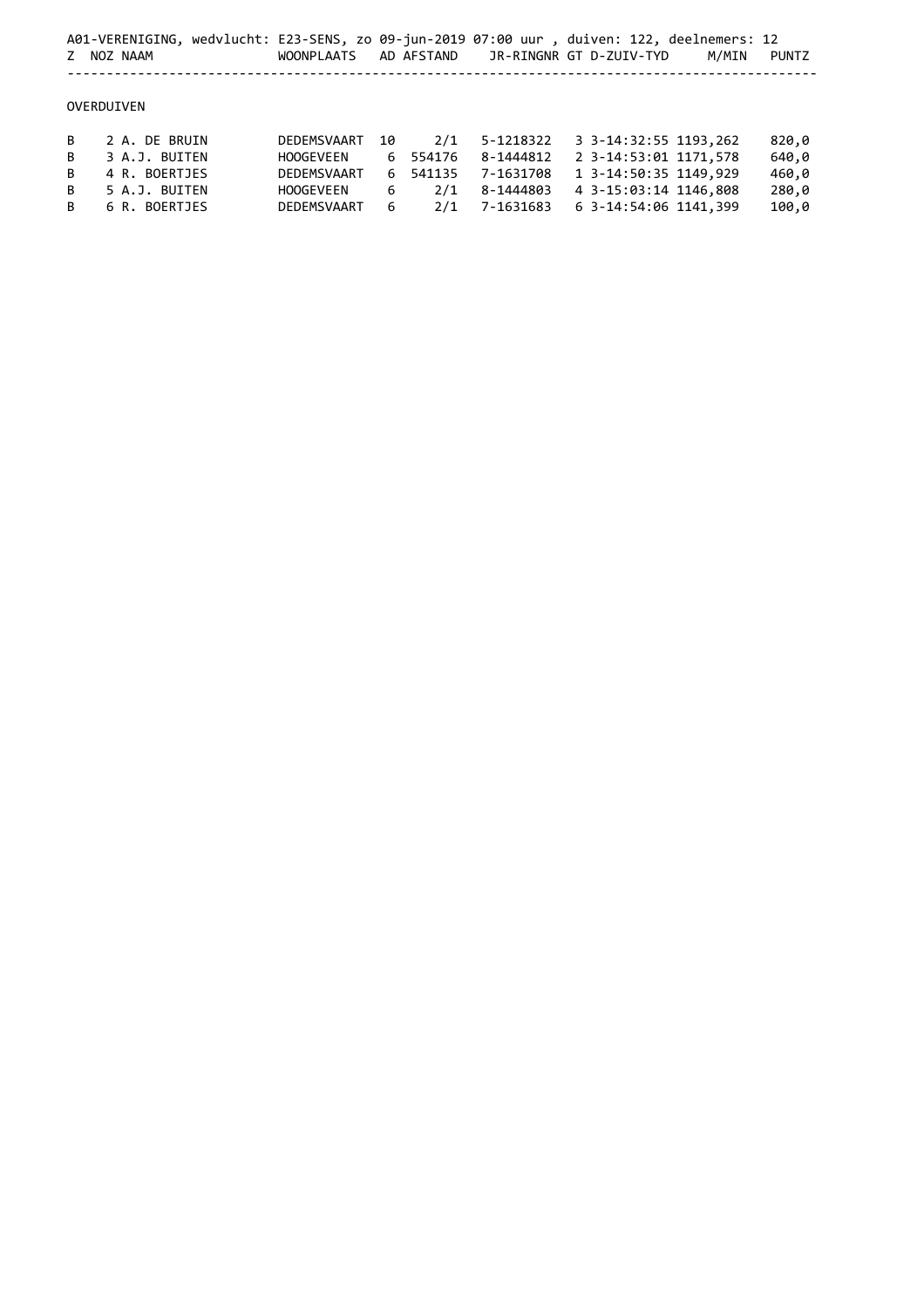|   | A01-VERENIGING, wedvlucht: E23-SENS, zo 09-jun-2019 07:00 uur, duiven: 122, deelnemers: 12<br>Z NOZ NAAM | <b>WOONPLAATS</b> |    | AD AFSTAND |           | JR-RINGNR GT D-ZUIV-TYD | M/MIN | PUNTZ |
|---|----------------------------------------------------------------------------------------------------------|-------------------|----|------------|-----------|-------------------------|-------|-------|
|   | OVERDUIVEN                                                                                               |                   |    |            |           |                         |       |       |
| B | 2 A. DE BRUIN                                                                                            | DEDEMSVAART       | 10 | 2/1        | 5-1218322 | 3 3-14:32:55 1193,262   |       | 820,0 |
| B | 3 A.J. BUITEN                                                                                            | HOOGEVEEN         |    | 6 554176   | 8-1444812 | 2 3-14:53:01 1171,578   |       | 640,0 |
| B | 4 R. BOERTJES                                                                                            | DEDEMSVAART       | 6  | 541135     | 7-1631708 | 1 3-14:50:35 1149,929   |       | 460,0 |
| B | 5 A.J. BUITEN                                                                                            | HOOGEVEEN         | 6  | 2/1        | 8-1444803 | 4 3-15:03:14 1146,808   |       | 280,0 |
| B | 6 R. BOERTJES                                                                                            | DEDEMSVAART       | 6  | 2/1        | 7-1631683 | 6 3-14:54:06 1141,399   |       | 100,0 |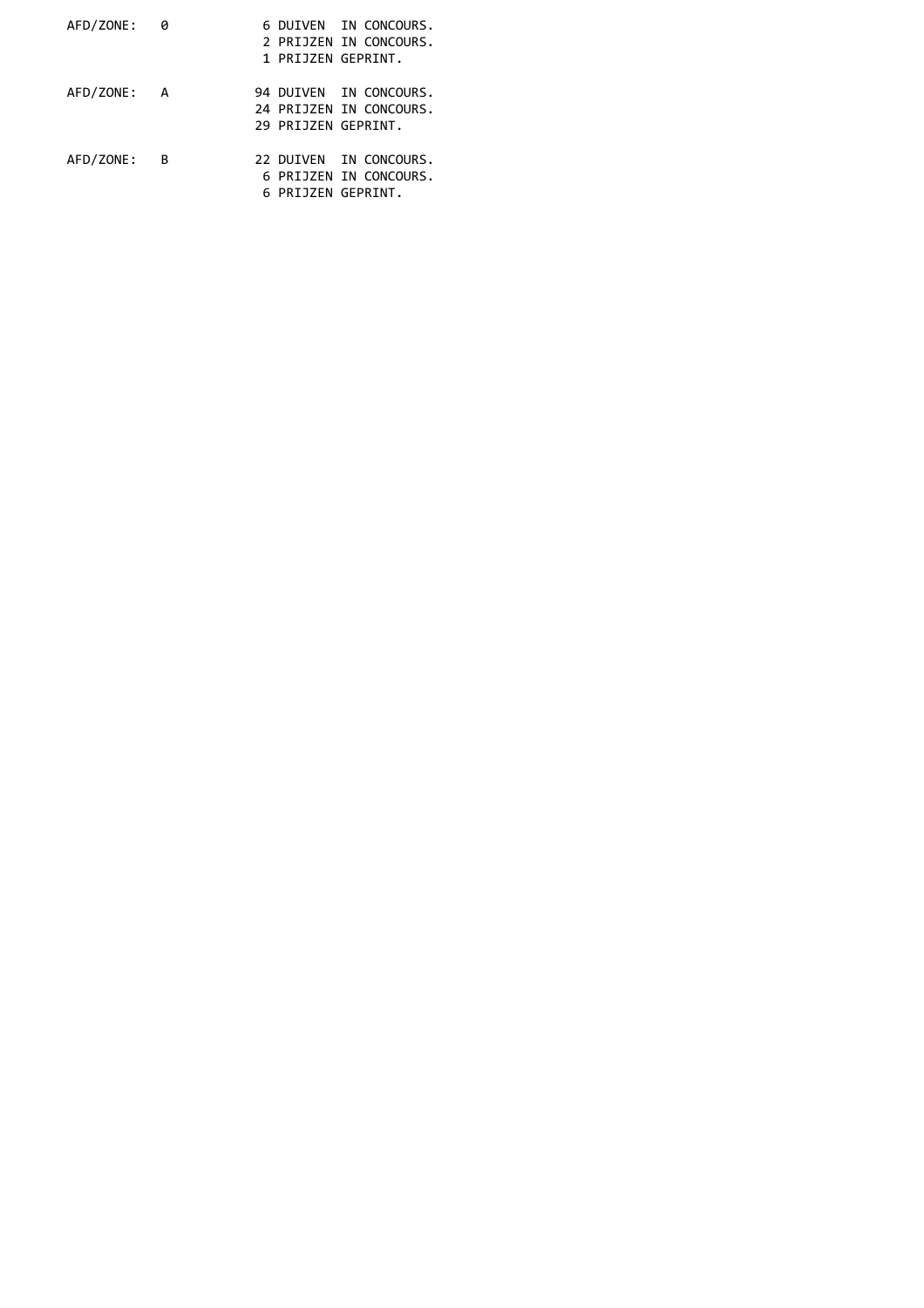| AFD/ZONE:   | 0 |  | 6 DUIVEN IN CONCOURS.   |
|-------------|---|--|-------------------------|
|             |   |  | 2 PRIJZEN IN CONCOURS.  |
|             |   |  | 1 PRIJZEN GEPRINT.      |
| AFD/ZONE: A |   |  | 94 DUIVEN IN CONCOURS.  |
|             |   |  | 24 PRIJZEN IN CONCOURS. |
|             |   |  | 29 PRIJZEN GEPRINT.     |
| AFD/ZONE:   | B |  | 22 DUIVEN IN CONCOURS.  |
|             |   |  | 6 PRIJZEN IN CONCOURS.  |
|             |   |  | 6 PRIJZEN GEPRINT.      |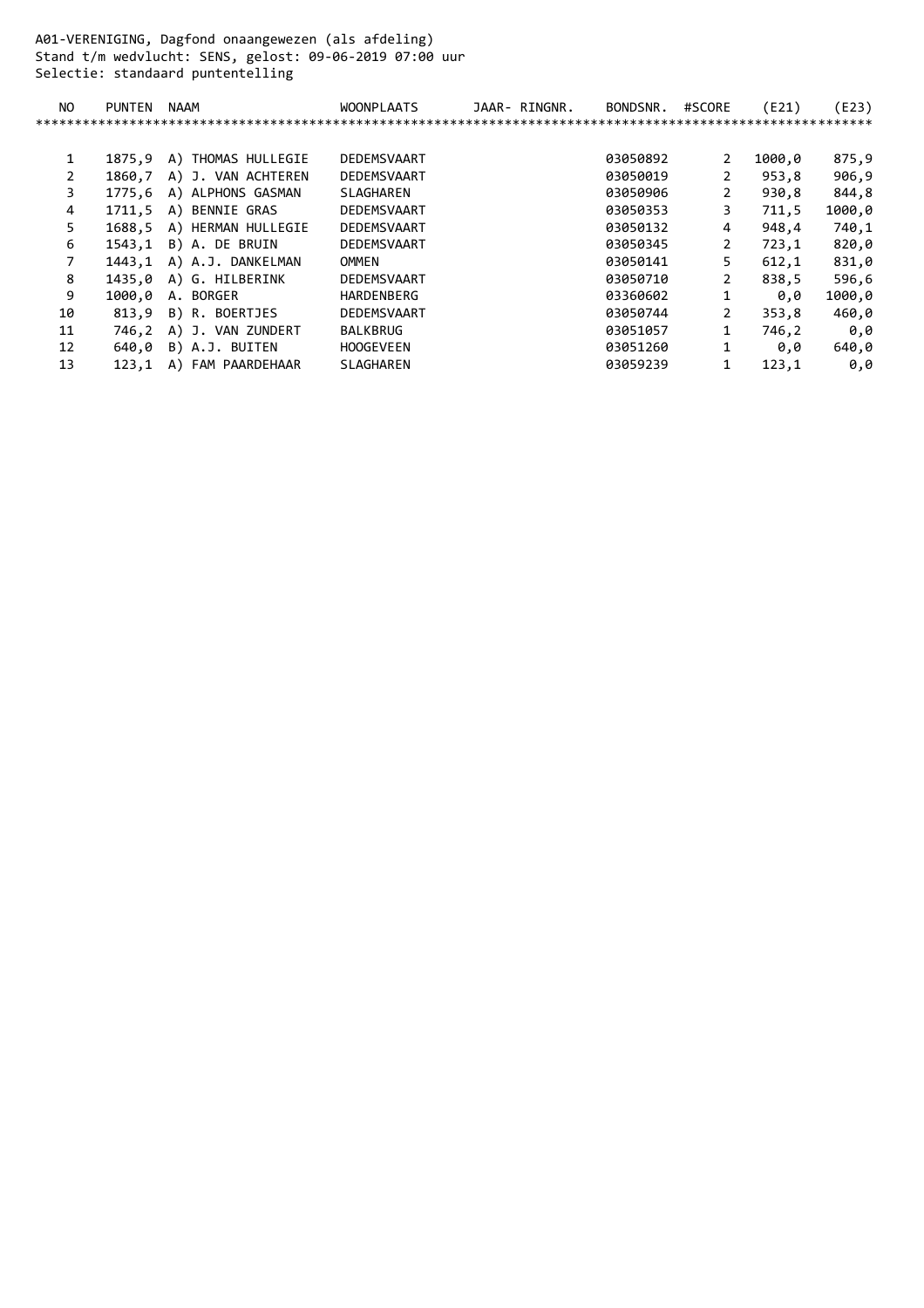A01-VERENIGING, Dagfond onaangewezen (als afdeling) Stand t/m wedvlucht: SENS, gelost: 09-06-2019 07:00 uur Selectie: standaard puntentelling

| NO | <b>PUNTEN</b> | NAAM               | <b>WOONPLAATS</b> | JAAR- RINGNR. | BONDSNR. | #SCORE | (E21)  | (E23)  |
|----|---------------|--------------------|-------------------|---------------|----------|--------|--------|--------|
|    |               |                    |                   |               |          |        |        |        |
|    |               |                    |                   |               |          |        |        |        |
|    | 1875.9        | A) THOMAS HULLEGIE | DEDEMSVAART       |               | 03050892 | 2      | 1000,0 | 875,9  |
|    | 1860.7        | A) J. VAN ACHTEREN | DEDEMSVAART       |               | 03050019 | 2      | 953.8  | 906,9  |
| 3. | 1775.6        | A) ALPHONS GASMAN  | SLAGHAREN         |               | 03050906 | 2      | 930,8  | 844,8  |
| 4  | 1711.5        | A) BENNIE GRAS     | DEDEMSVAART       |               | 03050353 | 3      | 711.5  | 1000,0 |
| 5. | 1688.5        | A) HERMAN HULLEGIE | DEDEMSVAART       |               | 03050132 | 4      | 948,4  | 740,1  |
| 6  | 1543.1        | B) A. DE BRUIN     | DEDEMSVAART       |               | 03050345 | 2      | 723,1  | 820,0  |
|    | 1443,1        | A) A.J. DANKELMAN  | OMMEN             |               | 03050141 | 5      | 612,1  | 831,0  |
| 8  | 1435.0        | A) G. HILBERINK    | DEDEMSVAART       |               | 03050710 | 2      | 838.5  | 596,6  |
| 9  | 1000.0        | A. BORGER          | HARDENBERG        |               | 03360602 |        | 0.0    | 1000,0 |
| 10 | 813.9         | B) R. BOERTJES     | DEDEMSVAART       |               | 03050744 | 2      | 353.8  | 460,0  |
| 11 | 746,2         | A) J. VAN ZUNDERT  | <b>BALKBRUG</b>   |               | 03051057 | 1      | 746,2  | 0,0    |
| 12 | 640.0         | B) A.J. BUITEN     | <b>HOOGEVEEN</b>  |               | 03051260 |        | 0.0    | 640,0  |
| 13 | 123,1         | A) FAM PAARDEHAAR  | <b>SLAGHAREN</b>  |               | 03059239 | 1      | 123,1  | 0,0    |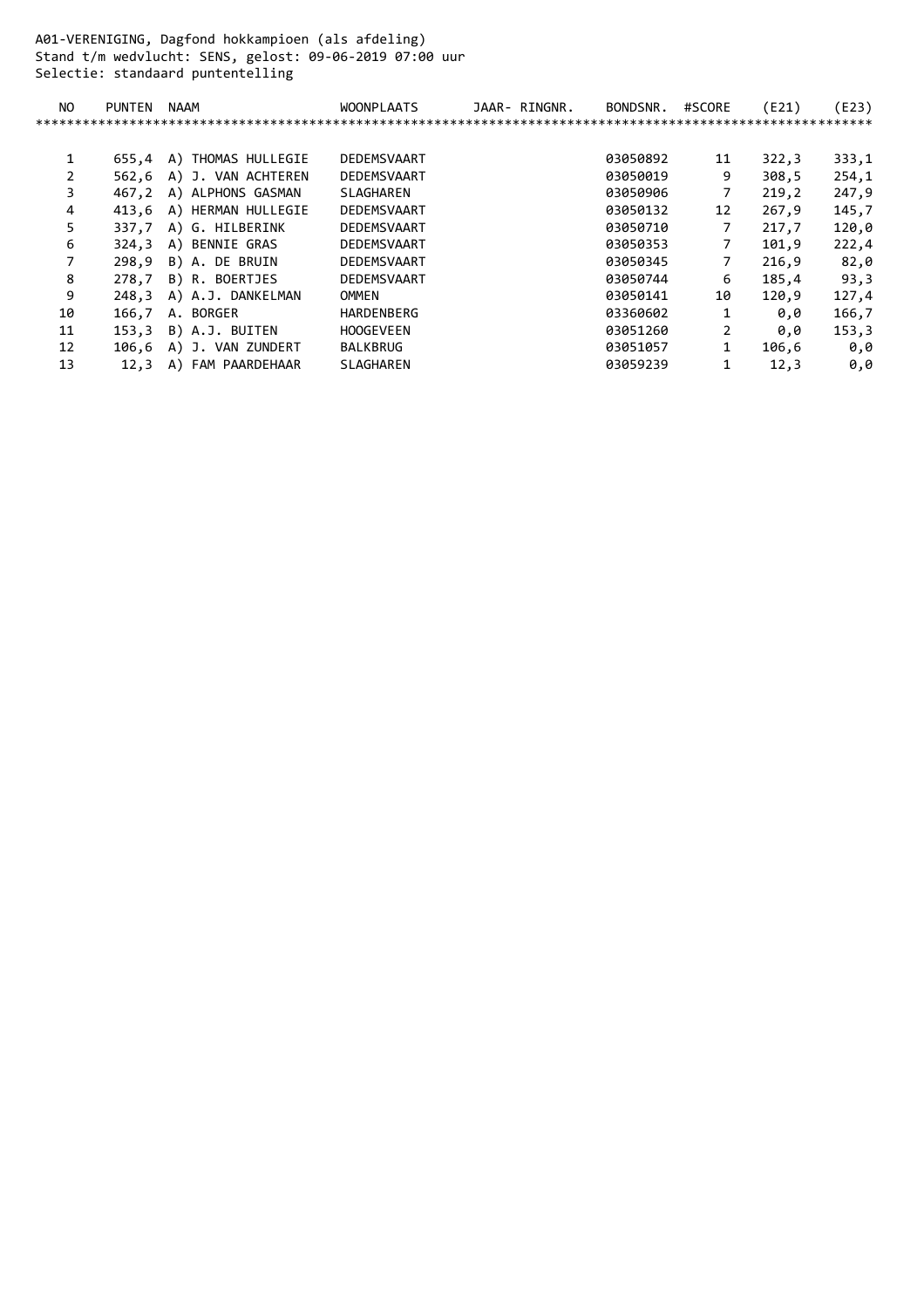A01-VERENIGING, Dagfond hokkampioen (als afdeling) Stand t/m wedvlucht: SENS, gelost: 09-06-2019 07:00 uur Selectie: standaard puntentelling

| NO           | <b>PUNTEN</b> | NAAM               | <b>WOONPLAATS</b> | JAAR- RINGNR. | BONDSNR. | #SCORE | (E21) | (E23) |
|--------------|---------------|--------------------|-------------------|---------------|----------|--------|-------|-------|
|              |               |                    |                   |               |          |        |       |       |
|              |               |                    |                   |               |          |        |       |       |
| $\mathbf{1}$ | 655.4         | A) THOMAS HULLEGIE | DEDEMSVAART       |               | 03050892 | 11     | 322,3 | 333,1 |
| 2            | 562,6         | A) J. VAN ACHTEREN | DEDEMSVAART       |               | 03050019 | 9      | 308,5 | 254,1 |
| 3            | 467.2         | A) ALPHONS GASMAN  | SLAGHAREN         |               | 03050906 | 7      | 219,2 | 247,9 |
| 4            | 413.6         | A) HERMAN HULLEGIE | DEDEMSVAART       |               | 03050132 | 12     | 267,9 | 145,7 |
| 5.           | 337,7         | A) G. HILBERINK    | DEDEMSVAART       |               | 03050710 | 7      | 217,7 | 120,0 |
| 6            | 324,3         | A) BENNIE GRAS     | DEDEMSVAART       |               | 03050353 | 7      | 101,9 | 222,4 |
|              | 298.9         | B) A. DE BRUIN     | DEDEMSVAART       |               | 03050345 | 7      | 216.9 | 82,0  |
| 8            | 278.7         | B) R. BOERTJES     | DEDEMSVAART       |               | 03050744 | 6      | 185.4 | 93,3  |
| 9            | 248,3         | A) A.J. DANKELMAN  | OMMEN             |               | 03050141 | 10     | 120,9 | 127,4 |
| 10           | 166,7         | A. BORGER          | <b>HARDENBERG</b> |               | 03360602 | 1      | 0.0   | 166,7 |
| 11           | 153.3         | B) A.J. BUITEN     | <b>HOOGEVEEN</b>  |               | 03051260 | 2      | 0,0   | 153,3 |
| 12           | 106,6         | A) J. VAN ZUNDERT  | <b>BALKBRUG</b>   |               | 03051057 | 1      | 106,6 | 0,0   |
| 13           | 12.3          | A) FAM PAARDEHAAR  | <b>SLAGHAREN</b>  |               | 03059239 |        | 12,3  | 0,0   |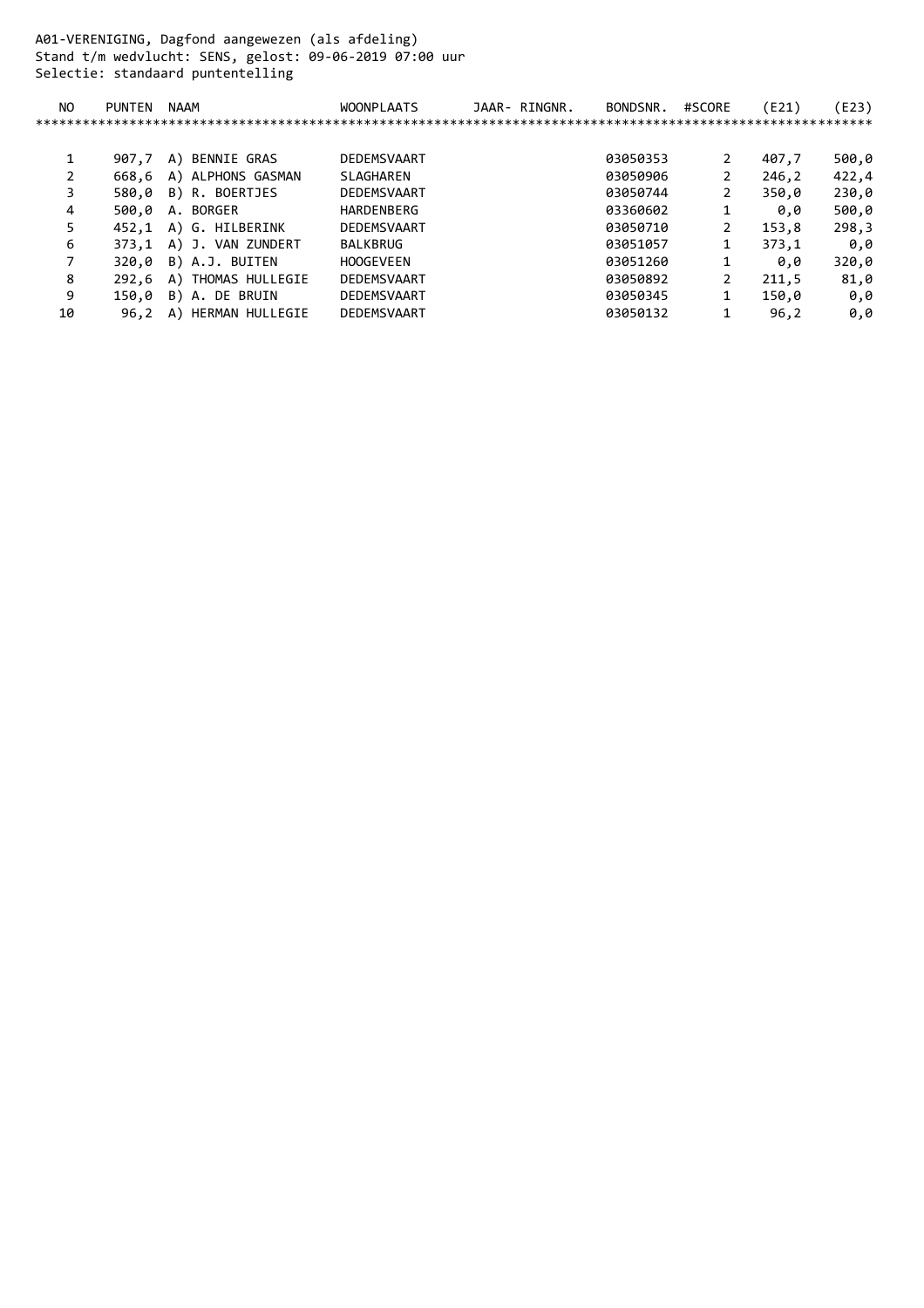A01-VERENIGING, Dagfond aangewezen (als afdeling) Stand t/m wedvlucht: SENS, gelost: 09-06-2019 07:00 uur Selectie: standaard puntentelling

| <b>PUNTEN</b> | <b>NAAM</b>           | <b>WOONPLAATS</b> | JAAR- RINGNR. | BONDSNR. | #SCORE         | (E21) | (E23) |
|---------------|-----------------------|-------------------|---------------|----------|----------------|-------|-------|
|               |                       |                   |               |          |                |       |       |
|               |                       |                   |               |          |                |       |       |
| 907.7         | A) BENNIE GRAS        | DEDEMSVAART       |               | 03050353 | 2              | 407,7 | 500,0 |
| 668,6         | A) ALPHONS GASMAN     | SLAGHAREN         |               | 03050906 | 2              | 246,2 | 422,4 |
| 580.0         | B) R. BOERTJES        | DEDEMSVAART       |               | 03050744 | 2              | 350.0 | 230,0 |
| 500.0         | A. BORGER             | HARDENBERG        |               | 03360602 |                | 0.0   | 500,0 |
| 452.1         | A) G. HILBERINK       | DEDEMSVAART       |               | 03050710 | 2              | 153,8 | 298,3 |
| 373.1         | A) J. VAN ZUNDERT     | <b>BALKBRUG</b>   |               | 03051057 | 1              | 373.1 | 0.0   |
| 320.0         | B) A.J. BUITEN        | <b>HOOGEVEEN</b>  |               | 03051260 | 1              | 0.0   | 320,0 |
| 292.6         | A) THOMAS HULLEGIE    | DEDEMSVAART       |               | 03050892 | $\overline{2}$ | 211,5 | 81,0  |
| 150.0         | B) A. DE BRUIN        | DEDEMSVAART       |               | 03050345 | 1              | 150,0 | 0.0   |
| 96.2          | HERMAN HULLEGIE<br>A) | DEDEMSVAART       |               | 03050132 |                | 96,2  | 0.0   |
|               |                       |                   |               |          |                |       |       |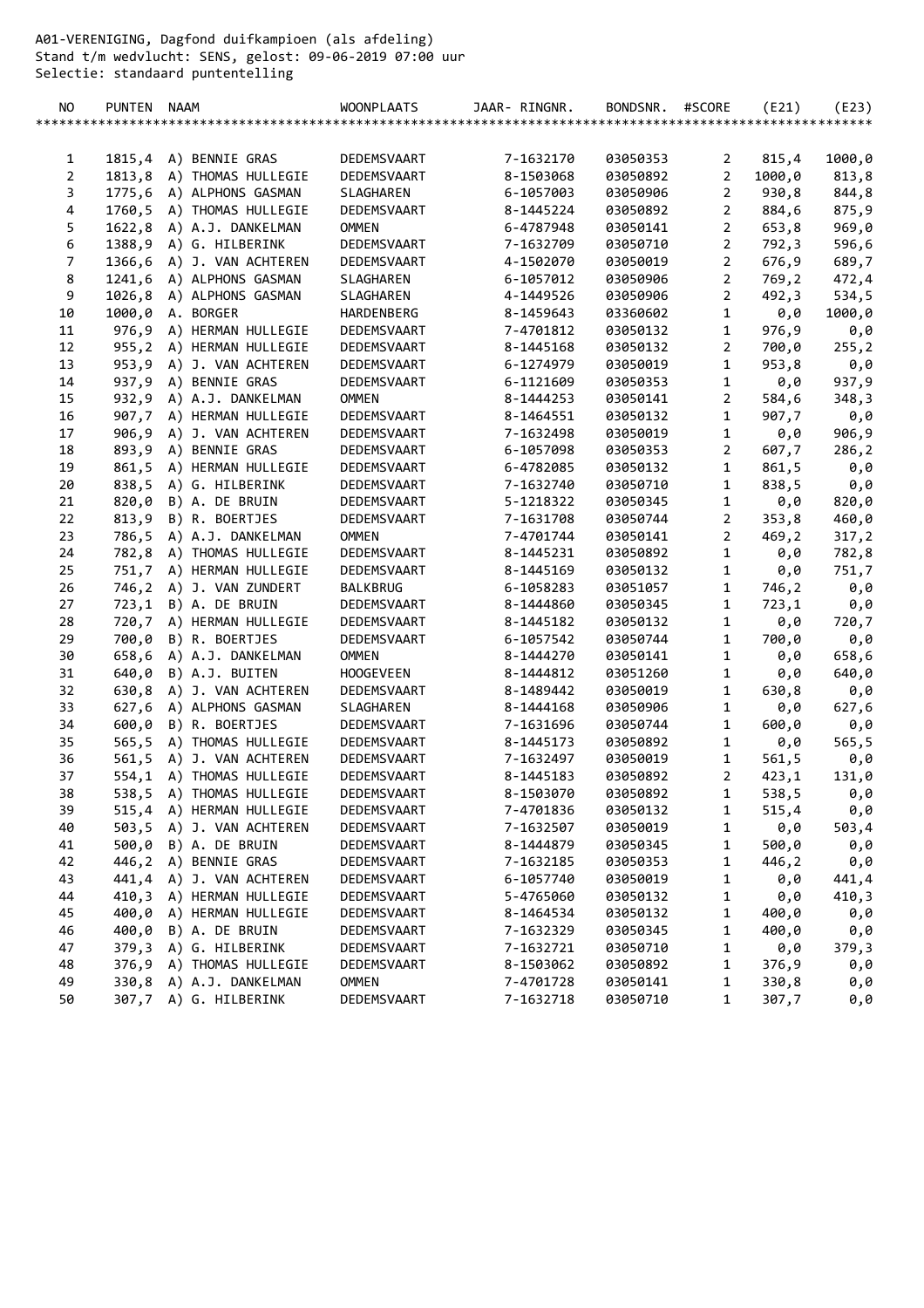A01-VERENIGING, Dagfond duifkampioen (als afdeling) Stand t/m wedvlucht: SENS, gelost: 09-06-2019 07:00 uur Selectie: standaard puntentelling

| NO.            | PUNTEN NAAM |                           | <b>WOONPLAATS</b> | JAAR- RINGNR. | BONDSNR. | #SCORE         | (E21)  | (E23)  |
|----------------|-------------|---------------------------|-------------------|---------------|----------|----------------|--------|--------|
|                |             |                           |                   |               |          |                |        |        |
|                |             |                           |                   |               |          |                |        |        |
| 1              | 1815,4      | A) BENNIE GRAS            | DEDEMSVAART       | 7-1632170     | 03050353 | 2              | 815,4  | 1000,0 |
| $\overline{2}$ | 1813,8      | A) THOMAS HULLEGIE        | DEDEMSVAART       | 8-1503068     | 03050892 | $\overline{2}$ | 1000,0 | 813,8  |
| 3              |             | 1775,6 A) ALPHONS GASMAN  | SLAGHAREN         | 6-1057003     | 03050906 | $\overline{2}$ | 930,8  | 844,8  |
| 4              |             | 1760,5 A) THOMAS HULLEGIE | DEDEMSVAART       | 8-1445224     | 03050892 | $\overline{2}$ | 884,6  | 875,9  |
| 5              |             | 1622,8 A) A.J. DANKELMAN  | <b>OMMEN</b>      | 6-4787948     | 03050141 | $\overline{2}$ | 653,8  | 969,0  |
| 6              |             | 1388,9 A) G. HILBERINK    | DEDEMSVAART       | 7-1632709     | 03050710 | $\overline{2}$ | 792,3  | 596,6  |
| $\overline{7}$ |             | 1366,6 A) J. VAN ACHTEREN | DEDEMSVAART       | 4-1502070     | 03050019 | $\overline{2}$ | 676,9  | 689,7  |
| $\bf 8$        | 1241,6      | A) ALPHONS GASMAN         | SLAGHAREN         | 6-1057012     | 03050906 | $\overline{2}$ | 769,2  | 472,4  |
| 9              | 1026,8      | A) ALPHONS GASMAN         | SLAGHAREN         | 4-1449526     | 03050906 | $\overline{2}$ | 492,3  | 534,5  |
| 10             |             | 1000,0 A. BORGER          | HARDENBERG        | 8-1459643     | 03360602 | $\mathbf{1}$   | 0,0    | 1000,0 |
| 11             | 976,9       | A) HERMAN HULLEGIE        | DEDEMSVAART       | 7-4701812     | 03050132 | $\mathbf{1}$   | 976,9  | 0,0    |
| 12             |             | 955,2 A) HERMAN HULLEGIE  | DEDEMSVAART       | 8-1445168     | 03050132 | $\overline{2}$ | 700,0  | 255, 2 |
| 13             |             | 953,9 A) J. VAN ACHTEREN  | DEDEMSVAART       | 6-1274979     | 03050019 | 1              | 953,8  | 0,0    |
| 14             |             | 937,9 A) BENNIE GRAS      | DEDEMSVAART       | 6-1121609     | 03050353 | $\mathbf{1}$   | 0,0    | 937,9  |
| 15             |             | 932,9 A) A.J. DANKELMAN   | <b>OMMEN</b>      | 8-1444253     | 03050141 | $\overline{2}$ | 584,6  | 348,3  |
| 16             |             | 907,7 A) HERMAN HULLEGIE  | DEDEMSVAART       | 8-1464551     | 03050132 | $\mathbf{1}$   | 907,7  | 0,0    |
| 17             |             | 906,9 A) J. VAN ACHTEREN  | DEDEMSVAART       | 7-1632498     | 03050019 | $\mathbf{1}$   | 0,0    | 906,9  |
| 18             |             | 893,9 A) BENNIE GRAS      | DEDEMSVAART       | 6-1057098     | 03050353 | $\overline{2}$ | 607,7  | 286,2  |
| 19             | 861,5       | A) HERMAN HULLEGIE        | DEDEMSVAART       | 6-4782085     | 03050132 | $\mathbf 1$    | 861,5  | 0,0    |
| 20             | 838,5       | A) G. HILBERINK           | DEDEMSVAART       | 7-1632740     | 03050710 | 1              | 838,5  | 0,0    |
| 21             | 820,0       | B) A. DE BRUIN            | DEDEMSVAART       | 5-1218322     | 03050345 | $\mathbf 1$    | 0,0    | 820,0  |
| 22             |             | 813,9 B) R. BOERTJES      | DEDEMSVAART       | 7-1631708     | 03050744 | $\overline{2}$ | 353,8  | 460,0  |
| 23             |             | 786,5 A) A.J. DANKELMAN   | <b>OMMEN</b>      | 7-4701744     | 03050141 | $\overline{2}$ | 469,2  | 317,2  |
| 24             |             | 782,8 A) THOMAS HULLEGIE  | DEDEMSVAART       | 8-1445231     | 03050892 | $\mathbf 1$    | 0,0    | 782,8  |
| 25             |             | 751,7 A) HERMAN HULLEGIE  | DEDEMSVAART       | 8-1445169     | 03050132 | $\mathbf{1}$   | 0,0    | 751,7  |
| 26             |             | 746,2 A) J. VAN ZUNDERT   | BALKBRUG          | 6-1058283     | 03051057 | $\mathbf{1}$   | 746,2  | 0,0    |
| 27             |             | 723,1 B) A. DE BRUIN      | DEDEMSVAART       | 8-1444860     | 03050345 | $\mathbf{1}$   | 723,1  | 0,0    |
| 28             |             | 720,7 A) HERMAN HULLEGIE  | DEDEMSVAART       | 8-1445182     | 03050132 | $\mathbf 1$    | 0,0    | 720,7  |
| 29             | 700,0       | B) R. BOERTJES            | DEDEMSVAART       | 6-1057542     | 03050744 | $\mathbf{1}$   | 700,0  | 0,0    |
| 30             | 658,6       | A) A.J. DANKELMAN         | <b>OMMEN</b>      | 8-1444270     | 03050141 | $\mathbf{1}$   | 0,0    | 658,6  |
| 31             | 640,0       | B) A.J. BUITEN            | <b>HOOGEVEEN</b>  | 8-1444812     | 03051260 | $\mathbf{1}$   | 0,0    | 640,0  |
| 32             | 630,8       | A) J. VAN ACHTEREN        | DEDEMSVAART       | 8-1489442     | 03050019 | $\mathbf{1}$   | 630,8  | 0,0    |
| 33             | 627,6       | A) ALPHONS GASMAN         | SLAGHAREN         | 8-1444168     | 03050906 | $\mathbf{1}$   | 0,0    | 627,6  |
| 34             | 600,0       | B) R. BOERTJES            | DEDEMSVAART       | 7-1631696     | 03050744 | $\mathbf 1$    | 600,0  | 0,0    |
| 35             |             | 565,5 A) THOMAS HULLEGIE  | DEDEMSVAART       | 8-1445173     | 03050892 | $\mathbf{1}$   | 0,0    | 565,5  |
| 36             |             | 561,5 A) J. VAN ACHTEREN  | DEDEMSVAART       | 7-1632497     | 03050019 | $\mathbf{1}$   | 561, 5 | 0,0    |
| 37             |             | 554,1 A) THOMAS HULLEGIE  | DEDEMSVAART       | 8-1445183     | 03050892 | $\overline{2}$ | 423,1  | 131,0  |
| 38             |             | 538,5 A) THOMAS HULLEGIE  | DEDEMSVAART       | 8-1503070     | 03050892 | 1              | 538,5  | 0,0    |
| 39             |             | 515,4 A) HERMAN HULLEGIE  | DEDEMSVAART       | 7-4701836     | 03050132 | 1              | 515,4  | 0,0    |
| 40             |             | 503,5 A) J. VAN ACHTEREN  | DEDEMSVAART       | 7-1632507     | 03050019 | $\mathbf{1}$   | 0,0    | 503,4  |
| 41             |             | 500,0 B) A. DE BRUIN      | DEDEMSVAART       | 8-1444879     | 03050345 | $\mathbf{1}$   | 500,0  | 0,0    |
| 42             |             | 446,2 A) BENNIE GRAS      | DEDEMSVAART       | 7-1632185     | 03050353 | 1              | 446,2  | 0,0    |
| 43             |             | 441,4 A) J. VAN ACHTEREN  | DEDEMSVAART       | 6-1057740     | 03050019 | 1              | 0,0    | 441,4  |
| 44             | 410,3       | A) HERMAN HULLEGIE        | DEDEMSVAART       | 5-4765060     | 03050132 | 1              | 0,0    | 410,3  |
| 45             |             | 400,0 A) HERMAN HULLEGIE  | DEDEMSVAART       | 8-1464534     | 03050132 | 1              | 400,0  | 0,0    |
| 46             | 400,0       | B) A. DE BRUIN            | DEDEMSVAART       | 7-1632329     | 03050345 | $\mathbf{1}$   | 400,0  | 0,0    |
| 47             |             | 379,3 A) G. HILBERINK     | DEDEMSVAART       | 7-1632721     | 03050710 | $\mathbf{1}$   | 0,0    | 379,3  |
| 48             |             | 376,9 A) THOMAS HULLEGIE  | DEDEMSVAART       | 8-1503062     | 03050892 | 1              | 376,9  | 0,0    |
| 49             |             | 330,8 A) A.J. DANKELMAN   | <b>OMMEN</b>      | 7-4701728     | 03050141 | 1              | 330,8  | 0,0    |
| 50             |             | 307,7 A) G. HILBERINK     | DEDEMSVAART       | 7-1632718     | 03050710 | 1              | 307,7  | 0,0    |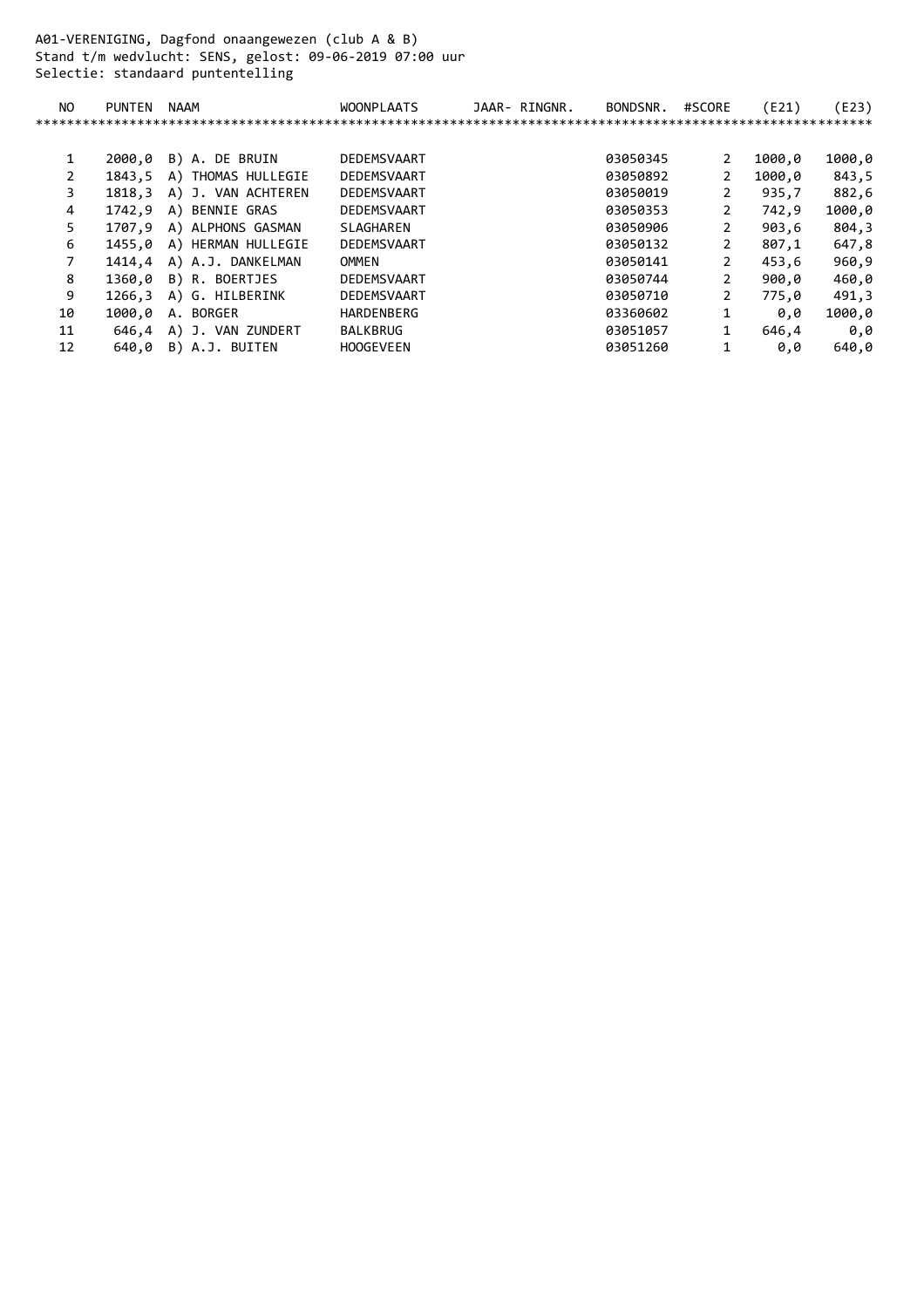A01-VERENIGING, Dagfond onaangewezen (club A & B) Stand t/m wedvlucht: SENS, gelost: 09-06-2019 07:00 uur Selectie: standaard puntentelling

| NO | <b>PUNTEN</b> | NAAM               | <b>WOONPLAATS</b> | JAAR- RINGNR. | BONDSNR. | #SCORE         | (E21)  | (E23)  |
|----|---------------|--------------------|-------------------|---------------|----------|----------------|--------|--------|
|    |               |                    |                   |               |          |                |        |        |
|    |               |                    |                   |               |          |                |        |        |
|    | 2000.0        | B) A. DE BRUIN     | DEDEMSVAART       |               | 03050345 | 2              | 1000,0 | 1000,0 |
|    | 1843.5        | A) THOMAS HULLEGIE | DEDEMSVAART       |               | 03050892 | 2              | 1000,0 | 843,5  |
| 3. | 1818.3        | A) J. VAN ACHTEREN | DEDEMSVAART       |               | 03050019 | 2              | 935.7  | 882,6  |
| 4  | 1742.9        | A) BENNIE GRAS     | DEDEMSVAART       |               | 03050353 | 2              | 742,9  | 1000,0 |
| 5. | 1707.9        | A) ALPHONS GASMAN  | SLAGHAREN         |               | 03050906 | 2              | 903,6  | 804,3  |
| 6  | 1455.0        | A) HERMAN HULLEGIE | DEDEMSVAART       |               | 03050132 | 2              | 807,1  | 647,8  |
|    | 1414,4        | A) A.J. DANKELMAN  | OMMEN             |               | 03050141 | 2              | 453,6  | 960,9  |
| 8  | 1360.0        | B) R. BOERTJES     | DEDEMSVAART       |               | 03050744 | 2              | 900.0  | 460,0  |
| 9  | 1266.3        | A) G. HILBERINK    | DEDEMSVAART       |               | 03050710 | $\overline{2}$ | 775,0  | 491,3  |
| 10 | 1000.0        | A. BORGER          | HARDENBERG        |               | 03360602 | 1              | 0.0    | 1000,0 |
| 11 | 646.4         | A) J. VAN ZUNDERT  | <b>BALKBRUG</b>   |               | 03051057 | 1              | 646,4  | 0,0    |
| 12 | 640.0         | B) A.J. BUITEN     | <b>HOOGEVEEN</b>  |               | 03051260 |                | 0,0    | 640,0  |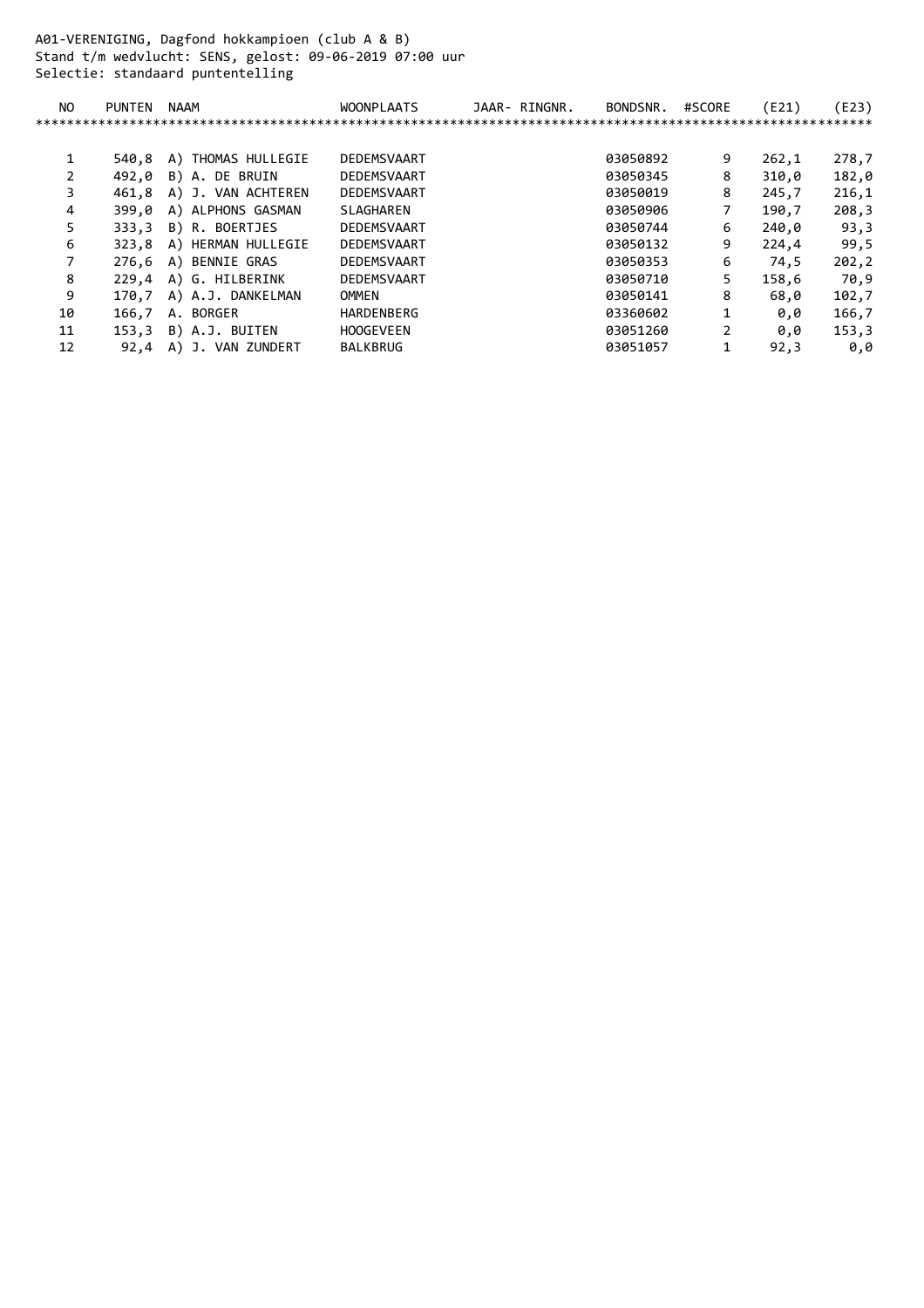A01-VERENIGING, Dagfond hokkampioen (club A & B) Stand t/m wedvlucht: SENS, gelost: 09-06-2019 07:00 uur Selectie: standaard puntentelling

| NO. | PUNTEN | NAAM                     | <b>WOONPLAATS</b>       | JAAR- RINGNR. | BONDSNR. | #SCORE         | (E21) | (E23) |
|-----|--------|--------------------------|-------------------------|---------------|----------|----------------|-------|-------|
|     |        |                          | *********************** |               |          |                |       |       |
|     |        |                          |                         |               |          |                |       |       |
|     | 540.8  | A) THOMAS HULLEGIE       | DEDEMSVAART             |               | 03050892 | 9              | 262,1 | 278,7 |
| 2   | 492.0  | B) A. DE BRUIN           | DEDEMSVAART             |               | 03050345 | 8              | 310,0 | 182,0 |
| 3   | 461.8  | A) J. VAN ACHTEREN       | DEDEMSVAART             |               | 03050019 | 8              | 245,7 | 216,1 |
| 4   | 399.0  | A) ALPHONS GASMAN        | SLAGHAREN               |               | 03050906 | 7              | 190,7 | 208,3 |
| 5   | 333.3  | B) R. BOERTJES           | DEDEMSVAART             |               | 03050744 | 6              | 240,0 | 93,3  |
| 6   |        | 323,8 A) HERMAN HULLEGIE | DEDEMSVAART             |               | 03050132 | 9              | 224,4 | 99,5  |
|     |        | 276,6 A) BENNIE GRAS     | DEDEMSVAART             |               | 03050353 | 6              | 74,5  | 202,2 |
| 8   |        | 229,4 A) G. HILBERINK    | DEDEMSVAART             |               | 03050710 | 5              | 158,6 | 70,9  |
| 9   | 170.7  | A) A.J. DANKELMAN        | OMMEN                   |               | 03050141 | 8              | 68,0  | 102,7 |
| 10  | 166,7  | A. BORGER                | HARDENBERG              |               | 03360602 |                | 0.0   | 166,7 |
| 11  | 153,3  | B) A.J. BUITEN           | <b>HOOGEVEEN</b>        |               | 03051260 | $\overline{2}$ | 0.0   | 153,3 |
| 12  | 92,4   | A) J. VAN ZUNDERT        | <b>BALKBRUG</b>         |               | 03051057 | 1              | 92,3  | 0,0   |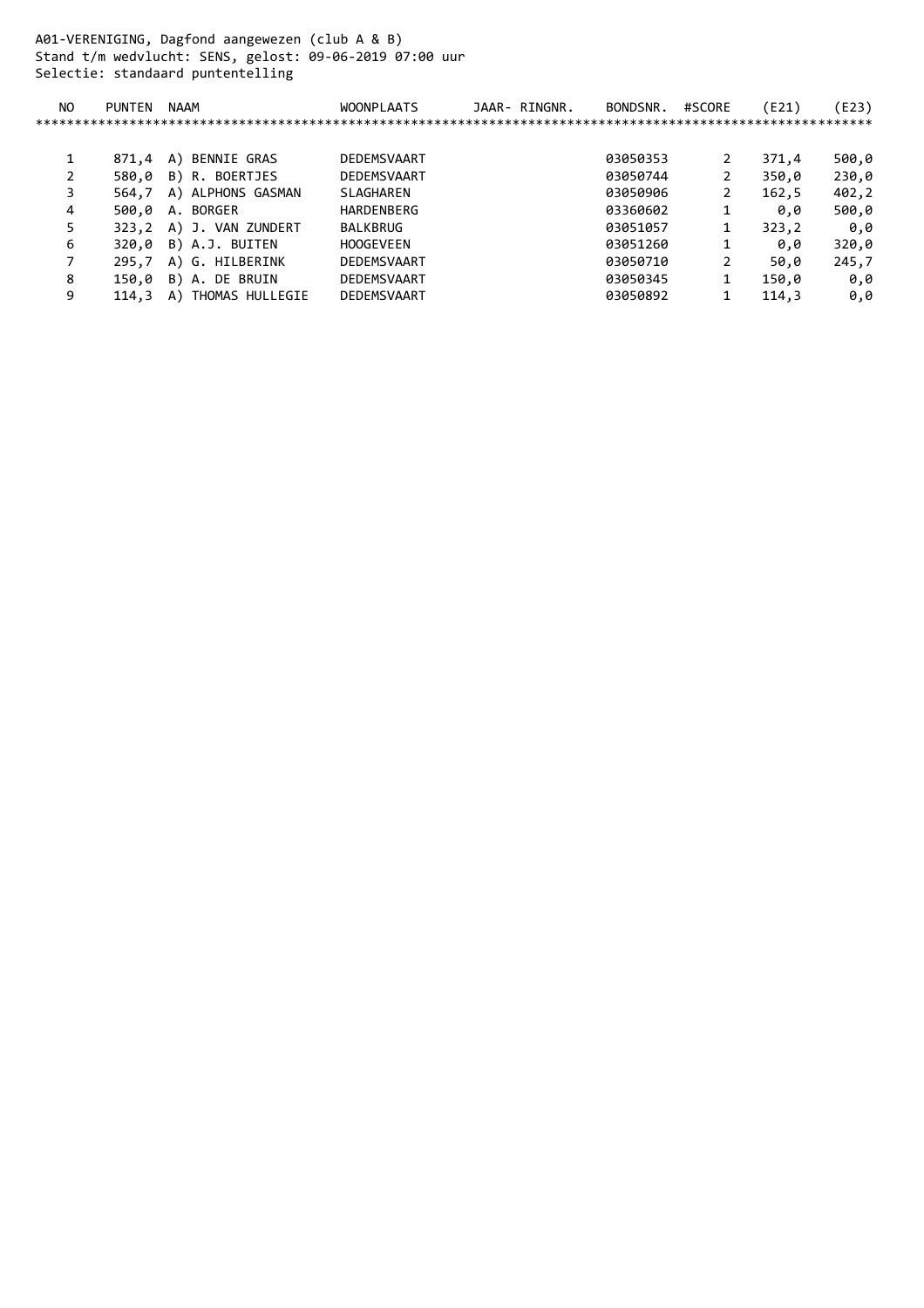A01-VERENIGING, Dagfond aangewezen (club A & B) Stand t/m wedvlucht: SENS, gelost: 09-06-2019 07:00 uur Selectie: standaard puntentelling

| NO. | <b>PUNTEN</b> | NAAM               | <b>WOONPLAATS</b> | JAAR- RINGNR. | BONDSNR. | #SCORE | (E21) | E23)  |
|-----|---------------|--------------------|-------------------|---------------|----------|--------|-------|-------|
|     |               |                    |                   |               |          |        |       |       |
|     |               |                    |                   |               |          |        |       |       |
| 1   | 871.4         | BENNIE GRAS<br>A)  | DEDEMSVAART       |               | 03050353 | 2      | 371,4 | 500,0 |
|     | 580.0         | B) R. BOERTJES     | DEDEMSVAART       |               | 03050744 | 2      | 350,0 | 230,0 |
| 3   | 564.7         | A) ALPHONS GASMAN  | SLAGHAREN         |               | 03050906 | 2      | 162,5 | 402,2 |
| 4   | 500.0         | A. BORGER          | HARDENBERG        |               | 03360602 |        | 0.0   | 500,0 |
| 5   | 323.2         | A) J. VAN ZUNDERT  | <b>BALKBRUG</b>   |               | 03051057 | 1      | 323,2 | 0,0   |
| 6   | 320.0         | B) A.J. BUITEN     | <b>HOOGEVEEN</b>  |               | 03051260 |        | 0.0   | 320,0 |
|     | 295.7         | A) G. HILBERINK    | DEDEMSVAART       |               | 03050710 | 2      | 50,0  | 245,7 |
| 8   | 150.0         | B) A. DE BRUIN     | DEDEMSVAART       |               | 03050345 | 1      | 150,0 | 0.0   |
| 9   | 114.3         | A) THOMAS HULLEGIE | DEDEMSVAART       |               | 03050892 | 1      | 114.3 | 0,0   |
|     |               |                    |                   |               |          |        |       |       |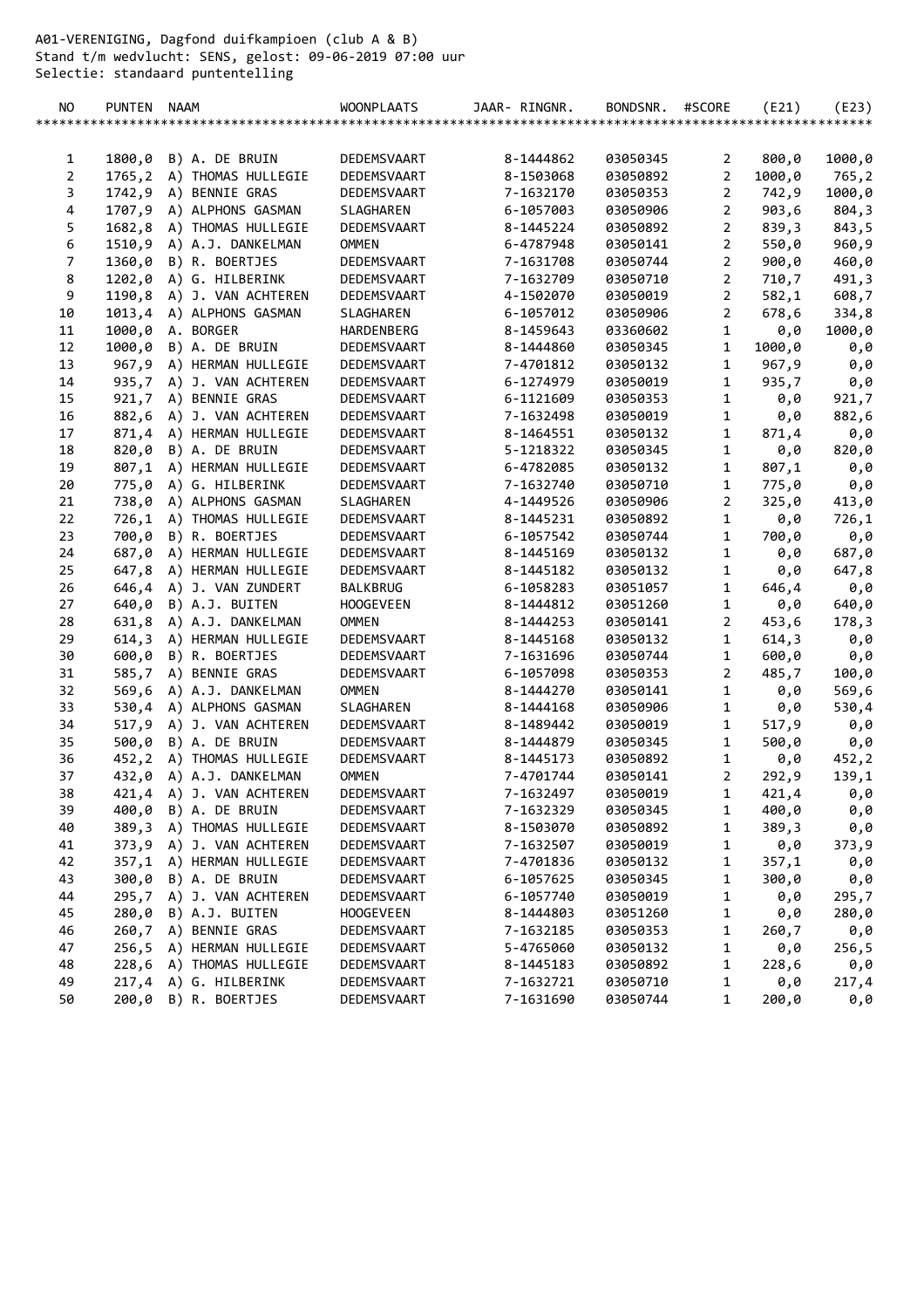A01-VERENIGING, Dagfond duifkampioen (club A & B) Stand t/m wedvlucht: SENS, gelost: 09-06-2019 07:00 uur Selectie: standaard puntentelling

| 1800,0<br>B) A. DE BRUIN<br>DEDEMSVAART<br>8-1444862<br>03050345<br>800,0<br>1000,0<br>2<br>1<br>$\overline{a}$<br>1765,2<br>A) THOMAS HULLEGIE<br>DEDEMSVAART<br>8-1503068<br>03050892<br>2<br>1000,0<br>765,2<br>$\overline{2}$<br>3<br>1742,9<br>A) BENNIE GRAS<br>7-1632170<br>1000,0<br>DEDEMSVAART<br>03050353<br>742,9<br>$\overline{2}$<br>4<br>1707,9<br>A) ALPHONS GASMAN<br>6-1057003<br>903,6<br>SLAGHAREN<br>03050906<br>804,3<br>$\overline{2}$<br>5<br>1682,8 A) THOMAS HULLEGIE<br>8-1445224<br>839,3<br>DEDEMSVAART<br>03050892<br>843,5<br>6<br>1510,9 A) A.J. DANKELMAN<br>$\overline{2}$<br><b>OMMEN</b><br>6-4787948<br>550,0<br>960,9<br>03050141<br>$\overline{7}$<br>$\overline{2}$<br>1360,0<br>B) R. BOERTJES<br>7-1631708<br>03050744<br>900, 0<br>DEDEMSVAART<br>460,0<br>8<br>$\overline{2}$<br>1202,0<br>A) G. HILBERINK<br>DEDEMSVAART<br>7-1632709<br>03050710<br>710,7<br>491,3<br>9<br>$\overline{2}$<br>1190,8<br>A) J. VAN ACHTEREN<br>DEDEMSVAART<br>4-1502070<br>03050019<br>582,1<br>608,7<br>$\overline{2}$<br>10<br>1013,4<br>A) ALPHONS GASMAN<br>SLAGHAREN<br>6-1057012<br>03050906<br>678,6<br>334,8<br>$\mathbf 1$<br>11<br>1000,0<br>A. BORGER<br>HARDENBERG<br>8-1459643<br>03360602<br>1000,0<br>0,0<br>$\mathbf{1}$<br>12<br>1000,0<br>B) A. DE BRUIN<br>DEDEMSVAART<br>8-1444860<br>03050345<br>1000,0<br>0,0<br>13<br>967,9<br>$\mathbf{1}$<br>A) HERMAN HULLEGIE<br>DEDEMSVAART<br>7-4701812<br>03050132<br>967,9<br>0,0<br>$\mathbf{1}$<br>14<br>935,7 A) J. VAN ACHTEREN<br>DEDEMSVAART<br>6-1274979<br>03050019<br>935,7<br>0,0<br>1<br>15<br>921,7<br>A) BENNIE GRAS<br>6-1121609<br>DEDEMSVAART<br>03050353<br>0,0<br>921,7<br>16<br>$\mathbf{1}$<br>882,6 A) J. VAN ACHTEREN<br>7-1632498<br>882,6<br>DEDEMSVAART<br>03050019<br>0,0<br>$\mathbf{1}$<br>17<br>871,4 A) HERMAN HULLEGIE<br>DEDEMSVAART<br>8-1464551<br>871,4<br>03050132<br>0,0<br>$\mathbf{1}$<br>18<br>820,0 B) A. DE BRUIN<br>5-1218322<br>DEDEMSVAART<br>03050345<br>0,0<br>820,0<br>19<br>$\mathbf{1}$<br>807,1<br>A) HERMAN HULLEGIE<br>DEDEMSVAART<br>6-4782085<br>807,1<br>03050132<br>0,0<br>$\mathbf{1}$<br>20<br>775,0 A) G. HILBERINK<br>DEDEMSVAART<br>7-1632740<br>03050710<br>775,0<br>0,0<br>$\overline{2}$<br>21<br>738,0<br>A) ALPHONS GASMAN<br>SLAGHAREN<br>4-1449526<br>03050906<br>413,0<br>325,0<br>22<br>$\mathbf{1}$<br>726,1<br>A) THOMAS HULLEGIE<br>DEDEMSVAART<br>8-1445231<br>03050892<br>0,0<br>726,1<br>23<br>$\mathbf{1}$<br>700,0<br>B) R. BOERTJES<br>700,0<br>DEDEMSVAART<br>6-1057542<br>03050744<br>0,0<br>$\mathbf{1}$<br>24<br>687,0 A) HERMAN HULLEGIE<br>8-1445169<br>DEDEMSVAART<br>03050132<br>0,0<br>687,0<br>25<br>647,8<br>A) HERMAN HULLEGIE<br>DEDEMSVAART<br>8-1445182<br>1<br>0,0<br>03050132<br>647,8<br>$\mathbf{1}$<br>26<br>646,4<br>A) J. VAN ZUNDERT<br><b>BALKBRUG</b><br>6-1058283<br>03051057<br>646,4<br>0,0<br>$\mathbf{1}$<br>27<br>640,0<br>B) A.J. BUITEN<br><b>HOOGEVEEN</b><br>8-1444812<br>03051260<br>640,0<br>0,0<br>28<br>631,8<br>A) A.J. DANKELMAN<br><b>OMMEN</b><br>8-1444253<br>$\overline{2}$<br>03050141<br>453,6<br>178,3<br>$\mathbf{1}$<br>29<br>614,3<br>A) HERMAN HULLEGIE<br>8-1445168<br>614,3<br>DEDEMSVAART<br>03050132<br>0,0<br>$\mathbf{1}$<br>30<br>600,0<br>B) R. BOERTJES<br>DEDEMSVAART<br>7-1631696<br>03050744<br>600,0<br>0,0<br>2<br>31<br>585,7 A) BENNIE GRAS<br>485,7<br>DEDEMSVAART<br>6-1057098<br>03050353<br>100,0<br>$\mathbf{1}$<br>32<br>569,6<br>A) A.J. DANKELMAN<br><b>OMMEN</b><br>8-1444270<br>03050141<br>0,0<br>569,6<br>33<br>1<br>A) ALPHONS GASMAN<br>SLAGHAREN<br>8-1444168<br>03050906<br>0,0<br>530,4<br>530,4<br>34<br>A) J. VAN ACHTEREN<br>1<br>517,9<br>DEDEMSVAART<br>8-1489442<br>03050019<br>517,9<br>0,0<br>35<br>$\mathbf{1}$<br>500,0<br>B) A. DE BRUIN<br>8-1444879<br>500,0<br>0,0<br>DEDEMSVAART<br>03050345<br>$\mathbf 1$<br>36<br>452,2 A) THOMAS HULLEGIE<br>DEDEMSVAART<br>8-1445173<br>03050892<br>0,0<br>452,2<br>37<br>2<br>432,0 A) A.J. DANKELMAN<br><b>OMMEN</b><br>7-4701744<br>292,9<br>139,1<br>03050141<br>38<br>421,4 A) J. VAN ACHTEREN<br>DEDEMSVAART<br>7-1632497<br>03050019<br>421,4<br>1<br>0,0<br>400,0 B) A. DE BRUIN<br>39<br>DEDEMSVAART<br>400,0<br>7-1632329<br>03050345<br>1<br>0,0<br>389,3 A) THOMAS HULLEGIE<br>40<br>DEDEMSVAART<br>8-1503070<br>03050892<br>$\mathbf{1}$<br>389,3<br>0,0<br>41<br>373,9 A) J. VAN ACHTEREN<br>1<br>DEDEMSVAART<br>7-1632507<br>373,9<br>03050019<br>0,0<br>42<br>357,1 A) HERMAN HULLEGIE<br>1<br>DEDEMSVAART<br>7-4701836<br>357,1<br>03050132<br>0,0<br>43<br>1<br>300,0 B) A. DE BRUIN<br>6-1057625<br>300,0<br>0,0<br>DEDEMSVAART<br>03050345<br>44<br>295,7 A) J. VAN ACHTEREN<br>1<br>6-1057740<br>0,0<br>295,7<br>DEDEMSVAART<br>03050019<br>1<br>45<br>280,0 B) A.J. BUITEN<br>03051260<br><b>HOOGEVEEN</b><br>8-1444803<br>0,0<br>280,0<br>260,7 A) BENNIE GRAS<br>1<br>46<br>DEDEMSVAART<br>7-1632185<br>03050353<br>260,7<br>0,0<br>47<br>256,5 A) HERMAN HULLEGIE<br>1<br>DEDEMSVAART<br>5-4765060<br>03050132<br>0,0<br>256,5<br>$\mathbf 1$<br>48<br>228,6 A) THOMAS HULLEGIE<br>228,6<br>DEDEMSVAART<br>8-1445183<br>03050892<br>0,0<br>49<br>217,4 A) G. HILBERINK<br>1<br>DEDEMSVAART<br>7-1632721<br>03050710<br>0,0<br>217,4<br>50<br>200,0 B) R. BOERTJES<br>1<br>DEDEMSVAART<br>7-1631690<br>03050744<br>200,0<br>0,0 | NO. | PUNTEN NAAM |  | <b>WOONPLAATS</b> | JAAR- RINGNR. | BONDSNR. | #SCORE | (E21) | (E23) |
|-----------------------------------------------------------------------------------------------------------------------------------------------------------------------------------------------------------------------------------------------------------------------------------------------------------------------------------------------------------------------------------------------------------------------------------------------------------------------------------------------------------------------------------------------------------------------------------------------------------------------------------------------------------------------------------------------------------------------------------------------------------------------------------------------------------------------------------------------------------------------------------------------------------------------------------------------------------------------------------------------------------------------------------------------------------------------------------------------------------------------------------------------------------------------------------------------------------------------------------------------------------------------------------------------------------------------------------------------------------------------------------------------------------------------------------------------------------------------------------------------------------------------------------------------------------------------------------------------------------------------------------------------------------------------------------------------------------------------------------------------------------------------------------------------------------------------------------------------------------------------------------------------------------------------------------------------------------------------------------------------------------------------------------------------------------------------------------------------------------------------------------------------------------------------------------------------------------------------------------------------------------------------------------------------------------------------------------------------------------------------------------------------------------------------------------------------------------------------------------------------------------------------------------------------------------------------------------------------------------------------------------------------------------------------------------------------------------------------------------------------------------------------------------------------------------------------------------------------------------------------------------------------------------------------------------------------------------------------------------------------------------------------------------------------------------------------------------------------------------------------------------------------------------------------------------------------------------------------------------------------------------------------------------------------------------------------------------------------------------------------------------------------------------------------------------------------------------------------------------------------------------------------------------------------------------------------------------------------------------------------------------------------------------------------------------------------------------------------------------------------------------------------------------------------------------------------------------------------------------------------------------------------------------------------------------------------------------------------------------------------------------------------------------------------------------------------------------------------------------------------------------------------------------------------------------------------------------------------------------------------------------------------------------------------------------------------------------------------------------------------------------------------------------------------------------------------------------------------------------------------------------------------------------------------------------------------------------------------------------------------------------------------------------------------------------------------------------------------------------------------------------------------------------------------------------------------------------------------------------------------------------------------------------------------------------------------------------------------------------------------------------------------------------------------------------------------------------------------------------------------------------------------------------------------------------------------------------------------------------------------------------------------------------------------------------------------------------------------------------------------------|-----|-------------|--|-------------------|---------------|----------|--------|-------|-------|
|                                                                                                                                                                                                                                                                                                                                                                                                                                                                                                                                                                                                                                                                                                                                                                                                                                                                                                                                                                                                                                                                                                                                                                                                                                                                                                                                                                                                                                                                                                                                                                                                                                                                                                                                                                                                                                                                                                                                                                                                                                                                                                                                                                                                                                                                                                                                                                                                                                                                                                                                                                                                                                                                                                                                                                                                                                                                                                                                                                                                                                                                                                                                                                                                                                                                                                                                                                                                                                                                                                                                                                                                                                                                                                                                                                                                                                                                                                                                                                                                                                                                                                                                                                                                                                                                                                                                                                                                                                                                                                                                                                                                                                                                                                                                                                                                                                                                                                                                                                                                                                                                                                                                                                                                                                                                                                                                                                             |     |             |  |                   |               |          |        |       |       |
|                                                                                                                                                                                                                                                                                                                                                                                                                                                                                                                                                                                                                                                                                                                                                                                                                                                                                                                                                                                                                                                                                                                                                                                                                                                                                                                                                                                                                                                                                                                                                                                                                                                                                                                                                                                                                                                                                                                                                                                                                                                                                                                                                                                                                                                                                                                                                                                                                                                                                                                                                                                                                                                                                                                                                                                                                                                                                                                                                                                                                                                                                                                                                                                                                                                                                                                                                                                                                                                                                                                                                                                                                                                                                                                                                                                                                                                                                                                                                                                                                                                                                                                                                                                                                                                                                                                                                                                                                                                                                                                                                                                                                                                                                                                                                                                                                                                                                                                                                                                                                                                                                                                                                                                                                                                                                                                                                                             |     |             |  |                   |               |          |        |       |       |
|                                                                                                                                                                                                                                                                                                                                                                                                                                                                                                                                                                                                                                                                                                                                                                                                                                                                                                                                                                                                                                                                                                                                                                                                                                                                                                                                                                                                                                                                                                                                                                                                                                                                                                                                                                                                                                                                                                                                                                                                                                                                                                                                                                                                                                                                                                                                                                                                                                                                                                                                                                                                                                                                                                                                                                                                                                                                                                                                                                                                                                                                                                                                                                                                                                                                                                                                                                                                                                                                                                                                                                                                                                                                                                                                                                                                                                                                                                                                                                                                                                                                                                                                                                                                                                                                                                                                                                                                                                                                                                                                                                                                                                                                                                                                                                                                                                                                                                                                                                                                                                                                                                                                                                                                                                                                                                                                                                             |     |             |  |                   |               |          |        |       |       |
|                                                                                                                                                                                                                                                                                                                                                                                                                                                                                                                                                                                                                                                                                                                                                                                                                                                                                                                                                                                                                                                                                                                                                                                                                                                                                                                                                                                                                                                                                                                                                                                                                                                                                                                                                                                                                                                                                                                                                                                                                                                                                                                                                                                                                                                                                                                                                                                                                                                                                                                                                                                                                                                                                                                                                                                                                                                                                                                                                                                                                                                                                                                                                                                                                                                                                                                                                                                                                                                                                                                                                                                                                                                                                                                                                                                                                                                                                                                                                                                                                                                                                                                                                                                                                                                                                                                                                                                                                                                                                                                                                                                                                                                                                                                                                                                                                                                                                                                                                                                                                                                                                                                                                                                                                                                                                                                                                                             |     |             |  |                   |               |          |        |       |       |
|                                                                                                                                                                                                                                                                                                                                                                                                                                                                                                                                                                                                                                                                                                                                                                                                                                                                                                                                                                                                                                                                                                                                                                                                                                                                                                                                                                                                                                                                                                                                                                                                                                                                                                                                                                                                                                                                                                                                                                                                                                                                                                                                                                                                                                                                                                                                                                                                                                                                                                                                                                                                                                                                                                                                                                                                                                                                                                                                                                                                                                                                                                                                                                                                                                                                                                                                                                                                                                                                                                                                                                                                                                                                                                                                                                                                                                                                                                                                                                                                                                                                                                                                                                                                                                                                                                                                                                                                                                                                                                                                                                                                                                                                                                                                                                                                                                                                                                                                                                                                                                                                                                                                                                                                                                                                                                                                                                             |     |             |  |                   |               |          |        |       |       |
|                                                                                                                                                                                                                                                                                                                                                                                                                                                                                                                                                                                                                                                                                                                                                                                                                                                                                                                                                                                                                                                                                                                                                                                                                                                                                                                                                                                                                                                                                                                                                                                                                                                                                                                                                                                                                                                                                                                                                                                                                                                                                                                                                                                                                                                                                                                                                                                                                                                                                                                                                                                                                                                                                                                                                                                                                                                                                                                                                                                                                                                                                                                                                                                                                                                                                                                                                                                                                                                                                                                                                                                                                                                                                                                                                                                                                                                                                                                                                                                                                                                                                                                                                                                                                                                                                                                                                                                                                                                                                                                                                                                                                                                                                                                                                                                                                                                                                                                                                                                                                                                                                                                                                                                                                                                                                                                                                                             |     |             |  |                   |               |          |        |       |       |
|                                                                                                                                                                                                                                                                                                                                                                                                                                                                                                                                                                                                                                                                                                                                                                                                                                                                                                                                                                                                                                                                                                                                                                                                                                                                                                                                                                                                                                                                                                                                                                                                                                                                                                                                                                                                                                                                                                                                                                                                                                                                                                                                                                                                                                                                                                                                                                                                                                                                                                                                                                                                                                                                                                                                                                                                                                                                                                                                                                                                                                                                                                                                                                                                                                                                                                                                                                                                                                                                                                                                                                                                                                                                                                                                                                                                                                                                                                                                                                                                                                                                                                                                                                                                                                                                                                                                                                                                                                                                                                                                                                                                                                                                                                                                                                                                                                                                                                                                                                                                                                                                                                                                                                                                                                                                                                                                                                             |     |             |  |                   |               |          |        |       |       |
|                                                                                                                                                                                                                                                                                                                                                                                                                                                                                                                                                                                                                                                                                                                                                                                                                                                                                                                                                                                                                                                                                                                                                                                                                                                                                                                                                                                                                                                                                                                                                                                                                                                                                                                                                                                                                                                                                                                                                                                                                                                                                                                                                                                                                                                                                                                                                                                                                                                                                                                                                                                                                                                                                                                                                                                                                                                                                                                                                                                                                                                                                                                                                                                                                                                                                                                                                                                                                                                                                                                                                                                                                                                                                                                                                                                                                                                                                                                                                                                                                                                                                                                                                                                                                                                                                                                                                                                                                                                                                                                                                                                                                                                                                                                                                                                                                                                                                                                                                                                                                                                                                                                                                                                                                                                                                                                                                                             |     |             |  |                   |               |          |        |       |       |
|                                                                                                                                                                                                                                                                                                                                                                                                                                                                                                                                                                                                                                                                                                                                                                                                                                                                                                                                                                                                                                                                                                                                                                                                                                                                                                                                                                                                                                                                                                                                                                                                                                                                                                                                                                                                                                                                                                                                                                                                                                                                                                                                                                                                                                                                                                                                                                                                                                                                                                                                                                                                                                                                                                                                                                                                                                                                                                                                                                                                                                                                                                                                                                                                                                                                                                                                                                                                                                                                                                                                                                                                                                                                                                                                                                                                                                                                                                                                                                                                                                                                                                                                                                                                                                                                                                                                                                                                                                                                                                                                                                                                                                                                                                                                                                                                                                                                                                                                                                                                                                                                                                                                                                                                                                                                                                                                                                             |     |             |  |                   |               |          |        |       |       |
|                                                                                                                                                                                                                                                                                                                                                                                                                                                                                                                                                                                                                                                                                                                                                                                                                                                                                                                                                                                                                                                                                                                                                                                                                                                                                                                                                                                                                                                                                                                                                                                                                                                                                                                                                                                                                                                                                                                                                                                                                                                                                                                                                                                                                                                                                                                                                                                                                                                                                                                                                                                                                                                                                                                                                                                                                                                                                                                                                                                                                                                                                                                                                                                                                                                                                                                                                                                                                                                                                                                                                                                                                                                                                                                                                                                                                                                                                                                                                                                                                                                                                                                                                                                                                                                                                                                                                                                                                                                                                                                                                                                                                                                                                                                                                                                                                                                                                                                                                                                                                                                                                                                                                                                                                                                                                                                                                                             |     |             |  |                   |               |          |        |       |       |
|                                                                                                                                                                                                                                                                                                                                                                                                                                                                                                                                                                                                                                                                                                                                                                                                                                                                                                                                                                                                                                                                                                                                                                                                                                                                                                                                                                                                                                                                                                                                                                                                                                                                                                                                                                                                                                                                                                                                                                                                                                                                                                                                                                                                                                                                                                                                                                                                                                                                                                                                                                                                                                                                                                                                                                                                                                                                                                                                                                                                                                                                                                                                                                                                                                                                                                                                                                                                                                                                                                                                                                                                                                                                                                                                                                                                                                                                                                                                                                                                                                                                                                                                                                                                                                                                                                                                                                                                                                                                                                                                                                                                                                                                                                                                                                                                                                                                                                                                                                                                                                                                                                                                                                                                                                                                                                                                                                             |     |             |  |                   |               |          |        |       |       |
|                                                                                                                                                                                                                                                                                                                                                                                                                                                                                                                                                                                                                                                                                                                                                                                                                                                                                                                                                                                                                                                                                                                                                                                                                                                                                                                                                                                                                                                                                                                                                                                                                                                                                                                                                                                                                                                                                                                                                                                                                                                                                                                                                                                                                                                                                                                                                                                                                                                                                                                                                                                                                                                                                                                                                                                                                                                                                                                                                                                                                                                                                                                                                                                                                                                                                                                                                                                                                                                                                                                                                                                                                                                                                                                                                                                                                                                                                                                                                                                                                                                                                                                                                                                                                                                                                                                                                                                                                                                                                                                                                                                                                                                                                                                                                                                                                                                                                                                                                                                                                                                                                                                                                                                                                                                                                                                                                                             |     |             |  |                   |               |          |        |       |       |
|                                                                                                                                                                                                                                                                                                                                                                                                                                                                                                                                                                                                                                                                                                                                                                                                                                                                                                                                                                                                                                                                                                                                                                                                                                                                                                                                                                                                                                                                                                                                                                                                                                                                                                                                                                                                                                                                                                                                                                                                                                                                                                                                                                                                                                                                                                                                                                                                                                                                                                                                                                                                                                                                                                                                                                                                                                                                                                                                                                                                                                                                                                                                                                                                                                                                                                                                                                                                                                                                                                                                                                                                                                                                                                                                                                                                                                                                                                                                                                                                                                                                                                                                                                                                                                                                                                                                                                                                                                                                                                                                                                                                                                                                                                                                                                                                                                                                                                                                                                                                                                                                                                                                                                                                                                                                                                                                                                             |     |             |  |                   |               |          |        |       |       |
|                                                                                                                                                                                                                                                                                                                                                                                                                                                                                                                                                                                                                                                                                                                                                                                                                                                                                                                                                                                                                                                                                                                                                                                                                                                                                                                                                                                                                                                                                                                                                                                                                                                                                                                                                                                                                                                                                                                                                                                                                                                                                                                                                                                                                                                                                                                                                                                                                                                                                                                                                                                                                                                                                                                                                                                                                                                                                                                                                                                                                                                                                                                                                                                                                                                                                                                                                                                                                                                                                                                                                                                                                                                                                                                                                                                                                                                                                                                                                                                                                                                                                                                                                                                                                                                                                                                                                                                                                                                                                                                                                                                                                                                                                                                                                                                                                                                                                                                                                                                                                                                                                                                                                                                                                                                                                                                                                                             |     |             |  |                   |               |          |        |       |       |
|                                                                                                                                                                                                                                                                                                                                                                                                                                                                                                                                                                                                                                                                                                                                                                                                                                                                                                                                                                                                                                                                                                                                                                                                                                                                                                                                                                                                                                                                                                                                                                                                                                                                                                                                                                                                                                                                                                                                                                                                                                                                                                                                                                                                                                                                                                                                                                                                                                                                                                                                                                                                                                                                                                                                                                                                                                                                                                                                                                                                                                                                                                                                                                                                                                                                                                                                                                                                                                                                                                                                                                                                                                                                                                                                                                                                                                                                                                                                                                                                                                                                                                                                                                                                                                                                                                                                                                                                                                                                                                                                                                                                                                                                                                                                                                                                                                                                                                                                                                                                                                                                                                                                                                                                                                                                                                                                                                             |     |             |  |                   |               |          |        |       |       |
|                                                                                                                                                                                                                                                                                                                                                                                                                                                                                                                                                                                                                                                                                                                                                                                                                                                                                                                                                                                                                                                                                                                                                                                                                                                                                                                                                                                                                                                                                                                                                                                                                                                                                                                                                                                                                                                                                                                                                                                                                                                                                                                                                                                                                                                                                                                                                                                                                                                                                                                                                                                                                                                                                                                                                                                                                                                                                                                                                                                                                                                                                                                                                                                                                                                                                                                                                                                                                                                                                                                                                                                                                                                                                                                                                                                                                                                                                                                                                                                                                                                                                                                                                                                                                                                                                                                                                                                                                                                                                                                                                                                                                                                                                                                                                                                                                                                                                                                                                                                                                                                                                                                                                                                                                                                                                                                                                                             |     |             |  |                   |               |          |        |       |       |
|                                                                                                                                                                                                                                                                                                                                                                                                                                                                                                                                                                                                                                                                                                                                                                                                                                                                                                                                                                                                                                                                                                                                                                                                                                                                                                                                                                                                                                                                                                                                                                                                                                                                                                                                                                                                                                                                                                                                                                                                                                                                                                                                                                                                                                                                                                                                                                                                                                                                                                                                                                                                                                                                                                                                                                                                                                                                                                                                                                                                                                                                                                                                                                                                                                                                                                                                                                                                                                                                                                                                                                                                                                                                                                                                                                                                                                                                                                                                                                                                                                                                                                                                                                                                                                                                                                                                                                                                                                                                                                                                                                                                                                                                                                                                                                                                                                                                                                                                                                                                                                                                                                                                                                                                                                                                                                                                                                             |     |             |  |                   |               |          |        |       |       |
|                                                                                                                                                                                                                                                                                                                                                                                                                                                                                                                                                                                                                                                                                                                                                                                                                                                                                                                                                                                                                                                                                                                                                                                                                                                                                                                                                                                                                                                                                                                                                                                                                                                                                                                                                                                                                                                                                                                                                                                                                                                                                                                                                                                                                                                                                                                                                                                                                                                                                                                                                                                                                                                                                                                                                                                                                                                                                                                                                                                                                                                                                                                                                                                                                                                                                                                                                                                                                                                                                                                                                                                                                                                                                                                                                                                                                                                                                                                                                                                                                                                                                                                                                                                                                                                                                                                                                                                                                                                                                                                                                                                                                                                                                                                                                                                                                                                                                                                                                                                                                                                                                                                                                                                                                                                                                                                                                                             |     |             |  |                   |               |          |        |       |       |
|                                                                                                                                                                                                                                                                                                                                                                                                                                                                                                                                                                                                                                                                                                                                                                                                                                                                                                                                                                                                                                                                                                                                                                                                                                                                                                                                                                                                                                                                                                                                                                                                                                                                                                                                                                                                                                                                                                                                                                                                                                                                                                                                                                                                                                                                                                                                                                                                                                                                                                                                                                                                                                                                                                                                                                                                                                                                                                                                                                                                                                                                                                                                                                                                                                                                                                                                                                                                                                                                                                                                                                                                                                                                                                                                                                                                                                                                                                                                                                                                                                                                                                                                                                                                                                                                                                                                                                                                                                                                                                                                                                                                                                                                                                                                                                                                                                                                                                                                                                                                                                                                                                                                                                                                                                                                                                                                                                             |     |             |  |                   |               |          |        |       |       |
|                                                                                                                                                                                                                                                                                                                                                                                                                                                                                                                                                                                                                                                                                                                                                                                                                                                                                                                                                                                                                                                                                                                                                                                                                                                                                                                                                                                                                                                                                                                                                                                                                                                                                                                                                                                                                                                                                                                                                                                                                                                                                                                                                                                                                                                                                                                                                                                                                                                                                                                                                                                                                                                                                                                                                                                                                                                                                                                                                                                                                                                                                                                                                                                                                                                                                                                                                                                                                                                                                                                                                                                                                                                                                                                                                                                                                                                                                                                                                                                                                                                                                                                                                                                                                                                                                                                                                                                                                                                                                                                                                                                                                                                                                                                                                                                                                                                                                                                                                                                                                                                                                                                                                                                                                                                                                                                                                                             |     |             |  |                   |               |          |        |       |       |
|                                                                                                                                                                                                                                                                                                                                                                                                                                                                                                                                                                                                                                                                                                                                                                                                                                                                                                                                                                                                                                                                                                                                                                                                                                                                                                                                                                                                                                                                                                                                                                                                                                                                                                                                                                                                                                                                                                                                                                                                                                                                                                                                                                                                                                                                                                                                                                                                                                                                                                                                                                                                                                                                                                                                                                                                                                                                                                                                                                                                                                                                                                                                                                                                                                                                                                                                                                                                                                                                                                                                                                                                                                                                                                                                                                                                                                                                                                                                                                                                                                                                                                                                                                                                                                                                                                                                                                                                                                                                                                                                                                                                                                                                                                                                                                                                                                                                                                                                                                                                                                                                                                                                                                                                                                                                                                                                                                             |     |             |  |                   |               |          |        |       |       |
|                                                                                                                                                                                                                                                                                                                                                                                                                                                                                                                                                                                                                                                                                                                                                                                                                                                                                                                                                                                                                                                                                                                                                                                                                                                                                                                                                                                                                                                                                                                                                                                                                                                                                                                                                                                                                                                                                                                                                                                                                                                                                                                                                                                                                                                                                                                                                                                                                                                                                                                                                                                                                                                                                                                                                                                                                                                                                                                                                                                                                                                                                                                                                                                                                                                                                                                                                                                                                                                                                                                                                                                                                                                                                                                                                                                                                                                                                                                                                                                                                                                                                                                                                                                                                                                                                                                                                                                                                                                                                                                                                                                                                                                                                                                                                                                                                                                                                                                                                                                                                                                                                                                                                                                                                                                                                                                                                                             |     |             |  |                   |               |          |        |       |       |
|                                                                                                                                                                                                                                                                                                                                                                                                                                                                                                                                                                                                                                                                                                                                                                                                                                                                                                                                                                                                                                                                                                                                                                                                                                                                                                                                                                                                                                                                                                                                                                                                                                                                                                                                                                                                                                                                                                                                                                                                                                                                                                                                                                                                                                                                                                                                                                                                                                                                                                                                                                                                                                                                                                                                                                                                                                                                                                                                                                                                                                                                                                                                                                                                                                                                                                                                                                                                                                                                                                                                                                                                                                                                                                                                                                                                                                                                                                                                                                                                                                                                                                                                                                                                                                                                                                                                                                                                                                                                                                                                                                                                                                                                                                                                                                                                                                                                                                                                                                                                                                                                                                                                                                                                                                                                                                                                                                             |     |             |  |                   |               |          |        |       |       |
|                                                                                                                                                                                                                                                                                                                                                                                                                                                                                                                                                                                                                                                                                                                                                                                                                                                                                                                                                                                                                                                                                                                                                                                                                                                                                                                                                                                                                                                                                                                                                                                                                                                                                                                                                                                                                                                                                                                                                                                                                                                                                                                                                                                                                                                                                                                                                                                                                                                                                                                                                                                                                                                                                                                                                                                                                                                                                                                                                                                                                                                                                                                                                                                                                                                                                                                                                                                                                                                                                                                                                                                                                                                                                                                                                                                                                                                                                                                                                                                                                                                                                                                                                                                                                                                                                                                                                                                                                                                                                                                                                                                                                                                                                                                                                                                                                                                                                                                                                                                                                                                                                                                                                                                                                                                                                                                                                                             |     |             |  |                   |               |          |        |       |       |
|                                                                                                                                                                                                                                                                                                                                                                                                                                                                                                                                                                                                                                                                                                                                                                                                                                                                                                                                                                                                                                                                                                                                                                                                                                                                                                                                                                                                                                                                                                                                                                                                                                                                                                                                                                                                                                                                                                                                                                                                                                                                                                                                                                                                                                                                                                                                                                                                                                                                                                                                                                                                                                                                                                                                                                                                                                                                                                                                                                                                                                                                                                                                                                                                                                                                                                                                                                                                                                                                                                                                                                                                                                                                                                                                                                                                                                                                                                                                                                                                                                                                                                                                                                                                                                                                                                                                                                                                                                                                                                                                                                                                                                                                                                                                                                                                                                                                                                                                                                                                                                                                                                                                                                                                                                                                                                                                                                             |     |             |  |                   |               |          |        |       |       |
|                                                                                                                                                                                                                                                                                                                                                                                                                                                                                                                                                                                                                                                                                                                                                                                                                                                                                                                                                                                                                                                                                                                                                                                                                                                                                                                                                                                                                                                                                                                                                                                                                                                                                                                                                                                                                                                                                                                                                                                                                                                                                                                                                                                                                                                                                                                                                                                                                                                                                                                                                                                                                                                                                                                                                                                                                                                                                                                                                                                                                                                                                                                                                                                                                                                                                                                                                                                                                                                                                                                                                                                                                                                                                                                                                                                                                                                                                                                                                                                                                                                                                                                                                                                                                                                                                                                                                                                                                                                                                                                                                                                                                                                                                                                                                                                                                                                                                                                                                                                                                                                                                                                                                                                                                                                                                                                                                                             |     |             |  |                   |               |          |        |       |       |
|                                                                                                                                                                                                                                                                                                                                                                                                                                                                                                                                                                                                                                                                                                                                                                                                                                                                                                                                                                                                                                                                                                                                                                                                                                                                                                                                                                                                                                                                                                                                                                                                                                                                                                                                                                                                                                                                                                                                                                                                                                                                                                                                                                                                                                                                                                                                                                                                                                                                                                                                                                                                                                                                                                                                                                                                                                                                                                                                                                                                                                                                                                                                                                                                                                                                                                                                                                                                                                                                                                                                                                                                                                                                                                                                                                                                                                                                                                                                                                                                                                                                                                                                                                                                                                                                                                                                                                                                                                                                                                                                                                                                                                                                                                                                                                                                                                                                                                                                                                                                                                                                                                                                                                                                                                                                                                                                                                             |     |             |  |                   |               |          |        |       |       |
|                                                                                                                                                                                                                                                                                                                                                                                                                                                                                                                                                                                                                                                                                                                                                                                                                                                                                                                                                                                                                                                                                                                                                                                                                                                                                                                                                                                                                                                                                                                                                                                                                                                                                                                                                                                                                                                                                                                                                                                                                                                                                                                                                                                                                                                                                                                                                                                                                                                                                                                                                                                                                                                                                                                                                                                                                                                                                                                                                                                                                                                                                                                                                                                                                                                                                                                                                                                                                                                                                                                                                                                                                                                                                                                                                                                                                                                                                                                                                                                                                                                                                                                                                                                                                                                                                                                                                                                                                                                                                                                                                                                                                                                                                                                                                                                                                                                                                                                                                                                                                                                                                                                                                                                                                                                                                                                                                                             |     |             |  |                   |               |          |        |       |       |
|                                                                                                                                                                                                                                                                                                                                                                                                                                                                                                                                                                                                                                                                                                                                                                                                                                                                                                                                                                                                                                                                                                                                                                                                                                                                                                                                                                                                                                                                                                                                                                                                                                                                                                                                                                                                                                                                                                                                                                                                                                                                                                                                                                                                                                                                                                                                                                                                                                                                                                                                                                                                                                                                                                                                                                                                                                                                                                                                                                                                                                                                                                                                                                                                                                                                                                                                                                                                                                                                                                                                                                                                                                                                                                                                                                                                                                                                                                                                                                                                                                                                                                                                                                                                                                                                                                                                                                                                                                                                                                                                                                                                                                                                                                                                                                                                                                                                                                                                                                                                                                                                                                                                                                                                                                                                                                                                                                             |     |             |  |                   |               |          |        |       |       |
|                                                                                                                                                                                                                                                                                                                                                                                                                                                                                                                                                                                                                                                                                                                                                                                                                                                                                                                                                                                                                                                                                                                                                                                                                                                                                                                                                                                                                                                                                                                                                                                                                                                                                                                                                                                                                                                                                                                                                                                                                                                                                                                                                                                                                                                                                                                                                                                                                                                                                                                                                                                                                                                                                                                                                                                                                                                                                                                                                                                                                                                                                                                                                                                                                                                                                                                                                                                                                                                                                                                                                                                                                                                                                                                                                                                                                                                                                                                                                                                                                                                                                                                                                                                                                                                                                                                                                                                                                                                                                                                                                                                                                                                                                                                                                                                                                                                                                                                                                                                                                                                                                                                                                                                                                                                                                                                                                                             |     |             |  |                   |               |          |        |       |       |
|                                                                                                                                                                                                                                                                                                                                                                                                                                                                                                                                                                                                                                                                                                                                                                                                                                                                                                                                                                                                                                                                                                                                                                                                                                                                                                                                                                                                                                                                                                                                                                                                                                                                                                                                                                                                                                                                                                                                                                                                                                                                                                                                                                                                                                                                                                                                                                                                                                                                                                                                                                                                                                                                                                                                                                                                                                                                                                                                                                                                                                                                                                                                                                                                                                                                                                                                                                                                                                                                                                                                                                                                                                                                                                                                                                                                                                                                                                                                                                                                                                                                                                                                                                                                                                                                                                                                                                                                                                                                                                                                                                                                                                                                                                                                                                                                                                                                                                                                                                                                                                                                                                                                                                                                                                                                                                                                                                             |     |             |  |                   |               |          |        |       |       |
|                                                                                                                                                                                                                                                                                                                                                                                                                                                                                                                                                                                                                                                                                                                                                                                                                                                                                                                                                                                                                                                                                                                                                                                                                                                                                                                                                                                                                                                                                                                                                                                                                                                                                                                                                                                                                                                                                                                                                                                                                                                                                                                                                                                                                                                                                                                                                                                                                                                                                                                                                                                                                                                                                                                                                                                                                                                                                                                                                                                                                                                                                                                                                                                                                                                                                                                                                                                                                                                                                                                                                                                                                                                                                                                                                                                                                                                                                                                                                                                                                                                                                                                                                                                                                                                                                                                                                                                                                                                                                                                                                                                                                                                                                                                                                                                                                                                                                                                                                                                                                                                                                                                                                                                                                                                                                                                                                                             |     |             |  |                   |               |          |        |       |       |
|                                                                                                                                                                                                                                                                                                                                                                                                                                                                                                                                                                                                                                                                                                                                                                                                                                                                                                                                                                                                                                                                                                                                                                                                                                                                                                                                                                                                                                                                                                                                                                                                                                                                                                                                                                                                                                                                                                                                                                                                                                                                                                                                                                                                                                                                                                                                                                                                                                                                                                                                                                                                                                                                                                                                                                                                                                                                                                                                                                                                                                                                                                                                                                                                                                                                                                                                                                                                                                                                                                                                                                                                                                                                                                                                                                                                                                                                                                                                                                                                                                                                                                                                                                                                                                                                                                                                                                                                                                                                                                                                                                                                                                                                                                                                                                                                                                                                                                                                                                                                                                                                                                                                                                                                                                                                                                                                                                             |     |             |  |                   |               |          |        |       |       |
|                                                                                                                                                                                                                                                                                                                                                                                                                                                                                                                                                                                                                                                                                                                                                                                                                                                                                                                                                                                                                                                                                                                                                                                                                                                                                                                                                                                                                                                                                                                                                                                                                                                                                                                                                                                                                                                                                                                                                                                                                                                                                                                                                                                                                                                                                                                                                                                                                                                                                                                                                                                                                                                                                                                                                                                                                                                                                                                                                                                                                                                                                                                                                                                                                                                                                                                                                                                                                                                                                                                                                                                                                                                                                                                                                                                                                                                                                                                                                                                                                                                                                                                                                                                                                                                                                                                                                                                                                                                                                                                                                                                                                                                                                                                                                                                                                                                                                                                                                                                                                                                                                                                                                                                                                                                                                                                                                                             |     |             |  |                   |               |          |        |       |       |
|                                                                                                                                                                                                                                                                                                                                                                                                                                                                                                                                                                                                                                                                                                                                                                                                                                                                                                                                                                                                                                                                                                                                                                                                                                                                                                                                                                                                                                                                                                                                                                                                                                                                                                                                                                                                                                                                                                                                                                                                                                                                                                                                                                                                                                                                                                                                                                                                                                                                                                                                                                                                                                                                                                                                                                                                                                                                                                                                                                                                                                                                                                                                                                                                                                                                                                                                                                                                                                                                                                                                                                                                                                                                                                                                                                                                                                                                                                                                                                                                                                                                                                                                                                                                                                                                                                                                                                                                                                                                                                                                                                                                                                                                                                                                                                                                                                                                                                                                                                                                                                                                                                                                                                                                                                                                                                                                                                             |     |             |  |                   |               |          |        |       |       |
|                                                                                                                                                                                                                                                                                                                                                                                                                                                                                                                                                                                                                                                                                                                                                                                                                                                                                                                                                                                                                                                                                                                                                                                                                                                                                                                                                                                                                                                                                                                                                                                                                                                                                                                                                                                                                                                                                                                                                                                                                                                                                                                                                                                                                                                                                                                                                                                                                                                                                                                                                                                                                                                                                                                                                                                                                                                                                                                                                                                                                                                                                                                                                                                                                                                                                                                                                                                                                                                                                                                                                                                                                                                                                                                                                                                                                                                                                                                                                                                                                                                                                                                                                                                                                                                                                                                                                                                                                                                                                                                                                                                                                                                                                                                                                                                                                                                                                                                                                                                                                                                                                                                                                                                                                                                                                                                                                                             |     |             |  |                   |               |          |        |       |       |
|                                                                                                                                                                                                                                                                                                                                                                                                                                                                                                                                                                                                                                                                                                                                                                                                                                                                                                                                                                                                                                                                                                                                                                                                                                                                                                                                                                                                                                                                                                                                                                                                                                                                                                                                                                                                                                                                                                                                                                                                                                                                                                                                                                                                                                                                                                                                                                                                                                                                                                                                                                                                                                                                                                                                                                                                                                                                                                                                                                                                                                                                                                                                                                                                                                                                                                                                                                                                                                                                                                                                                                                                                                                                                                                                                                                                                                                                                                                                                                                                                                                                                                                                                                                                                                                                                                                                                                                                                                                                                                                                                                                                                                                                                                                                                                                                                                                                                                                                                                                                                                                                                                                                                                                                                                                                                                                                                                             |     |             |  |                   |               |          |        |       |       |
|                                                                                                                                                                                                                                                                                                                                                                                                                                                                                                                                                                                                                                                                                                                                                                                                                                                                                                                                                                                                                                                                                                                                                                                                                                                                                                                                                                                                                                                                                                                                                                                                                                                                                                                                                                                                                                                                                                                                                                                                                                                                                                                                                                                                                                                                                                                                                                                                                                                                                                                                                                                                                                                                                                                                                                                                                                                                                                                                                                                                                                                                                                                                                                                                                                                                                                                                                                                                                                                                                                                                                                                                                                                                                                                                                                                                                                                                                                                                                                                                                                                                                                                                                                                                                                                                                                                                                                                                                                                                                                                                                                                                                                                                                                                                                                                                                                                                                                                                                                                                                                                                                                                                                                                                                                                                                                                                                                             |     |             |  |                   |               |          |        |       |       |
|                                                                                                                                                                                                                                                                                                                                                                                                                                                                                                                                                                                                                                                                                                                                                                                                                                                                                                                                                                                                                                                                                                                                                                                                                                                                                                                                                                                                                                                                                                                                                                                                                                                                                                                                                                                                                                                                                                                                                                                                                                                                                                                                                                                                                                                                                                                                                                                                                                                                                                                                                                                                                                                                                                                                                                                                                                                                                                                                                                                                                                                                                                                                                                                                                                                                                                                                                                                                                                                                                                                                                                                                                                                                                                                                                                                                                                                                                                                                                                                                                                                                                                                                                                                                                                                                                                                                                                                                                                                                                                                                                                                                                                                                                                                                                                                                                                                                                                                                                                                                                                                                                                                                                                                                                                                                                                                                                                             |     |             |  |                   |               |          |        |       |       |
|                                                                                                                                                                                                                                                                                                                                                                                                                                                                                                                                                                                                                                                                                                                                                                                                                                                                                                                                                                                                                                                                                                                                                                                                                                                                                                                                                                                                                                                                                                                                                                                                                                                                                                                                                                                                                                                                                                                                                                                                                                                                                                                                                                                                                                                                                                                                                                                                                                                                                                                                                                                                                                                                                                                                                                                                                                                                                                                                                                                                                                                                                                                                                                                                                                                                                                                                                                                                                                                                                                                                                                                                                                                                                                                                                                                                                                                                                                                                                                                                                                                                                                                                                                                                                                                                                                                                                                                                                                                                                                                                                                                                                                                                                                                                                                                                                                                                                                                                                                                                                                                                                                                                                                                                                                                                                                                                                                             |     |             |  |                   |               |          |        |       |       |
|                                                                                                                                                                                                                                                                                                                                                                                                                                                                                                                                                                                                                                                                                                                                                                                                                                                                                                                                                                                                                                                                                                                                                                                                                                                                                                                                                                                                                                                                                                                                                                                                                                                                                                                                                                                                                                                                                                                                                                                                                                                                                                                                                                                                                                                                                                                                                                                                                                                                                                                                                                                                                                                                                                                                                                                                                                                                                                                                                                                                                                                                                                                                                                                                                                                                                                                                                                                                                                                                                                                                                                                                                                                                                                                                                                                                                                                                                                                                                                                                                                                                                                                                                                                                                                                                                                                                                                                                                                                                                                                                                                                                                                                                                                                                                                                                                                                                                                                                                                                                                                                                                                                                                                                                                                                                                                                                                                             |     |             |  |                   |               |          |        |       |       |
|                                                                                                                                                                                                                                                                                                                                                                                                                                                                                                                                                                                                                                                                                                                                                                                                                                                                                                                                                                                                                                                                                                                                                                                                                                                                                                                                                                                                                                                                                                                                                                                                                                                                                                                                                                                                                                                                                                                                                                                                                                                                                                                                                                                                                                                                                                                                                                                                                                                                                                                                                                                                                                                                                                                                                                                                                                                                                                                                                                                                                                                                                                                                                                                                                                                                                                                                                                                                                                                                                                                                                                                                                                                                                                                                                                                                                                                                                                                                                                                                                                                                                                                                                                                                                                                                                                                                                                                                                                                                                                                                                                                                                                                                                                                                                                                                                                                                                                                                                                                                                                                                                                                                                                                                                                                                                                                                                                             |     |             |  |                   |               |          |        |       |       |
|                                                                                                                                                                                                                                                                                                                                                                                                                                                                                                                                                                                                                                                                                                                                                                                                                                                                                                                                                                                                                                                                                                                                                                                                                                                                                                                                                                                                                                                                                                                                                                                                                                                                                                                                                                                                                                                                                                                                                                                                                                                                                                                                                                                                                                                                                                                                                                                                                                                                                                                                                                                                                                                                                                                                                                                                                                                                                                                                                                                                                                                                                                                                                                                                                                                                                                                                                                                                                                                                                                                                                                                                                                                                                                                                                                                                                                                                                                                                                                                                                                                                                                                                                                                                                                                                                                                                                                                                                                                                                                                                                                                                                                                                                                                                                                                                                                                                                                                                                                                                                                                                                                                                                                                                                                                                                                                                                                             |     |             |  |                   |               |          |        |       |       |
|                                                                                                                                                                                                                                                                                                                                                                                                                                                                                                                                                                                                                                                                                                                                                                                                                                                                                                                                                                                                                                                                                                                                                                                                                                                                                                                                                                                                                                                                                                                                                                                                                                                                                                                                                                                                                                                                                                                                                                                                                                                                                                                                                                                                                                                                                                                                                                                                                                                                                                                                                                                                                                                                                                                                                                                                                                                                                                                                                                                                                                                                                                                                                                                                                                                                                                                                                                                                                                                                                                                                                                                                                                                                                                                                                                                                                                                                                                                                                                                                                                                                                                                                                                                                                                                                                                                                                                                                                                                                                                                                                                                                                                                                                                                                                                                                                                                                                                                                                                                                                                                                                                                                                                                                                                                                                                                                                                             |     |             |  |                   |               |          |        |       |       |
|                                                                                                                                                                                                                                                                                                                                                                                                                                                                                                                                                                                                                                                                                                                                                                                                                                                                                                                                                                                                                                                                                                                                                                                                                                                                                                                                                                                                                                                                                                                                                                                                                                                                                                                                                                                                                                                                                                                                                                                                                                                                                                                                                                                                                                                                                                                                                                                                                                                                                                                                                                                                                                                                                                                                                                                                                                                                                                                                                                                                                                                                                                                                                                                                                                                                                                                                                                                                                                                                                                                                                                                                                                                                                                                                                                                                                                                                                                                                                                                                                                                                                                                                                                                                                                                                                                                                                                                                                                                                                                                                                                                                                                                                                                                                                                                                                                                                                                                                                                                                                                                                                                                                                                                                                                                                                                                                                                             |     |             |  |                   |               |          |        |       |       |
|                                                                                                                                                                                                                                                                                                                                                                                                                                                                                                                                                                                                                                                                                                                                                                                                                                                                                                                                                                                                                                                                                                                                                                                                                                                                                                                                                                                                                                                                                                                                                                                                                                                                                                                                                                                                                                                                                                                                                                                                                                                                                                                                                                                                                                                                                                                                                                                                                                                                                                                                                                                                                                                                                                                                                                                                                                                                                                                                                                                                                                                                                                                                                                                                                                                                                                                                                                                                                                                                                                                                                                                                                                                                                                                                                                                                                                                                                                                                                                                                                                                                                                                                                                                                                                                                                                                                                                                                                                                                                                                                                                                                                                                                                                                                                                                                                                                                                                                                                                                                                                                                                                                                                                                                                                                                                                                                                                             |     |             |  |                   |               |          |        |       |       |
|                                                                                                                                                                                                                                                                                                                                                                                                                                                                                                                                                                                                                                                                                                                                                                                                                                                                                                                                                                                                                                                                                                                                                                                                                                                                                                                                                                                                                                                                                                                                                                                                                                                                                                                                                                                                                                                                                                                                                                                                                                                                                                                                                                                                                                                                                                                                                                                                                                                                                                                                                                                                                                                                                                                                                                                                                                                                                                                                                                                                                                                                                                                                                                                                                                                                                                                                                                                                                                                                                                                                                                                                                                                                                                                                                                                                                                                                                                                                                                                                                                                                                                                                                                                                                                                                                                                                                                                                                                                                                                                                                                                                                                                                                                                                                                                                                                                                                                                                                                                                                                                                                                                                                                                                                                                                                                                                                                             |     |             |  |                   |               |          |        |       |       |
|                                                                                                                                                                                                                                                                                                                                                                                                                                                                                                                                                                                                                                                                                                                                                                                                                                                                                                                                                                                                                                                                                                                                                                                                                                                                                                                                                                                                                                                                                                                                                                                                                                                                                                                                                                                                                                                                                                                                                                                                                                                                                                                                                                                                                                                                                                                                                                                                                                                                                                                                                                                                                                                                                                                                                                                                                                                                                                                                                                                                                                                                                                                                                                                                                                                                                                                                                                                                                                                                                                                                                                                                                                                                                                                                                                                                                                                                                                                                                                                                                                                                                                                                                                                                                                                                                                                                                                                                                                                                                                                                                                                                                                                                                                                                                                                                                                                                                                                                                                                                                                                                                                                                                                                                                                                                                                                                                                             |     |             |  |                   |               |          |        |       |       |
|                                                                                                                                                                                                                                                                                                                                                                                                                                                                                                                                                                                                                                                                                                                                                                                                                                                                                                                                                                                                                                                                                                                                                                                                                                                                                                                                                                                                                                                                                                                                                                                                                                                                                                                                                                                                                                                                                                                                                                                                                                                                                                                                                                                                                                                                                                                                                                                                                                                                                                                                                                                                                                                                                                                                                                                                                                                                                                                                                                                                                                                                                                                                                                                                                                                                                                                                                                                                                                                                                                                                                                                                                                                                                                                                                                                                                                                                                                                                                                                                                                                                                                                                                                                                                                                                                                                                                                                                                                                                                                                                                                                                                                                                                                                                                                                                                                                                                                                                                                                                                                                                                                                                                                                                                                                                                                                                                                             |     |             |  |                   |               |          |        |       |       |
|                                                                                                                                                                                                                                                                                                                                                                                                                                                                                                                                                                                                                                                                                                                                                                                                                                                                                                                                                                                                                                                                                                                                                                                                                                                                                                                                                                                                                                                                                                                                                                                                                                                                                                                                                                                                                                                                                                                                                                                                                                                                                                                                                                                                                                                                                                                                                                                                                                                                                                                                                                                                                                                                                                                                                                                                                                                                                                                                                                                                                                                                                                                                                                                                                                                                                                                                                                                                                                                                                                                                                                                                                                                                                                                                                                                                                                                                                                                                                                                                                                                                                                                                                                                                                                                                                                                                                                                                                                                                                                                                                                                                                                                                                                                                                                                                                                                                                                                                                                                                                                                                                                                                                                                                                                                                                                                                                                             |     |             |  |                   |               |          |        |       |       |
|                                                                                                                                                                                                                                                                                                                                                                                                                                                                                                                                                                                                                                                                                                                                                                                                                                                                                                                                                                                                                                                                                                                                                                                                                                                                                                                                                                                                                                                                                                                                                                                                                                                                                                                                                                                                                                                                                                                                                                                                                                                                                                                                                                                                                                                                                                                                                                                                                                                                                                                                                                                                                                                                                                                                                                                                                                                                                                                                                                                                                                                                                                                                                                                                                                                                                                                                                                                                                                                                                                                                                                                                                                                                                                                                                                                                                                                                                                                                                                                                                                                                                                                                                                                                                                                                                                                                                                                                                                                                                                                                                                                                                                                                                                                                                                                                                                                                                                                                                                                                                                                                                                                                                                                                                                                                                                                                                                             |     |             |  |                   |               |          |        |       |       |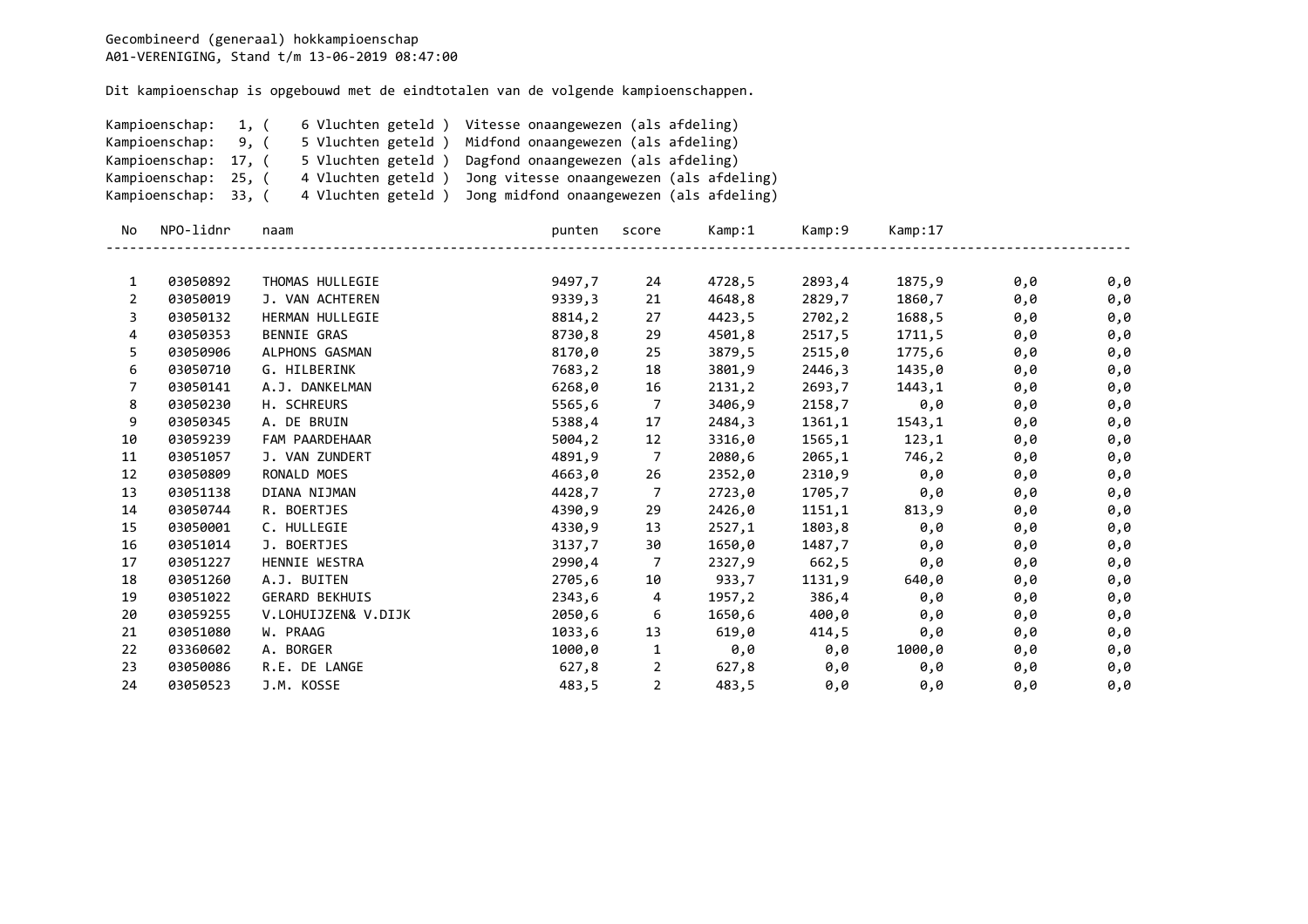| Kampioenschap:<br>Kampioenschap:<br>Kampioenschap: 17, (<br>Kampioenschap: 25, (<br>Kampioenschap: 33, ( |                      | 1, (<br>9, ( | 5 Vluchten geteld)<br>5 Vluchten geteld)<br>4 Vluchten geteld)<br>4 Vluchten geteld) |                  | 6 Vluchten geteld ) Vitesse onaangewezen (als afdeling)<br>Midfond onaangewezen (als afdeling)<br>Dagfond onaangewezen (als afdeling)<br>Jong vitesse onaangewezen (als afdeling)<br>Jong midfond onaangewezen (als afdeling) |                  |                  |                  |            |            |  |
|----------------------------------------------------------------------------------------------------------|----------------------|--------------|--------------------------------------------------------------------------------------|------------------|-------------------------------------------------------------------------------------------------------------------------------------------------------------------------------------------------------------------------------|------------------|------------------|------------------|------------|------------|--|
| No                                                                                                       | NPO-lidnr            |              | naam                                                                                 | punten           | score                                                                                                                                                                                                                         | Kamp:1           | Kamp:9           | Kamp:17          |            |            |  |
|                                                                                                          |                      |              |                                                                                      |                  |                                                                                                                                                                                                                               |                  |                  |                  |            |            |  |
| 1                                                                                                        | 03050892             |              | THOMAS HULLEGIE                                                                      | 9497,7           | 24                                                                                                                                                                                                                            | 4728,5           | 2893,4           | 1875,9           | 0,0        | 0,0        |  |
| 2                                                                                                        | 03050019             |              | J. VAN ACHTEREN                                                                      | 9339,3           | 21                                                                                                                                                                                                                            | 4648,8           | 2829,7           | 1860,7           | 0,0        | 0,0        |  |
| 3                                                                                                        | 03050132             |              | HERMAN HULLEGIE<br><b>BENNIE GRAS</b>                                                | 8814,2           | 27                                                                                                                                                                                                                            | 4423,5           | 2702,2           | 1688,5           | 0,0        | 0,0        |  |
| 4<br>5                                                                                                   | 03050353             |              |                                                                                      | 8730,8           | 29                                                                                                                                                                                                                            | 4501,8           | 2517,5           | 1711,5           | 0,0        | 0,0        |  |
| 6                                                                                                        | 03050906<br>03050710 |              | ALPHONS GASMAN<br>G. HILBERINK                                                       | 8170,0<br>7683,2 | 25<br>18                                                                                                                                                                                                                      | 3879,5<br>3801,9 | 2515,0<br>2446,3 | 1775,6<br>1435,0 | 0,0        | 0,0        |  |
| 7                                                                                                        | 03050141             |              | A.J. DANKELMAN                                                                       | 6268,0           | 16                                                                                                                                                                                                                            | 2131,2           | 2693,7           | 1443,1           | 0,0        | 0,0<br>0,0 |  |
| 8                                                                                                        | 03050230             |              | H. SCHREURS                                                                          | 5565,6           | $\overline{7}$                                                                                                                                                                                                                | 3406,9           | 2158,7           | 0,0              | 0,0<br>0,0 | 0,0        |  |
| 9                                                                                                        | 03050345             |              | A. DE BRUIN                                                                          | 5388,4           | 17                                                                                                                                                                                                                            | 2484,3           | 1361,1           | 1543,1           | 0,0        | 0,0        |  |
| 10                                                                                                       | 03059239             |              | FAM PAARDEHAAR                                                                       | 5004,2           | 12                                                                                                                                                                                                                            | 3316,0           | 1565,1           | 123,1            | 0,0        | 0,0        |  |
| 11                                                                                                       | 03051057             |              | J. VAN ZUNDERT                                                                       | 4891,9           | 7                                                                                                                                                                                                                             | 2080,6           | 2065,1           | 746,2            | 0,0        | 0,0        |  |
| 12                                                                                                       | 03050809             |              | RONALD MOES                                                                          | 4663,0           | 26                                                                                                                                                                                                                            | 2352,0           | 2310,9           | 0,0              | 0,0        | 0,0        |  |
| 13                                                                                                       | 03051138             |              | DIANA NIJMAN                                                                         | 4428,7           | 7                                                                                                                                                                                                                             | 2723,0           | 1705,7           | 0,0              | 0,0        | 0,0        |  |
| 14                                                                                                       | 03050744             |              | R. BOERTJES                                                                          | 4390,9           | 29                                                                                                                                                                                                                            | 2426,0           | 1151,1           | 813,9            | 0,0        | 0,0        |  |
| 15                                                                                                       | 03050001             |              | C. HULLEGIE                                                                          | 4330,9           | 13                                                                                                                                                                                                                            | 2527,1           | 1803,8           | 0,0              | 0,0        | 0,0        |  |
| 16                                                                                                       | 03051014             |              | J. BOERTJES                                                                          | 3137,7           | 30                                                                                                                                                                                                                            | 1650,0           | 1487,7           | 0,0              | 0,0        | 0,0        |  |
| 17                                                                                                       | 03051227             |              | HENNIE WESTRA                                                                        | 2990,4           | 7                                                                                                                                                                                                                             | 2327,9           | 662,5            | 0,0              | 0,0        | 0,0        |  |
| 18                                                                                                       | 03051260             |              | A.J. BUITEN                                                                          | 2705,6           | 10                                                                                                                                                                                                                            | 933,7            | 1131,9           | 640,0            | 0,0        | 0,0        |  |
| 19                                                                                                       | 03051022             |              | <b>GERARD BEKHUIS</b>                                                                | 2343,6           | 4                                                                                                                                                                                                                             | 1957,2           | 386,4            | 0,0              | 0,0        | 0,0        |  |
| 20                                                                                                       | 03059255             |              | V.LOHUIJZEN& V.DIJK                                                                  | 2050,6           | 6                                                                                                                                                                                                                             | 1650,6           | 400,0            | 0,0              | 0,0        | 0,0        |  |
| 21                                                                                                       | 03051080             |              | W. PRAAG                                                                             | 1033,6           | 13                                                                                                                                                                                                                            | 619,0            | 414,5            | 0,0              | 0,0        | 0,0        |  |
| 22                                                                                                       | 03360602             |              | A. BORGER                                                                            | 1000,0           | 1                                                                                                                                                                                                                             | 0,0              | 0,0              | 1000,0           | 0,0        | 0,0        |  |
| 23                                                                                                       | 03050086             |              | R.E. DE LANGE                                                                        | 627,8            | 2                                                                                                                                                                                                                             | 627,8            | 0,0              | 0,0              | 0,0        | 0,0        |  |
| 24                                                                                                       | 03050523             |              | J.M. KOSSE                                                                           | 483,5            | $\overline{2}$                                                                                                                                                                                                                | 483,5            | 0,0              | 0,0              | 0,0        | 0,0        |  |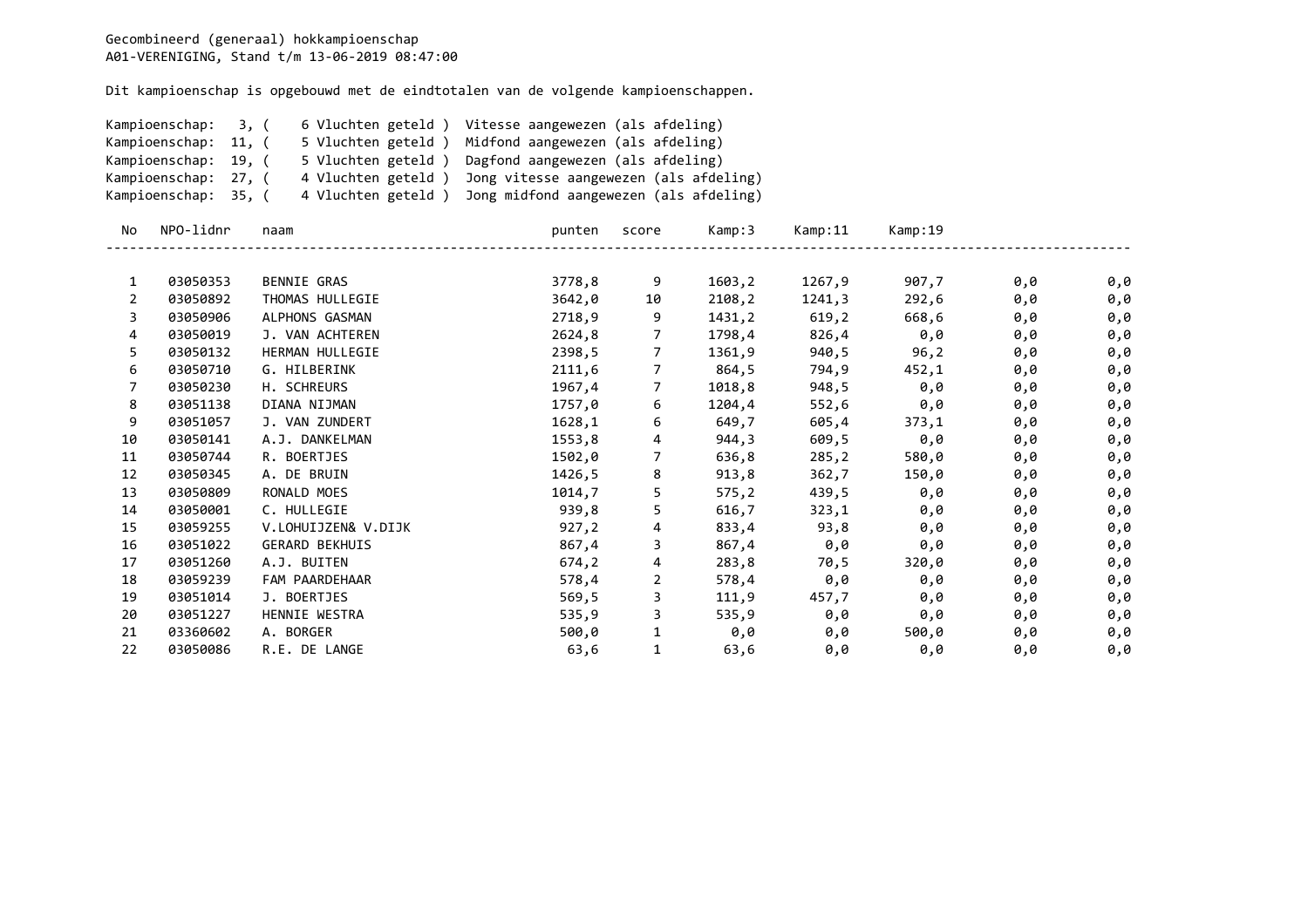| Kampioenschap:<br>3, (<br>Kampioenschap: 11, (<br>Kampioenschap: 19, (<br>Kampioenschap: 27, (<br>Kampioenschap: 35, ( |           | 6 Vluchten geteld) Vitesse aangewezen (als afdeling)<br>5 Vluchten geteld )<br>Midfond aangewezen (als afdeling)<br>5 Vluchten geteld )<br>Dagfond aangewezen (als afdeling)<br>4 Vluchten geteld)<br>Jong vitesse aangewezen (als afdeling) |                                                            |                |        |         |         |     |     |  |  |
|------------------------------------------------------------------------------------------------------------------------|-----------|----------------------------------------------------------------------------------------------------------------------------------------------------------------------------------------------------------------------------------------------|------------------------------------------------------------|----------------|--------|---------|---------|-----|-----|--|--|
|                                                                                                                        |           |                                                                                                                                                                                                                                              | 4 Vluchten geteld ) Jong midfond aangewezen (als afdeling) |                |        |         |         |     |     |  |  |
| No.                                                                                                                    | NPO-lidnr | naam                                                                                                                                                                                                                                         | punten                                                     | score          | Kamp:3 | Kamp:11 | Kamp:19 |     |     |  |  |
| 1                                                                                                                      | 03050353  | <b>BENNIE GRAS</b>                                                                                                                                                                                                                           | 3778,8                                                     | 9              | 1603,2 | 1267,9  | 907,7   | 0,0 | 0,0 |  |  |
| 2                                                                                                                      | 03050892  | THOMAS HULLEGIE                                                                                                                                                                                                                              | 3642,0                                                     | 10             | 2108,2 | 1241,3  | 292,6   | 0,0 | 0,0 |  |  |
| 3                                                                                                                      | 03050906  | ALPHONS GASMAN                                                                                                                                                                                                                               | 2718,9                                                     | 9              | 1431,2 | 619, 2  | 668,6   | 0,0 | 0,0 |  |  |
| 4                                                                                                                      | 03050019  | J. VAN ACHTEREN                                                                                                                                                                                                                              | 2624,8                                                     | 7              | 1798,4 | 826,4   | 0,0     | 0,0 | 0,0 |  |  |
| 5                                                                                                                      | 03050132  | HERMAN HULLEGIE                                                                                                                                                                                                                              | 2398,5                                                     | 7              | 1361,9 | 940,5   | 96,2    | 0,0 | 0,0 |  |  |
| 6                                                                                                                      | 03050710  | G. HILBERINK                                                                                                                                                                                                                                 | 2111,6                                                     | $\overline{7}$ | 864,5  | 794,9   | 452,1   | 0,0 | 0,0 |  |  |
| 7                                                                                                                      | 03050230  | H. SCHREURS                                                                                                                                                                                                                                  | 1967,4                                                     | 7              | 1018,8 | 948,5   | 0,0     | 0,0 | 0,0 |  |  |
| 8                                                                                                                      | 03051138  | DIANA NIJMAN                                                                                                                                                                                                                                 | 1757,0                                                     | 6              | 1204,4 | 552,6   | 0,0     | 0,0 | 0,0 |  |  |
| 9                                                                                                                      | 03051057  | J. VAN ZUNDERT                                                                                                                                                                                                                               | 1628,1                                                     | 6              | 649,7  | 605,4   | 373,1   | 0,0 | 0,0 |  |  |
| 10                                                                                                                     | 03050141  | A.J. DANKELMAN                                                                                                                                                                                                                               | 1553,8                                                     | 4              | 944,3  | 609,5   | 0,0     | 0,0 | 0,0 |  |  |
| 11                                                                                                                     | 03050744  | R. BOERTJES                                                                                                                                                                                                                                  | 1502,0                                                     | 7              | 636,8  | 285, 2  | 580,0   | 0,0 | 0,0 |  |  |
| 12                                                                                                                     | 03050345  | A. DE BRUIN                                                                                                                                                                                                                                  | 1426,5                                                     | 8              | 913,8  | 362,7   | 150,0   | 0,0 | 0,0 |  |  |
| 13                                                                                                                     | 03050809  | RONALD MOES                                                                                                                                                                                                                                  | 1014,7                                                     | 5              | 575,2  | 439,5   | 0,0     | 0,0 | 0,0 |  |  |
| 14                                                                                                                     | 03050001  | C. HULLEGIE                                                                                                                                                                                                                                  | 939,8                                                      | 5              | 616,7  | 323,1   | 0,0     | 0,0 | 0,0 |  |  |
| 15                                                                                                                     | 03059255  | V.LOHUIJZEN& V.DIJK                                                                                                                                                                                                                          | 927,2                                                      | 4              | 833,4  | 93,8    | 0,0     | 0,0 | 0,0 |  |  |
| 16                                                                                                                     | 03051022  | <b>GERARD BEKHUIS</b>                                                                                                                                                                                                                        | 867,4                                                      | 3              | 867,4  | 0,0     | 0,0     | 0,0 | 0,0 |  |  |
| 17                                                                                                                     | 03051260  | A.J. BUITEN                                                                                                                                                                                                                                  | 674,2                                                      | 4              | 283,8  | 70,5    | 320,0   | 0,0 | 0,0 |  |  |
| 18                                                                                                                     | 03059239  | FAM PAARDEHAAR                                                                                                                                                                                                                               | 578,4                                                      | 2              | 578,4  | 0,0     | 0,0     | 0,0 | 0,0 |  |  |
| 19                                                                                                                     | 03051014  | J. BOERTJES                                                                                                                                                                                                                                  | 569,5                                                      | 3              | 111,9  | 457,7   | 0,0     | 0,0 | 0,0 |  |  |
| 20                                                                                                                     | 03051227  | HENNIE WESTRA                                                                                                                                                                                                                                | 535,9                                                      | 3              | 535,9  | 0,0     | 0,0     | 0,0 | 0,0 |  |  |
| 21                                                                                                                     | 03360602  | A. BORGER                                                                                                                                                                                                                                    | 500,0                                                      | $\mathbf{1}$   | 0,0    | 0,0     | 500,0   | 0,0 | 0,0 |  |  |
| 22                                                                                                                     | 03050086  | R.E. DE LANGE                                                                                                                                                                                                                                | 63,6                                                       | $\mathbf{1}$   | 63,6   | 0,0     | 0,0     | 0,0 | 0,0 |  |  |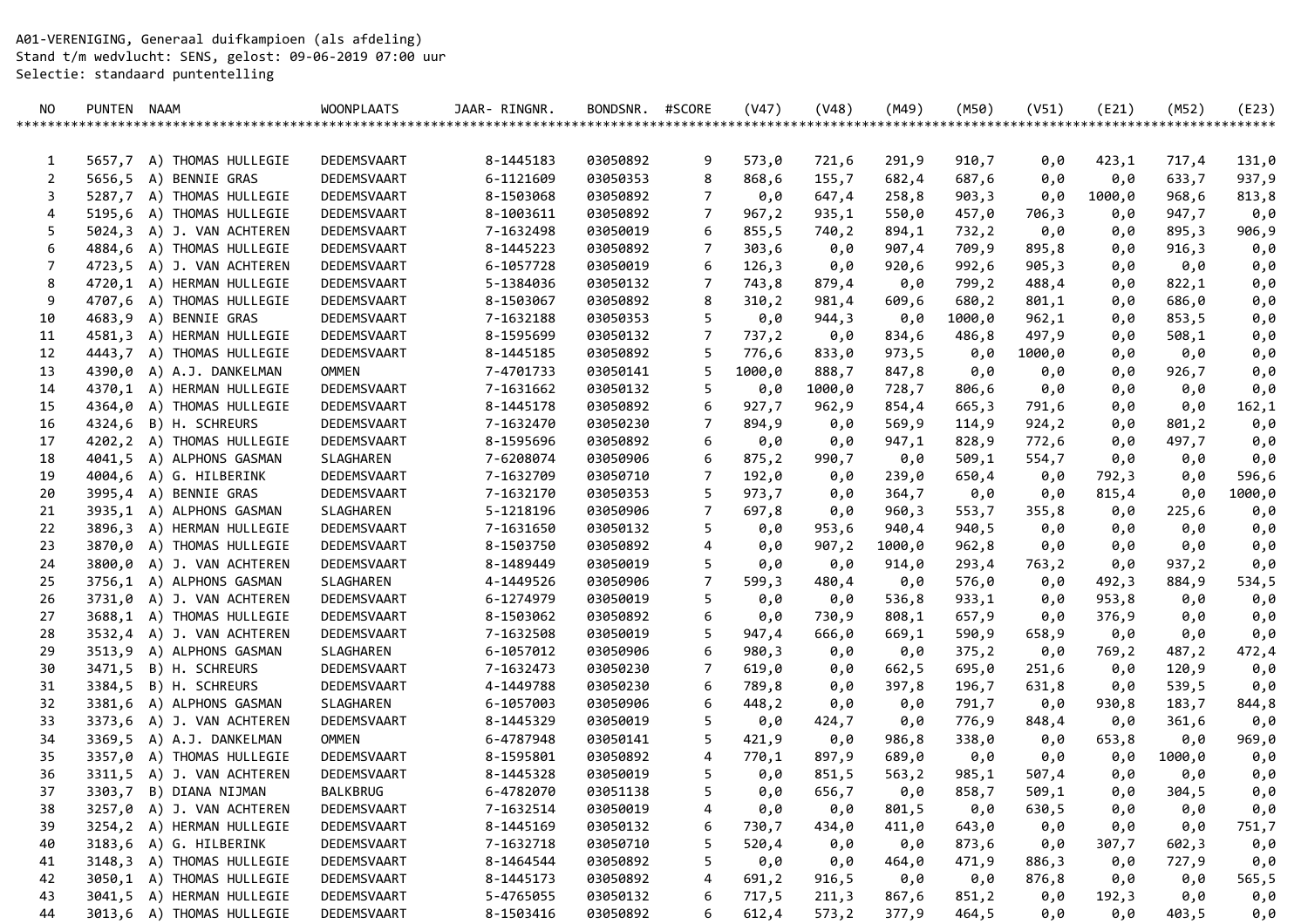A01-VERENIGING, Generaal duifkampioen (als afdeling) Stand t/m wedvlucht: SENS, gelost: 09-06-2019 07:00 uur Selectie: standaard puntentelling

| NO. | PUNTEN NAAM |                           | <b>WOONPLAATS</b> | JAAR- RINGNR. | BONDSNR. | #SCORE | (V47)  | (V48)  | (M49)  | (M50)  | (V51)   | (E21)  | (M52)             | (E23)  |
|-----|-------------|---------------------------|-------------------|---------------|----------|--------|--------|--------|--------|--------|---------|--------|-------------------|--------|
|     |             |                           |                   |               |          |        |        |        |        |        | ******* |        | ***************** | ****** |
|     |             |                           |                   |               |          |        |        |        |        |        |         |        |                   |        |
| 1   |             | 5657,7 A) THOMAS HULLEGIE | DEDEMSVAART       | 8-1445183     | 03050892 | 9      | 573,0  | 721,6  | 291,9  | 910,7  | 0,0     | 423,1  | 717,4             | 131,0  |
| 2   | 5656,5      | A) BENNIE GRAS            | DEDEMSVAART       | 6-1121609     | 03050353 | 8      | 868,6  | 155,7  | 682,4  | 687,6  | 0,0     | 0,0    | 633,7             | 937,9  |
| 3   |             | 5287,7 A) THOMAS HULLEGIE | DEDEMSVAART       | 8-1503068     | 03050892 | 7      | 0,0    | 647,4  | 258,8  | 903,3  | 0,0     | 1000,0 | 968,6             | 813,8  |
| 4   |             | 5195,6 A) THOMAS HULLEGIE | DEDEMSVAART       | 8-1003611     | 03050892 | 7      | 967,2  | 935,1  | 550,0  | 457,0  | 706,3   | 0,0    | 947,7             | 0,0    |
| 5   |             | 5024,3 A) J. VAN ACHTEREN | DEDEMSVAART       | 7-1632498     | 03050019 | 6      | 855,5  | 740,2  | 894,1  | 732,2  | 0,0     | 0,0    | 895,3             | 906,9  |
| 6   |             | 4884,6 A) THOMAS HULLEGIE | DEDEMSVAART       | 8-1445223     | 03050892 | 7      | 303,6  | 0,0    | 907,4  | 709,9  | 895,8   | 0,0    | 916,3             | 0,0    |
| 7   |             | 4723,5 A) J. VAN ACHTEREN | DEDEMSVAART       | 6-1057728     | 03050019 | 6      | 126,3  | 0,0    | 920,6  | 992,6  | 905,3   | 0,0    | 0,0               | 0,0    |
| 8   |             | 4720,1 A) HERMAN HULLEGIE | DEDEMSVAART       | 5-1384036     | 03050132 | 7      | 743,8  | 879,4  | 0,0    | 799,2  | 488,4   | 0,0    | 822,1             | 0,0    |
| 9   |             | 4707,6 A) THOMAS HULLEGIE | DEDEMSVAART       | 8-1503067     | 03050892 | 8      | 310,2  | 981,4  | 609,6  | 680,2  | 801,1   | 0,0    | 686,0             | 0,0    |
| 10  | 4683,9      | A) BENNIE GRAS            | DEDEMSVAART       | 7-1632188     | 03050353 | 5      | 0,0    | 944,3  | 0,0    | 1000,0 | 962,1   | 0,0    | 853,5             | 0,0    |
| 11  |             | 4581,3 A) HERMAN HULLEGIE | DEDEMSVAART       | 8-1595699     | 03050132 | 7      | 737,2  | 0,0    | 834,6  | 486,8  | 497,9   | 0,0    | 508,1             | 0,0    |
| 12  |             | 4443,7 A) THOMAS HULLEGIE | DEDEMSVAART       | 8-1445185     | 03050892 | 5      | 776,6  | 833,0  | 973,5  | 0,0    | 1000,0  | 0,0    | 0,0               | 0,0    |
| 13  |             | 4390,0 A) A.J. DANKELMAN  | <b>OMMEN</b>      | 7-4701733     | 03050141 | 5      | 1000,0 | 888,7  | 847,8  | 0,0    | 0,0     | 0,0    | 926,7             | 0,0    |
| 14  |             | 4370,1 A) HERMAN HULLEGIE | DEDEMSVAART       | 7-1631662     | 03050132 | 5      | 0,0    | 1000,0 | 728,7  | 806,6  | 0,0     | 0,0    | 0,0               | 0,0    |
| 15  |             | 4364,0 A) THOMAS HULLEGIE | DEDEMSVAART       | 8-1445178     | 03050892 | 6      | 927,7  | 962,9  | 854,4  | 665,3  | 791,6   | 0,0    | 0,0               | 162,1  |
| 16  |             | 4324,6 B) H. SCHREURS     | DEDEMSVAART       | 7-1632470     | 03050230 | 7      | 894,9  | 0,0    | 569,9  | 114,9  | 924,2   | 0,0    | 801,2             | 0,0    |
| 17  |             | 4202,2 A) THOMAS HULLEGIE | DEDEMSVAART       | 8-1595696     | 03050892 | 6      | 0,0    | 0,0    | 947,1  | 828,9  | 772,6   | 0,0    | 497,7             | 0,0    |
| 18  | 4041,5      | A) ALPHONS GASMAN         | SLAGHAREN         | 7-6208074     | 03050906 | 6      | 875,2  | 990,7  | 0,0    | 509,1  | 554,7   | 0,0    | 0,0               | 0,0    |
| 19  |             | 4004,6 A) G. HILBERINK    | DEDEMSVAART       | 7-1632709     | 03050710 | 7      | 192,0  | 0,0    | 239,0  | 650,4  | 0,0     | 792,3  | 0,0               | 596,6  |
| 20  |             | 3995,4 A) BENNIE GRAS     | DEDEMSVAART       | 7-1632170     | 03050353 | 5      | 973,7  | 0,0    | 364,7  | 0,0    | 0,0     | 815,4  | 0,0               | 1000,0 |
| 21  |             | 3935,1 A) ALPHONS GASMAN  | SLAGHAREN         | 5-1218196     | 03050906 | 7      | 697,8  | 0,0    | 960,3  | 553,7  | 355,8   | 0,0    | 225,6             | 0,0    |
| 22  |             | 3896,3 A) HERMAN HULLEGIE | DEDEMSVAART       | 7-1631650     | 03050132 | 5      | 0,0    | 953,6  | 940,4  | 940,5  | 0,0     | 0,0    | 0,0               | 0,0    |
| 23  |             | 3870,0 A) THOMAS HULLEGIE | DEDEMSVAART       | 8-1503750     | 03050892 | 4      | 0,0    | 907,2  | 1000,0 | 962,8  | 0,0     | 0,0    | 0,0               | 0,0    |
| 24  |             | 3800,0 A) J. VAN ACHTEREN | DEDEMSVAART       | 8-1489449     | 03050019 | 5      | 0,0    | 0,0    | 914,0  | 293,4  | 763,2   | 0,0    | 937,2             | 0,0    |
| 25  |             | 3756,1 A) ALPHONS GASMAN  | SLAGHAREN         | 4-1449526     | 03050906 | 7      | 599,3  | 480,4  | 0,0    | 576,0  | 0,0     | 492,3  | 884,9             | 534,5  |
| 26  |             | 3731,0 A) J. VAN ACHTEREN | DEDEMSVAART       | 6-1274979     | 03050019 | 5      | 0,0    | 0,0    | 536,8  | 933,1  | 0,0     | 953,8  | 0,0               | 0,0    |
| 27  |             | 3688,1 A) THOMAS HULLEGIE | DEDEMSVAART       | 8-1503062     | 03050892 | 6      | 0,0    | 730,9  | 808,1  | 657,9  | 0,0     | 376,9  | 0,0               | 0,0    |
| 28  |             | 3532,4 A) J. VAN ACHTEREN | DEDEMSVAART       | 7-1632508     | 03050019 | 5      | 947,4  | 666,0  | 669,1  | 590,9  | 658,9   | 0,0    | 0,0               | 0,0    |
| 29  |             | 3513,9 A) ALPHONS GASMAN  | SLAGHAREN         | 6-1057012     | 03050906 | 6      | 980,3  | 0,0    | 0,0    | 375,2  | 0,0     | 769,2  | 487,2             | 472,4  |
| 30  |             | 3471,5 B) H. SCHREURS     | DEDEMSVAART       | 7-1632473     | 03050230 | 7      | 619,0  | 0,0    | 662,5  | 695,0  | 251,6   | 0,0    | 120,9             | 0,0    |
| 31  |             | 3384,5 B) H. SCHREURS     | DEDEMSVAART       | 4-1449788     | 03050230 | 6      | 789,8  | 0,0    | 397,8  | 196,7  | 631,8   | 0,0    | 539,5             | 0,0    |
| 32  |             | 3381,6 A) ALPHONS GASMAN  | SLAGHAREN         | 6-1057003     | 03050906 | 6      | 448,2  | 0,0    | 0,0    | 791,7  | 0,0     | 930,8  | 183,7             | 844,8  |
| 33  |             | 3373,6 A) J. VAN ACHTEREN | DEDEMSVAART       | 8-1445329     | 03050019 | 5      | 0,0    | 424,7  | 0,0    | 776,9  | 848,4   | 0,0    | 361,6             | 0,0    |
| 34  |             | 3369,5 A) A.J. DANKELMAN  | <b>OMMEN</b>      | 6-4787948     | 03050141 | 5      | 421,9  | 0,0    | 986,8  | 338,0  | 0,0     | 653,8  | 0,0               | 969,0  |
| 35  | 3357,0      | A) THOMAS HULLEGIE        | DEDEMSVAART       | 8-1595801     | 03050892 | 4      | 770,1  | 897,9  | 689,0  | 0,0    | 0,0     | 0,0    | 1000,0            | 0,0    |
| 36  | 3311,5      | A) J. VAN ACHTEREN        | DEDEMSVAART       | 8-1445328     | 03050019 | 5      | 0,0    | 851,5  | 563, 2 | 985,1  | 507,4   | 0,0    | 0,0               | 0,0    |
| 37  |             | 3303,7 B) DIANA NIJMAN    | BALKBRUG          | 6-4782070     | 03051138 | 5      | 0,0    | 656,7  | 0,0    | 858,7  | 509,1   | 0,0    | 304,5             | 0,0    |
| 38  |             | 3257,0 A) J. VAN ACHTEREN | DEDEMSVAART       | 7-1632514     | 03050019 | 4      | 0,0    | 0,0    | 801,5  | 0,0    | 630,5   | 0,0    | 0,0               | 0,0    |
| 39  |             | 3254,2 A) HERMAN HULLEGIE | DEDEMSVAART       | 8-1445169     | 03050132 | 6      | 730,7  | 434,0  | 411,0  | 643,0  | 0,0     | 0,0    | 0,0               | 751,7  |
| 40  |             | 3183,6 A) G. HILBERINK    | DEDEMSVAART       | 7-1632718     | 03050710 | 5      | 520,4  | 0,0    | 0,0    | 873,6  | 0,0     | 307,7  | 602,3             | 0,0    |
| 41  |             | 3148,3 A) THOMAS HULLEGIE | DEDEMSVAART       | 8-1464544     | 03050892 | 5      | 0,0    | 0,0    | 464,0  | 471,9  | 886,3   | 0,0    | 727,9             | 0,0    |
| 42  |             | 3050,1 A) THOMAS HULLEGIE | DEDEMSVAART       | 8-1445173     | 03050892 | 4      | 691,2  | 916,5  | 0,0    | 0,0    | 876,8   | 0,0    | 0,0               | 565,5  |
| 43  |             | 3041,5 A) HERMAN HULLEGIE | DEDEMSVAART       | 5-4765055     | 03050132 | 6      | 717,5  | 211,3  | 867,6  | 851,2  | 0,0     | 192,3  | 0,0               | 0,0    |
| 44  |             | 3013,6 A) THOMAS HULLEGIE | DEDEMSVAART       | 8-1503416     | 03050892 | 6      | 612,4  | 573,2  | 377,9  | 464,5  | 0,0     | 0,0    | 403,5             | 0,0    |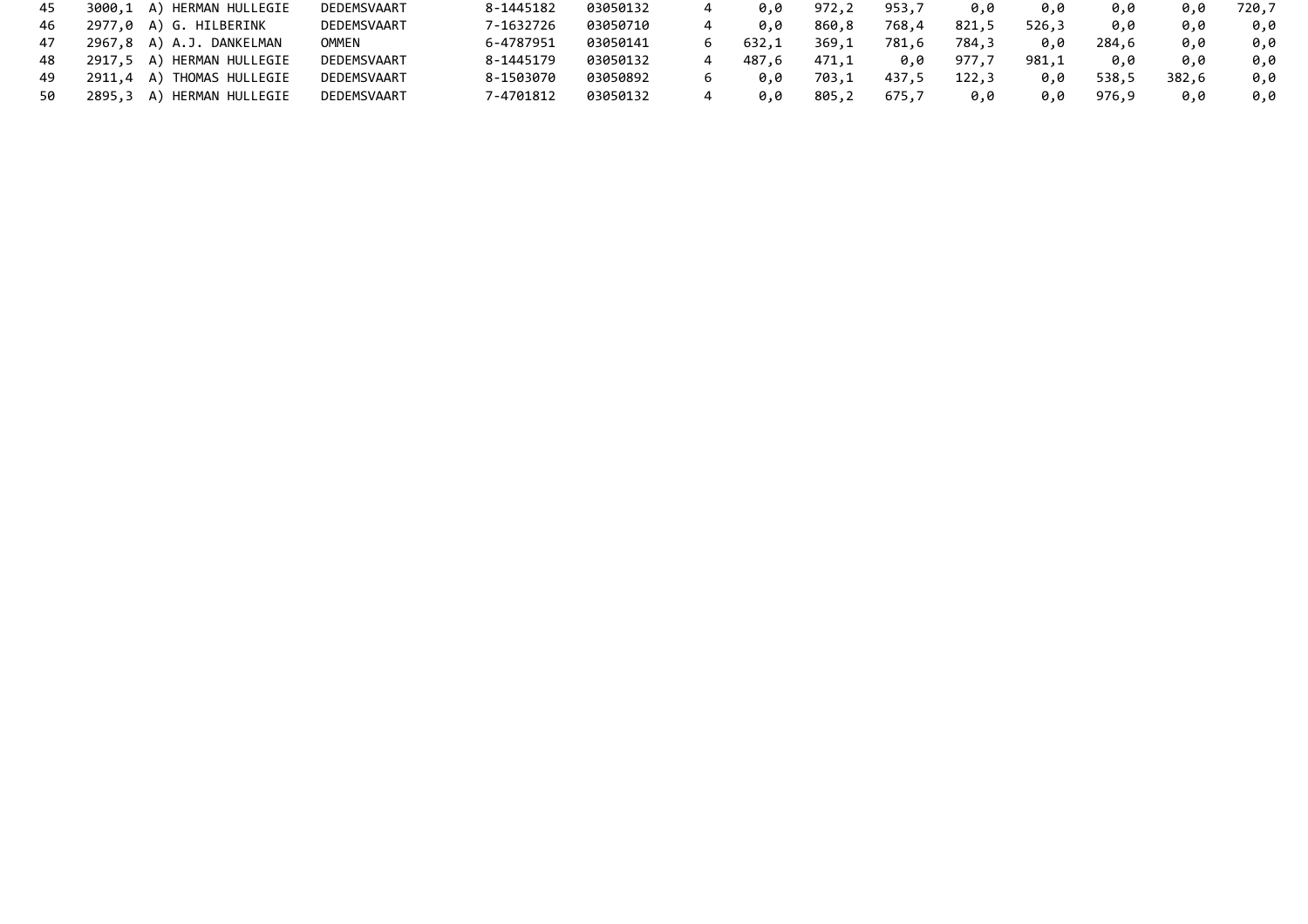| 45 | 3000,1 A) HERMAN HULLEGIE | DEDEMSVAART | 8-1445182 | 03050132 | 0.0   | 972,2 | 953,7 | 0.0   | 0.0   | 0.0   | 0.0   | 720,7 |
|----|---------------------------|-------------|-----------|----------|-------|-------|-------|-------|-------|-------|-------|-------|
| 46 | 2977,0 A) G. HILBERINK    | DEDEMSVAART | 7-1632726 | 03050710 | 0.0   | 860.8 | 768,4 | 821,5 | 526,3 | 0.0   | 0.0   | 0.0   |
| 47 | 2967,8 A) A.J. DANKELMAN  | OMMEN       | 6-4787951 | 03050141 | 632.1 | 369,1 | 781,6 | 784,3 | 0.0   | 284,6 | 0.0   | 0.0   |
| 48 | 2917,5 A) HERMAN HULLEGIE | DEDEMSVAART | 8-1445179 | 03050132 | 487.6 | 471.1 | 0.0   | 977.7 | 981,1 | 0.0   | 0.0   | 0.0   |
| 49 | 2911,4 A) THOMAS HULLEGIE | DEDEMSVAART | 8-1503070 | 03050892 | 0.0   | 703,1 | 437,5 | 122,3 | 0.0   | 538.5 | 382.6 | 0.0   |
| 50 | 2895,3 A) HERMAN HULLEGIE | DEDEMSVAART | 7-4701812 | 03050132 | 0.0   | 805,2 | 675,7 | 0.0   | 0.0   | 976.9 | 0.0   | 0.0   |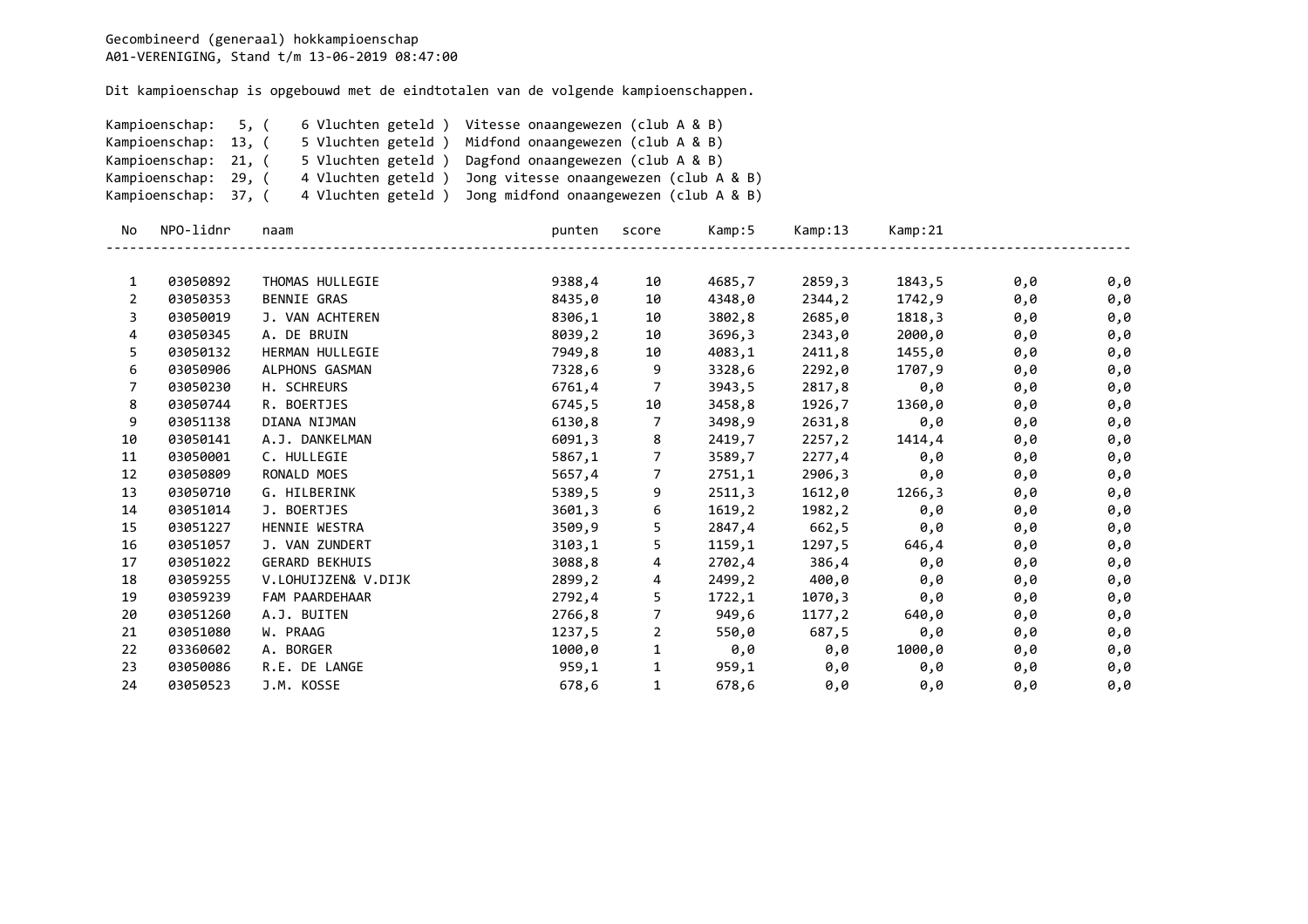|                | Kampioenschap:       | 6 Vluchten geteld)<br>5, ( | Vitesse onaangewezen (club A & B)      |                |        |         |         |     |     |
|----------------|----------------------|----------------------------|----------------------------------------|----------------|--------|---------|---------|-----|-----|
|                | Kampioenschap: 13, ( | 5 Vluchten geteld )        | Midfond onaangewezen (club A & B)      |                |        |         |         |     |     |
|                | Kampioenschap: 21, ( | 5 Vluchten geteld)         | Dagfond onaangewezen (club A & B)      |                |        |         |         |     |     |
|                | Kampioenschap: 29, ( | 4 Vluchten geteld)         | Jong vitesse onaangewezen (club A & B) |                |        |         |         |     |     |
|                | Kampioenschap: 37, ( | 4 Vluchten geteld)         | Jong midfond onaangewezen (club A & B) |                |        |         |         |     |     |
| No             | NPO-lidnr            | naam                       | punten                                 | score          | Kamp:5 | Kamp:13 | Kamp:21 |     |     |
| 1              | 03050892             | THOMAS HULLEGIE            | 9388,4                                 | 10             | 4685,7 | 2859,3  | 1843,5  | 0,0 | 0,0 |
| 2              | 03050353             | <b>BENNIE GRAS</b>         | 8435,0                                 | 10             | 4348,0 | 2344,2  | 1742,9  | 0,0 | 0,0 |
| 3              | 03050019             | J. VAN ACHTEREN            | 8306,1                                 | 10             | 3802,8 | 2685,0  | 1818,3  | 0,0 | 0,0 |
| 4              | 03050345             | A. DE BRUIN                | 8039,2                                 | 10             | 3696,3 | 2343,0  | 2000,0  | 0,0 | 0,0 |
| 5              | 03050132             | HERMAN HULLEGIE            | 7949,8                                 | 10             | 4083,1 | 2411,8  | 1455,0  | 0,0 | 0,0 |
| 6              | 03050906             | ALPHONS GASMAN             | 7328,6                                 | 9              | 3328,6 | 2292,0  | 1707,9  | 0,0 | 0,0 |
| $\overline{7}$ | 03050230             | H. SCHREURS                | 6761,4                                 | 7              | 3943,5 | 2817,8  | 0,0     | 0,0 | 0,0 |
| 8              | 03050744             | R. BOERTJES                | 6745,5                                 | 10             | 3458,8 | 1926,7  | 1360,0  | 0,0 | 0,0 |
| 9              | 03051138             | DIANA NIJMAN               | 6130,8                                 | 7              | 3498,9 | 2631,8  | 0,0     | 0,0 | 0,0 |
| 10             | 03050141             | A.J. DANKELMAN             | 6091,3                                 | 8              | 2419,7 | 2257,2  | 1414,4  | 0,0 | 0,0 |
| 11             | 03050001             | C. HULLEGIE                | 5867,1                                 | 7              | 3589,7 | 2277,4  | 0,0     | 0,0 | 0,0 |
| 12             | 03050809             | RONALD MOES                | 5657,4                                 | $\overline{7}$ | 2751,1 | 2906,3  | 0,0     | 0,0 | 0,0 |
| 13             | 03050710             | G. HILBERINK               | 5389,5                                 | 9              | 2511,3 | 1612,0  | 1266,3  | 0,0 | 0,0 |
| 14             | 03051014             | J. BOERTJES                | 3601,3                                 | 6              | 1619,2 | 1982,2  | 0,0     | 0,0 | 0,0 |
| 15             | 03051227             | HENNIE WESTRA              | 3509,9                                 | 5              | 2847,4 | 662,5   | 0,0     | 0,0 | 0,0 |
| 16             | 03051057             | J. VAN ZUNDERT             | 3103,1                                 | 5              | 1159,1 | 1297,5  | 646,4   | 0,0 | 0,0 |
| 17             | 03051022             | <b>GERARD BEKHUIS</b>      | 3088,8                                 | 4              | 2702,4 | 386,4   | 0,0     | 0,0 | 0,0 |
| 18             | 03059255             | V.LOHUIJZEN& V.DIJK        | 2899,2                                 | 4              | 2499,2 | 400,0   | 0,0     | 0,0 | 0,0 |
| 19             | 03059239             | FAM PAARDEHAAR             | 2792,4                                 | 5              | 1722,1 | 1070,3  | 0,0     | 0,0 | 0,0 |
| 20             | 03051260             | A.J. BUITEN                | 2766,8                                 | $\overline{7}$ | 949,6  | 1177,2  | 640,0   | 0,0 | 0,0 |
| 21             | 03051080             | W. PRAAG                   | 1237,5                                 | $\overline{2}$ | 550,0  | 687,5   | 0,0     | 0,0 | 0,0 |
| 22             | 03360602             | A. BORGER                  | 1000,0                                 | $\mathbf{1}$   | 0,0    | 0,0     | 1000,0  | 0,0 | 0,0 |
| 23             | 03050086             | R.E. DE LANGE              | 959,1                                  | $\mathbf{1}$   | 959,1  | 0,0     | 0,0     | 0,0 | 0,0 |
| 24             | 03050523             | J.M. KOSSE                 | 678,6                                  | $\mathbf{1}$   | 678,6  | 0,0     | 0,0     | 0,0 | 0,0 |
|                |                      |                            |                                        |                |        |         |         |     |     |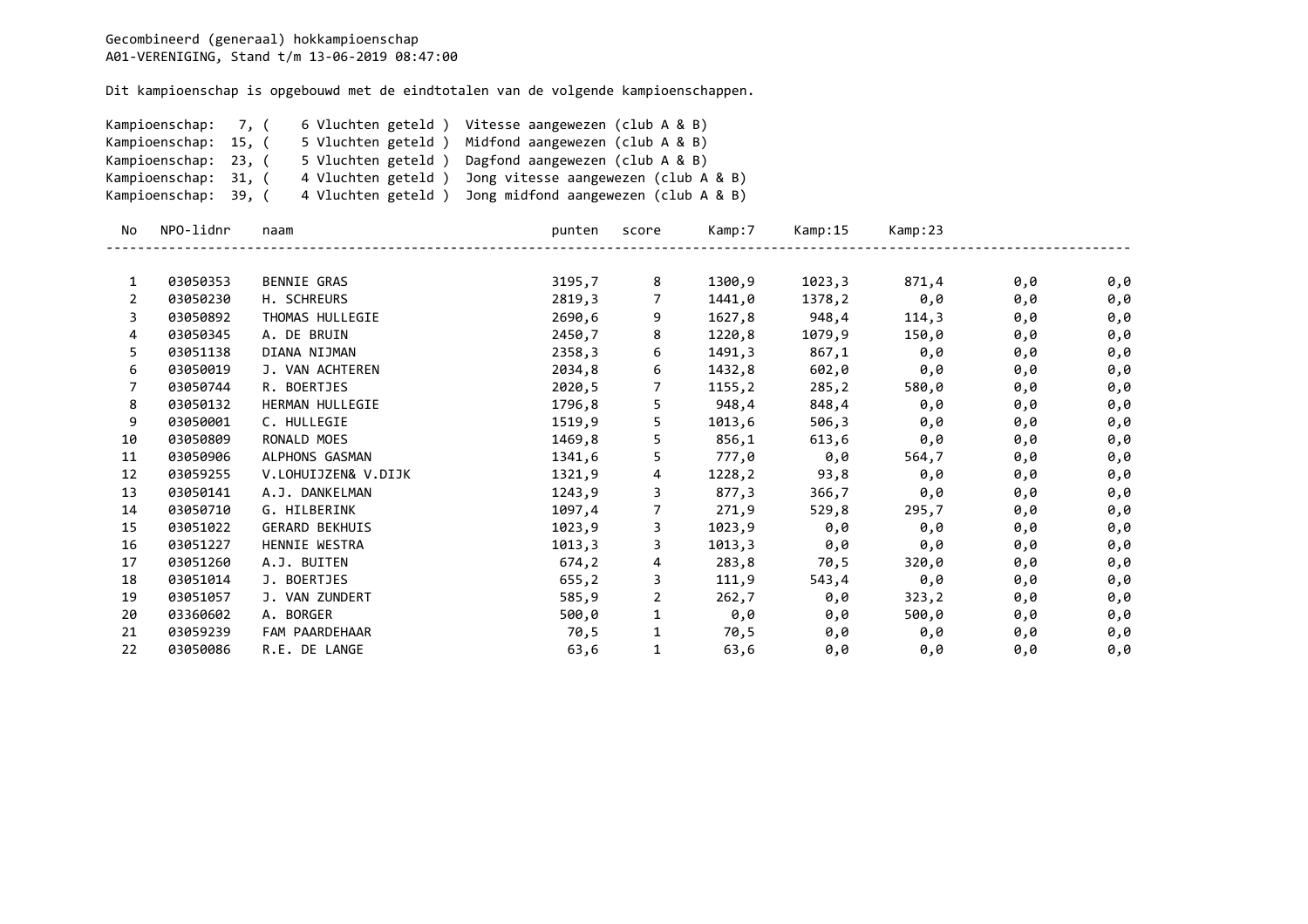|              | Kampioenschap:       | 6 Vluchten geteld )<br>7, ( | Vitesse aangewezen (club A & B)                         |                |                     |                |                     |     |     |
|--------------|----------------------|-----------------------------|---------------------------------------------------------|----------------|---------------------|----------------|---------------------|-----|-----|
|              | Kampioenschap: 15, ( | 5 Vluchten geteld)          | Midfond aangewezen (club A & B)                         |                |                     |                |                     |     |     |
|              | Kampioenschap: 23, ( | 5 Vluchten geteld)          | Dagfond aangewezen (club A & B)                         |                |                     |                |                     |     |     |
|              | Kampioenschap: 31, ( | 4 Vluchten geteld)          | Jong vitesse aangewezen (club A & B)                    |                |                     |                |                     |     |     |
|              | Kampioenschap: 39, ( |                             | 4 Vluchten geteld) Jong midfond aangewezen (club A & B) |                |                     |                |                     |     |     |
| No.          | NPO-lidnr            | naam                        | punten                                                  | score          | Kamp:7              | Kamp:15        | Kamp:23             |     |     |
| $\mathbf{1}$ | 03050353             | BENNIE GRAS                 | 3195,7                                                  | 8              | 1300,9              | 1023,3         | 871,4               | 0,0 | 0,0 |
| 2            | 03050230             | H. SCHREURS                 | 2819,3                                                  | $7^{\circ}$    | 1441,0              | 1378,2         | $\theta$ , $\theta$ | 0,0 | 0,0 |
| 3            | 03050892             | THOMAS HULLEGIE             | 2690,6                                                  | 9              |                     | 1627,8 948,4   | 114,3               | 0,0 | 0,0 |
| 4            | 03050345             | A. DE BRUIN                 | 2450,7                                                  | 8              | 1220,8              | 1079,9         | 150,0               | 0,0 | 0,0 |
| 5            | 03051138             | DIANA NIJMAN                | 2358,3                                                  | 6              | 1491,3              |                | 867,1 0,0           | 0,0 | 0,0 |
| 6            | 03050019             | J. VAN ACHTEREN             | 2034,8                                                  | 6              | 1432,8              | 602,0          | 0,0                 | 0,0 | 0,0 |
| 7            | 03050744             | R. BOERTJES                 | 2020,5                                                  | 7              | 1155,2              | 285,2          | 580,0               | 0,0 | 0,0 |
| 8            | 03050132             | HERMAN HULLEGIE             | 1796,8                                                  | 5              | 948,4               |                | 848,4 0,0           | 0,0 | 0,0 |
| 9            | 03050001             | C. HULLEGIE                 | 1519,9                                                  | 5              | 1013,6              |                | 506,3 0,0           | 0,0 | 0,0 |
| 10           | 03050809             | RONALD MOES                 | 1469,8                                                  | 5              | 856,1               | 613,6          | 0,0                 | 0,0 | 0,0 |
| 11           | 03050906             | ALPHONS GASMAN              | 1341,6                                                  | 5              |                     | 777,0 0,0      | 564,7               | 0,0 | 0,0 |
| 12           | 03059255             | V.LOHUIJZEN& V.DIJK         | 1321,9                                                  | 4              |                     |                | $1228,2$ 93,8 0,0   | 0,0 | 0,0 |
| 13           | 03050141             | A.J. DANKELMAN              | 1243,9                                                  | 3              | 877,3               | 366,7          | 0,0                 | 0,0 | 0,0 |
| 14           | 03050710             | G. HILBERINK                | 1097,4                                                  | $\overline{7}$ | 271,9               | 529,8          | 295,7               | 0,0 | 0,0 |
| 15           | 03051022             | <b>GERARD BEKHUIS</b>       | 1023,9                                                  | 3              |                     | $1023,9$ $0,0$ | 0,0                 | 0,0 | 0,0 |
| 16           | 03051227             | HENNIE WESTRA               | 1013,3                                                  | 3              | 1013,3              | 0,0            | 0,0                 | 0,0 | 0,0 |
| 17           | 03051260             | A.J. BUITEN                 | 674, 2                                                  | 4              |                     | 283,8 70,5     | 320,0               | 0,0 | 0,0 |
| 18           | 03051014             | J. BOERTJES                 | 655,2                                                   | 3              | 111,9               | 543,4          | 0,0                 | 0,0 | 0,0 |
| 19           | 03051057             | J. VAN ZUNDERT              | 585,9                                                   | $\overline{2}$ | 262,7               | 0,0            | 323, 2              | 0,0 | 0,0 |
| 20           | 03360602             | A. BORGER                   | 500,0                                                   | $\mathbf{1}$   | $\Theta$ , $\Theta$ | 0,0            | 500,0               | 0,0 | 0,0 |
| 21           | 03059239             | FAM PAARDEHAAR              | 70,5                                                    | $\mathbf{1}$   | 70,5                | 0,0            | $\theta$ , $\theta$ | 0,0 | 0,0 |
| 22           | 03050086             | R.E. DE LANGE               | 63,6                                                    | $\mathbf{1}$   | 63,6                | 0,0            | 0,0                 | 0,0 | 0,0 |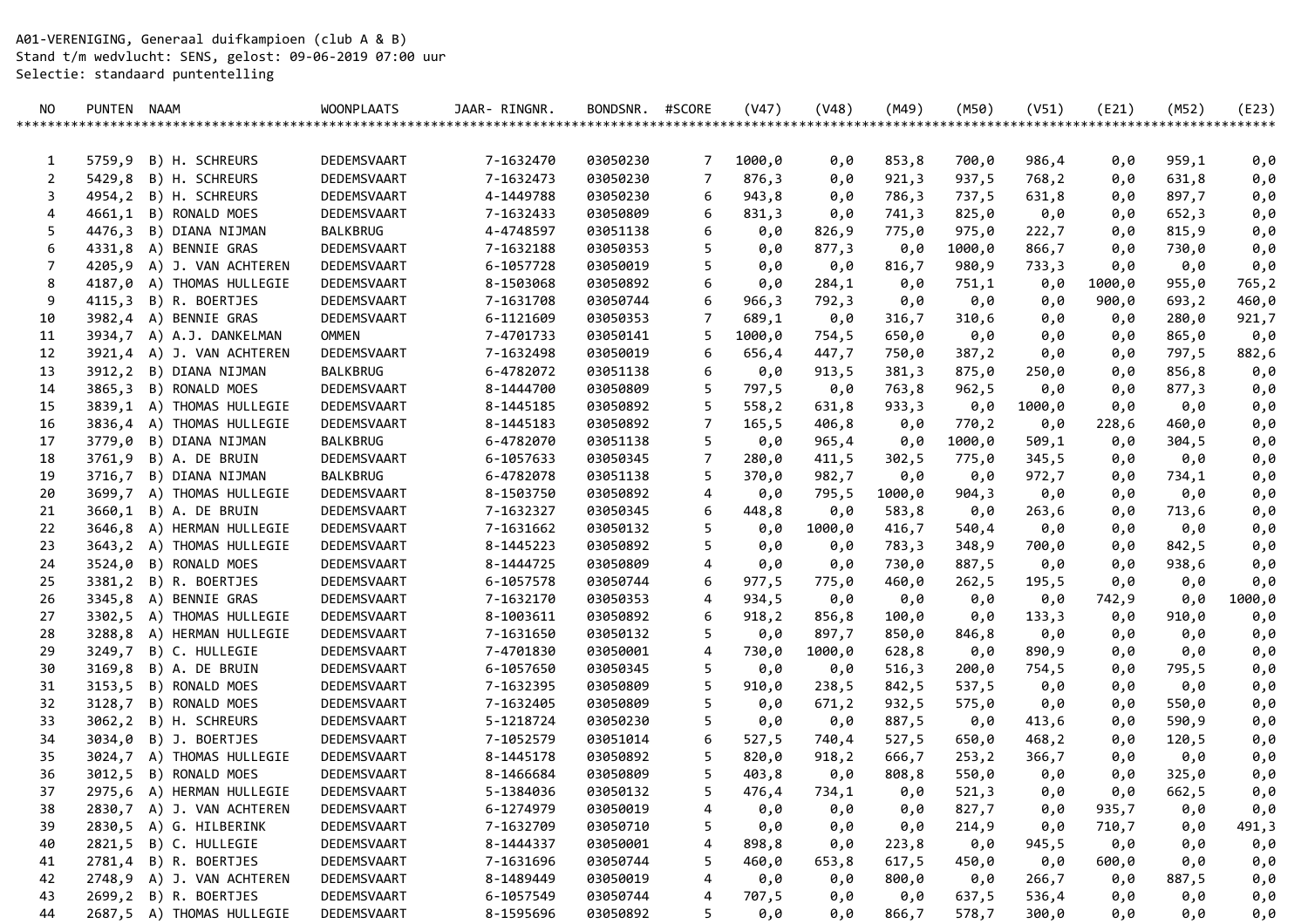A01-VERENIGING, Generaal duifkampioen (club A & B) Stand t/m wedvlucht: SENS, gelost: 09-06-2019 07:00 uur Selectie: standaard puntentelling

| NO.    | PUNTEN NAAM |                           | <b>WOONPLAATS</b> | JAAR- RINGNR. | BONDSNR. | #SCORE | (V47)  | (V48)      | (M49)          | (M50)          | (V51)  | (E21)      | (M52)              | (E23)      |
|--------|-------------|---------------------------|-------------------|---------------|----------|--------|--------|------------|----------------|----------------|--------|------------|--------------------|------------|
|        |             |                           |                   |               |          |        |        |            |                |                |        |            | ****************** | ******     |
|        |             | 5759,9 B) H. SCHREURS     | DEDEMSVAART       | 7-1632470     | 03050230 |        | 1000,0 |            |                |                | 986,4  |            | 959,1              |            |
| 1<br>2 | 5429,8      | B) H. SCHREURS            | DEDEMSVAART       | 7-1632473     | 03050230 | 7<br>7 | 876,3  | 0,0<br>0,0 | 853,8<br>921,3 | 700,0<br>937,5 | 768,2  | 0,0        | 631,8              | 0,0<br>0,0 |
| 3      |             | 4954,2 B) H. SCHREURS     | DEDEMSVAART       | 4-1449788     | 03050230 | 6      | 943,8  | 0,0        | 786,3          | 737,5          | 631,8  | 0,0<br>0,0 | 897,7              | 0,0        |
| 4      |             | 4661,1 B) RONALD MOES     | DEDEMSVAART       | 7-1632433     | 03050809 | 6      | 831,3  | 0,0        | 741,3          | 825,0          | 0,0    | 0,0        | 652,3              | 0,0        |
| 5      |             | 4476,3 B) DIANA NIJMAN    | BALKBRUG          | 4-4748597     | 03051138 | 6      | 0,0    | 826,9      | 775,0          | 975,0          | 222,7  | 0,0        | 815,9              | 0,0        |
| 6      |             | 4331,8 A) BENNIE GRAS     | DEDEMSVAART       | 7-1632188     | 03050353 | 5      | 0,0    | 877,3      | 0,0            | 1000,0         | 866,7  | 0,0        | 730,0              | 0,0        |
| 7      |             | 4205,9 A) J. VAN ACHTEREN | DEDEMSVAART       | 6-1057728     | 03050019 | 5      | 0,0    | 0,0        | 816,7          | 980,9          | 733,3  | 0,0        | 0,0                | 0,0        |
| 8      |             | 4187,0 A) THOMAS HULLEGIE | DEDEMSVAART       | 8-1503068     | 03050892 | 6      | 0,0    | 284,1      | 0,0            | 751,1          | 0,0    | 1000,0     | 955,0              | 765,2      |
| 9      |             | 4115,3 B) R. BOERTJES     | DEDEMSVAART       | 7-1631708     | 03050744 | 6      | 966,3  | 792,3      | 0,0            | 0,0            | 0,0    | 900,0      | 693,2              | 460,0      |
| 10     |             | 3982,4 A) BENNIE GRAS     | DEDEMSVAART       | 6-1121609     | 03050353 | 7      | 689,1  | 0,0        | 316,7          | 310,6          | 0,0    | 0,0        | 280,0              | 921,7      |
| 11     |             | 3934,7 A) A.J. DANKELMAN  | <b>OMMEN</b>      | 7-4701733     | 03050141 | 5      | 1000,0 | 754,5      | 650,0          | 0,0            | 0,0    | 0,0        | 865,0              | 0,0        |
| 12     |             | 3921,4 A) J. VAN ACHTEREN | DEDEMSVAART       | 7-1632498     | 03050019 | 6      | 656,4  | 447,7      | 750,0          | 387,2          | 0,0    | 0,0        | 797,5              | 882,6      |
| 13     |             | 3912,2 B) DIANA NIJMAN    | BALKBRUG          | 6-4782072     | 03051138 | 6      | 0,0    | 913,5      | 381,3          | 875,0          | 250,0  | 0,0        | 856,8              | 0,0        |
| 14     |             | 3865,3 B) RONALD MOES     | DEDEMSVAART       | 8-1444700     | 03050809 | 5      | 797,5  | 0,0        | 763,8          | 962,5          | 0,0    | 0,0        | 877,3              | 0,0        |
| 15     |             | 3839,1 A) THOMAS HULLEGIE | DEDEMSVAART       | 8-1445185     | 03050892 | 5      | 558,2  | 631,8      | 933,3          | 0,0            | 1000,0 | 0,0        | 0,0                | 0,0        |
| 16     |             | 3836,4 A) THOMAS HULLEGIE | DEDEMSVAART       | 8-1445183     | 03050892 | 7      | 165,5  | 406,8      | 0,0            | 770,2          | 0,0    | 228,6      | 460,0              | 0,0        |
| 17     |             | 3779,0 B) DIANA NIJMAN    | <b>BALKBRUG</b>   | 6-4782070     | 03051138 | 5      | 0,0    | 965,4      | 0,0            | 1000,0         | 509,1  | 0,0        | 304,5              | 0,0        |
| 18     |             | 3761,9 B) A. DE BRUIN     | DEDEMSVAART       | 6-1057633     | 03050345 | 7      | 280,0  | 411,5      | 302,5          | 775,0          | 345,5  | 0,0        | 0,0                | 0,0        |
| 19     |             | 3716,7 B) DIANA NIJMAN    | BALKBRUG          | 6-4782078     | 03051138 | 5      | 370,0  | 982,7      | 0,0            | 0,0            | 972,7  | 0,0        | 734,1              | 0,0        |
| 20     |             | 3699,7 A) THOMAS HULLEGIE | DEDEMSVAART       | 8-1503750     | 03050892 | 4      | 0,0    | 795,5      | 1000,0         | 904,3          | 0,0    | 0,0        | 0,0                | 0,0        |
| 21     |             | 3660,1 B) A. DE BRUIN     | DEDEMSVAART       | 7-1632327     | 03050345 | 6      | 448,8  | 0,0        | 583,8          | 0,0            | 263,6  | 0,0        | 713,6              | 0,0        |
| 22     |             | 3646,8 A) HERMAN HULLEGIE | DEDEMSVAART       | 7-1631662     | 03050132 | 5      | 0,0    | 1000,0     | 416,7          | 540,4          | 0,0    | 0,0        | 0,0                | 0,0        |
| 23     |             | 3643,2 A) THOMAS HULLEGIE | DEDEMSVAART       | 8-1445223     | 03050892 | 5      | 0,0    | 0,0        | 783,3          | 348,9          | 700,0  | 0,0        | 842,5              | 0,0        |
| 24     |             | 3524,0 B) RONALD MOES     | DEDEMSVAART       | 8-1444725     | 03050809 | 4      | 0,0    | 0,0        | 730,0          | 887,5          | 0,0    | 0,0        | 938,6              | 0,0        |
| 25     |             | 3381,2 B) R. BOERTJES     | DEDEMSVAART       | 6-1057578     | 03050744 | 6      | 977,5  | 775,0      | 460,0          | 262,5          | 195,5  | 0,0        | 0,0                | 0,0        |
| 26     |             | 3345,8 A) BENNIE GRAS     | DEDEMSVAART       | 7-1632170     | 03050353 | 4      | 934,5  | 0,0        | 0,0            | 0,0            | 0,0    | 742,9      | 0,0                | 1000,0     |
| 27     |             | 3302,5 A) THOMAS HULLEGIE | DEDEMSVAART       | 8-1003611     | 03050892 | 6      | 918,2  | 856,8      | 100,0          | 0,0            | 133,3  | 0,0        | 910,0              | 0,0        |
| 28     |             | 3288,8 A) HERMAN HULLEGIE | DEDEMSVAART       | 7-1631650     | 03050132 | 5      | 0,0    | 897,7      | 850,0          | 846,8          | 0,0    | 0,0        | 0,0                | 0,0        |
| 29     |             | 3249,7 B) C. HULLEGIE     | DEDEMSVAART       | 7-4701830     | 03050001 | 4      | 730,0  | 1000,0     | 628,8          | 0,0            | 890,9  | 0,0        | 0,0                | 0,0        |
| 30     |             | 3169,8 B) A. DE BRUIN     | DEDEMSVAART       | 6-1057650     | 03050345 | 5      | 0,0    | 0,0        | 516,3          | 200,0          | 754,5  | 0,0        | 795,5              | 0,0        |
| 31     |             | 3153,5 B) RONALD MOES     | DEDEMSVAART       | 7-1632395     | 03050809 | 5      | 910,0  | 238,5      | 842,5          | 537,5          | 0,0    | 0,0        | 0,0                | 0,0        |
| 32     |             | 3128,7 B) RONALD MOES     | DEDEMSVAART       | 7-1632405     | 03050809 | 5      | 0,0    | 671,2      | 932,5          | 575,0          | 0,0    | 0,0        | 550,0              | 0,0        |
| 33     |             | 3062,2 B) H. SCHREURS     | DEDEMSVAART       | 5-1218724     | 03050230 | 5      | 0,0    | 0,0        | 887,5          | 0,0            | 413,6  | 0,0        | 590,9              | 0,0        |
| 34     |             | 3034,0 B) J. BOERTJES     | DEDEMSVAART       | 7-1052579     | 03051014 | 6      | 527,5  | 740,4      | 527,5          | 650,0          | 468,2  | 0,0        | 120,5              | 0,0        |
| 35     |             | 3024,7 A) THOMAS HULLEGIE | DEDEMSVAART       | 8-1445178     | 03050892 | 5      | 820,0  | 918, 2     | 666,7          | 253,2          | 366,7  | 0,0        | 0,0                | 0,0        |
| 36     |             | 3012,5 B) RONALD MOES     | DEDEMSVAART       | 8-1466684     | 03050809 | 5      | 403,8  | 0,0        | 808,8          | 550,0          | 0,0    | 0,0        | 325,0              | 0,0        |
| 37     |             | 2975,6 A) HERMAN HULLEGIE | DEDEMSVAART       | 5-1384036     | 03050132 | 5      | 476,4  | 734,1      | 0,0            | 521,3          | 0,0    | 0,0        | 662,5              | 0,0        |
| 38     |             | 2830,7 A) J. VAN ACHTEREN | DEDEMSVAART       | 6-1274979     | 03050019 | 4      | 0,0    | 0,0        | 0,0            | 827,7          | 0,0    | 935,7      | 0,0                | 0,0        |
| 39     |             | 2830,5 A) G. HILBERINK    | DEDEMSVAART       | 7-1632709     | 03050710 | 5      | 0,0    | 0,0        | 0,0            | 214,9          | 0,0    | 710,7      | 0,0                | 491,3      |
| 40     |             | 2821,5 B) C. HULLEGIE     | DEDEMSVAART       | 8-1444337     | 03050001 | 4      | 898,8  | 0,0        | 223,8          | 0,0            | 945,5  | 0,0        | 0,0                | 0,0        |
| 41     |             | 2781,4 B) R. BOERTJES     | DEDEMSVAART       | 7-1631696     | 03050744 | 5      | 460,0  | 653,8      | 617,5          | 450,0          | 0,0    | 600,0      | 0,0                | 0,0        |
| 42     |             | 2748,9 A) J. VAN ACHTEREN | DEDEMSVAART       | 8-1489449     | 03050019 | 4      | 0,0    | 0,0        | 800,0          | 0,0            | 266,7  | 0,0        | 887,5              | 0,0        |
| 43     |             | 2699,2 B) R. BOERTJES     | DEDEMSVAART       | 6-1057549     | 03050744 | 4      | 707,5  | 0,0        | 0,0            | 637,5          | 536,4  | 0,0        | 0,0                | 0,0        |
| 44     |             | 2687,5 A) THOMAS HULLEGIE | DEDEMSVAART       | 8-1595696     | 03050892 | 5      | 0,0    | 0,0        | 866,7          | 578,7          | 300,0  | 0,0        | 0,0                | 0,0        |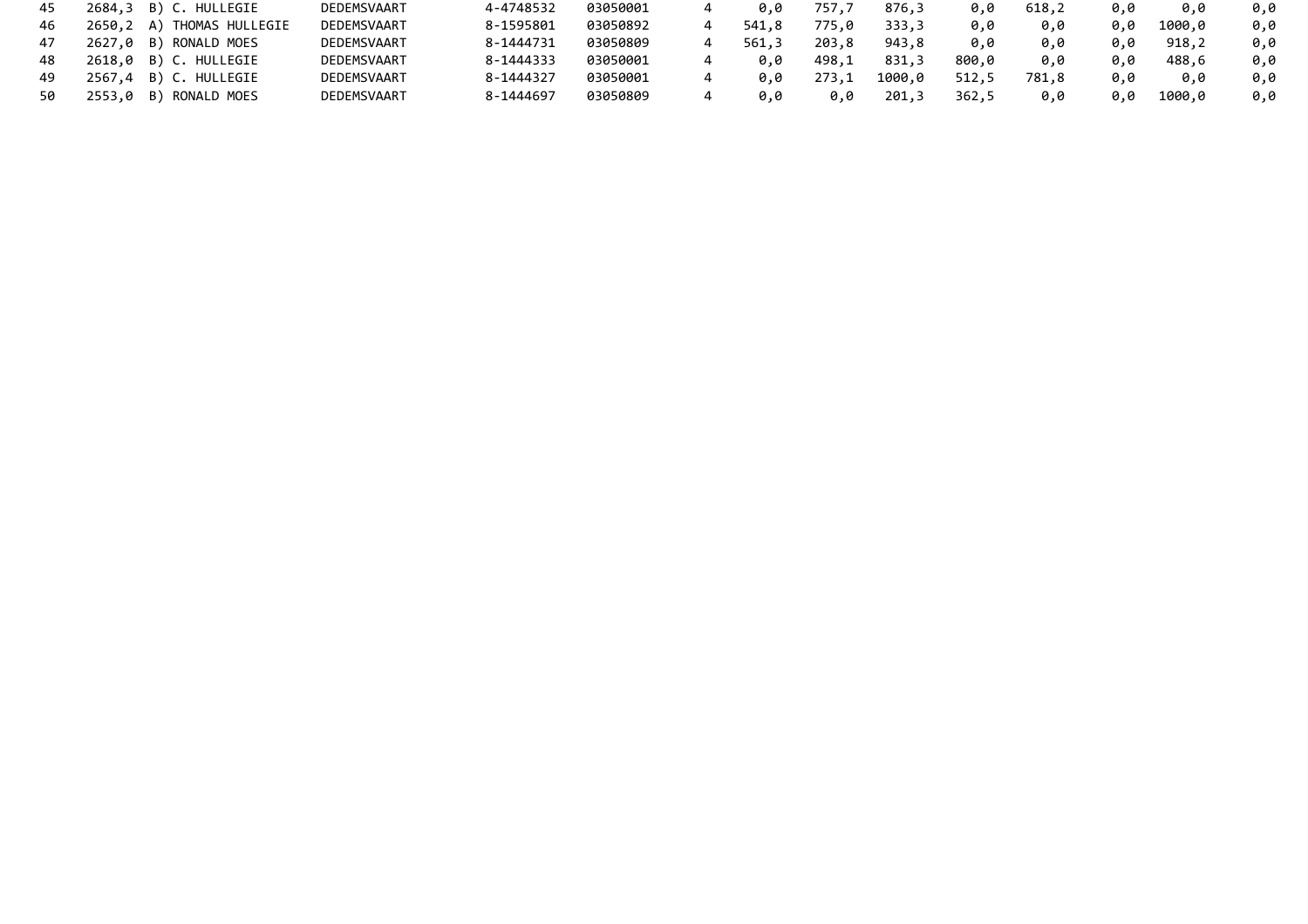| 45 | 2684,3 B) C. HULLEGIE     | DEDEMSVAART | 4-4748532 | 03050001 | 0.0   | 757,7 | 876,3  | 0.0   | 618,2 | 0.0 | 0.0    | 0.0 |
|----|---------------------------|-------------|-----------|----------|-------|-------|--------|-------|-------|-----|--------|-----|
| 46 | 2650,2 A) THOMAS HULLEGIE | DEDEMSVAART | 8-1595801 | 03050892 | 541.8 | 775,0 | 333,3  | 0,0   | 0.0   | 0.0 | 1000.0 | 0.0 |
| 47 | 2627,0 B) RONALD MOES     | DEDEMSVAART | 8-1444731 | 03050809 | 561.3 | 203.8 | 943.8  | 0.0   | 0.0   | 0.0 | 918,2  | 0.0 |
| 48 | 2618,0 B) C. HULLEGIE     | DEDEMSVAART | 8-1444333 | 03050001 | 0.0   | 498,1 | 831,3  | 800,0 | 0.0   | 0.0 | 488.6  | 0.0 |
| 49 | 2567,4 B) C. HULLEGIE     | DEDEMSVAART | 8-1444327 | 03050001 | 0.0   | 273,1 | 1000.0 | 512,5 | 781,8 | 0.0 | 0.0    | 0.0 |
|    | 2553,0 B) RONALD MOES     | DEDEMSVAART | 8-1444697 | 03050809 | 0.0   | 0.0   | 201,3  | 362,5 | 0.0   | 0.0 | 1000.0 | 0.0 |